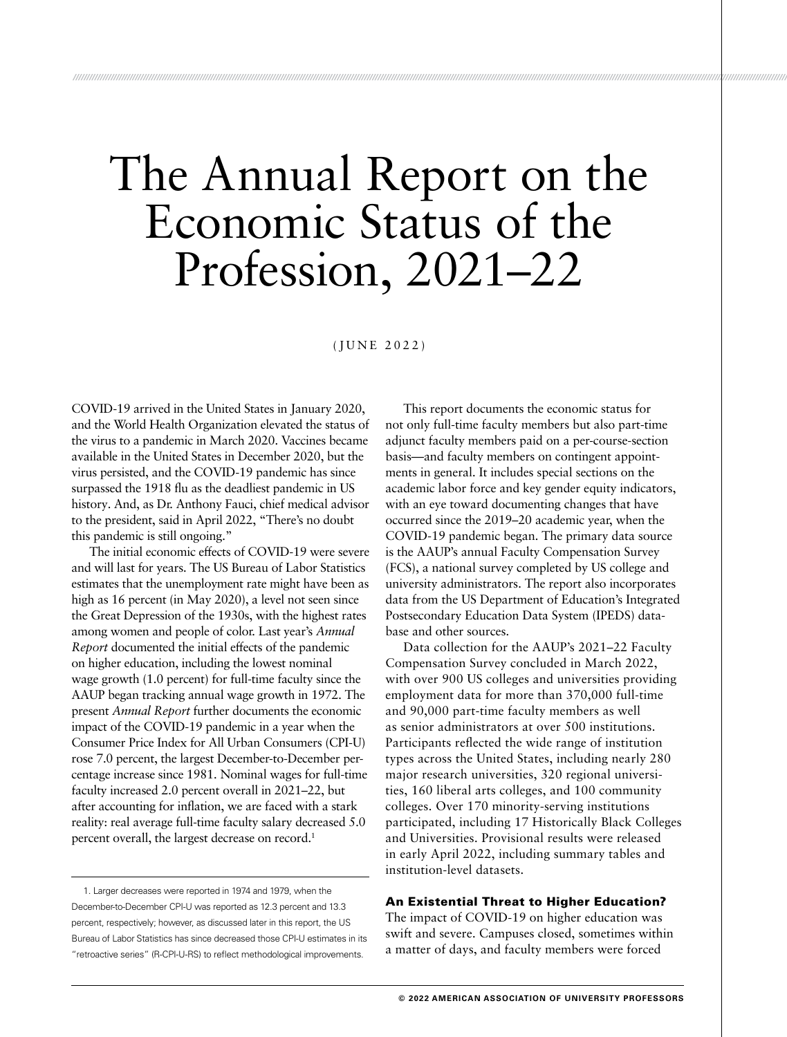# The Annual Report on the Economic Status of the Profession, 2021–22

*////////////////////////////////////////////////////////////////////////////////////////////////////////////////////////////////////////////////////////////////////////////////////////////////////////////////////////////////////////////////////////////////////////////////////////*

(JUNE 2022)

COVID-19 arrived in the United States in January 2020, and the World Health Organization elevated the status of the virus to a pandemic in March 2020. Vaccines became available in the United States in December 2020, but the virus persisted, and the COVID-19 pandemic has since surpassed the 1918 flu as the deadliest pandemic in US history. And, as Dr. Anthony Fauci, chief medical advisor to the president, said in April 2022, "There's no doubt this pandemic is still ongoing."

The initial economic effects of COVID-19 were severe and will last for years. The US Bureau of Labor Statistics estimates that the unemployment rate might have been as high as 16 percent (in May 2020), a level not seen since the Great Depression of the 1930s, with the highest rates among women and people of color. Last year's *Annual Report* documented the initial effects of the pandemic on higher education, including the lowest nominal wage growth (1.0 percent) for full-time faculty since the AAUP began tracking annual wage growth in 1972. The present *Annual Report* further documents the economic impact of the COVID-19 pandemic in a year when the Consumer Price Index for All Urban Consumers (CPI-U) rose 7.0 percent, the largest December-to-December percentage increase since 1981. Nominal wages for full-time faculty increased 2.0 percent overall in 2021–22, but after accounting for inflation, we are faced with a stark reality: real average full-time faculty salary decreased 5.0 percent overall, the largest decrease on record.<sup>1</sup>

1. Larger decreases were reported in 1974 and 1979, when the December-to-December CPI-U was reported as 12.3 percent and 13.3 percent, respectively; however, as discussed later in this report, the US Bureau of Labor Statistics has since decreased those CPI-U estimates in its "retroactive series" (R-CPI-U-RS) to reflect methodological improvements.

This report documents the economic status for not only full-time faculty members but also part-time adjunct faculty members paid on a per-course-section basis—and faculty members on contingent appointments in general. It includes special sections on the academic labor force and key gender equity indicators, with an eye toward documenting changes that have occurred since the 2019–20 academic year, when the COVID-19 pandemic began. The primary data source is the AAUP's annual Faculty Compensation Survey (FCS), a national survey completed by US college and university administrators. The report also incorporates data from the US Department of Education's Integrated Postsecondary Education Data System (IPEDS) database and other sources.

Data collection for the AAUP's 2021–22 Faculty Compensation Survey concluded in March 2022, with over 900 US colleges and universities providing employment data for more than 370,000 full-time and 90,000 part-time faculty members as well as senior administrators at over 500 institutions. Participants reflected the wide range of institution types across the United States, including nearly 280 major research universities, 320 regional universities, 160 liberal arts colleges, and 100 community colleges. Over 170 minority-serving institutions participated, including 17 Historically Black Colleges and Universities. Provisional results were released in early April 2022, including summary tables and institution-level datasets.

#### An Existential Threat to Higher Education?

The impact of COVID-19 on higher education was swift and severe. Campuses closed, sometimes within a matter of days, and faculty members were forced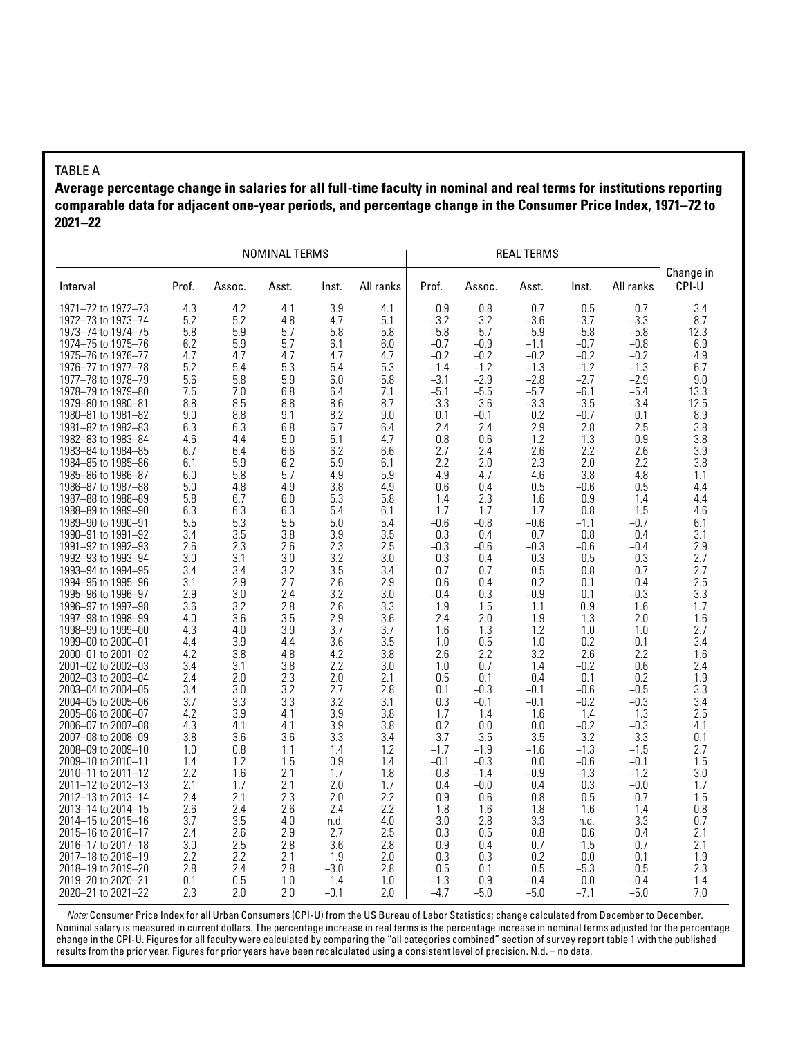#### TABLE A

**Average percentage change in salaries for all full-time faculty in nominal and real terms for institutions reporting comparable data for adjacent one-year periods, and percentage change in the Consumer Price Index, 1971–72 to 2021–22**

|                                          |            |            | NOMINAL TERMS |            |            |                  |                  |                  |                  |                  |                    |
|------------------------------------------|------------|------------|---------------|------------|------------|------------------|------------------|------------------|------------------|------------------|--------------------|
| Interval                                 | Prof.      | Assoc.     | Asst.         | Inst.      | All ranks  | Prof.            | Assoc.           | Asst.            | Inst.            | All ranks        | Change in<br>CPI-U |
| 1971-72 to 1972-73                       | 4.3        | 4.2        | 4.1           | 3.9        | 4.1        | 0.9              | 0.8              | 0.7              | 0.5              | 0.7              | 3.4                |
| 1972-73 to 1973-74                       | 5.2        | 5.2        | 4.8           | 4.7        | 5.1        | $-3.2$           | $-3.2$           | -3.6             | $-3.7$           | $-3.3$           | 8.7                |
| 1973-74 to 1974-75                       | 5.8        | 5.9        | 5.7           | 5.8        | 5.8        | $-5.8$           | $-5.7$           | $-5.9$           | $-5.8$           | $-5.8$           | 12.3               |
| 1974–75 to 1975–76                       | 6.2        | 5.9        | 5.7           | 6.1        | 6.0        | $-0.7$           | -0.9             | $-1.1$           | $-0.7$           | $-0.8$           | 6.9                |
| 1975-76 to 1976-77<br>1976-77 to 1977-78 | 4.7<br>5.2 | 4.7<br>5.4 | 4.7<br>5.3    | 4.7<br>5.4 | 4.7<br>5.3 | $-0.2$<br>$-1.4$ | $-0.2$<br>$-1.2$ | $-0.2$<br>$-1.3$ | $-0.2$<br>$-1.2$ | $-0.2$<br>$-1.3$ | 4.9<br>6.7         |
| 1977-78 to 1978-79                       | 5.6        | 5.8        | 5.9           | 6.0        | 5.8        | $-3.1$           | -2.9             | $-2.8$           | $-2.7$           | $-2.9$           | 9.0                |
| 1978-79 to 1979-80                       | 7.5        | 7.0        | 6.8           | 6.4        | 7.1        | $-5.1$           | $-5.5$           | $-5.7$           | $-6.1$           | $-5.4$           | 13.3               |
| 1979-80 to 1980-81                       | 8.8        | 8.5        | 8.8           | 8.6        | 8.7        | $-3.3$           | -3.6             | $-3.3$           | $-3.5$           | $-3.4$           | 12.5               |
| 1980-81 to 1981-82                       | 9.0        | 8.8        | 9.1           | 8.2        | 9.0        | 0.1              | $-0.1$           | 0.2              | $-0.7$           | 0.1              | 8.9                |
| 1981-82 to 1982-83                       | 6.3        | 6.3        | 6.8           | 6.7        | 6.4        | 2.4              | 2.4              | 2.9              | 2.8              | 2.5              | 3.8                |
| 1982-83 to 1983-84                       | 4.6        | 4.4        | 5.0           | 5.1        | 4.7        | 0.8              | 0.6              | 1.2              | 1.3              | 0.9              | 3.8                |
| 1983-84 to 1984-85                       | 6.7        | 6.4        | 6.6           | 6.2        | 6.6        | 2.7              | 2.4              | 2.6              | 2.2              | 2.6              | 3.9                |
| 1984-85 to 1985-86                       | 6.1        | 5.9        | 6.2           | 5.9        | 6.1        | 2.2              | 2.0              | 2.3              | 2.0              | 2.2              | 3.8                |
| 1985-86 to 1986-87                       | 6.0        | 5.8        | 5.7           | 4.9        | 5.9        | 4.9              | 4.7              | 4.6              | 3.8              | 4.8              | 1.1                |
| 1986-87 to 1987-88                       | 5.0        | 4.8        | 4.9           | 3.8        | 4.9        | 0.6              | 0.4              | 0.5              | $-0.6$           | 0.5              | 4.4                |
| 1987-88 to 1988-89                       | 5.8        | 6.7        | 6.0           | 5.3        | 5.8        | 1.4              | 2.3              | 1.6              | 0.9              | 1.4              | 4.4                |
| 1988-89 to 1989-90                       | 6.3        | 6.3        | 6.3           | 5.4        | 6.1        | 1.7              | 1.7              | 1.7              | 0.8              | 1.5              | 4.6                |
| 1989-90 to 1990-91                       | 5.5        | 5.3        | 5.5           | 5.0        | 5.4        | $-0.6$           | $-0.8$           | $-0.6$           | $-1.1$           | $-0.7$           | 6.1                |
| 1990-91 to 1991-92                       | 3.4        | 3.5        | 3.8           | 3.9        | 3.5        | 0.3              | 0.4              | 0.7              | 0.8              | 0.4              | 3.1                |
| 1991-92 to 1992-93                       | 2.6        | 2.3        | 2.6           | 2.3<br>3.2 | 2.5        | $-0.3$           | -0.6             | $-0.3$           | $-0.6$           | $-0.4$           | 2.9<br>2.7         |
| 1992-93 to 1993-94<br>1993-94 to 1994-95 | 3.0<br>3.4 | 3.1<br>3.4 | 3.0<br>3.2    | 3.5        | 3.0<br>3.4 | 0.3<br>0.7       | 0.4<br>0.7       | 0.3<br>0.5       | 0.5<br>0.8       | 0.3<br>0.7       | 2.7                |
| 1994-95 to 1995-96                       | 3.1        | 2.9        | 2.7           | 2.6        | 2.9        | 0.6              | 0.4              | 0.2              | 0.1              | 0.4              | 2.5                |
| 1995-96 to 1996-97                       | 2.9        | 3.0        | 2.4           | 3.2        | 3.0        | $-0.4$           | $-0.3$           | $-0.9$           | $-0.1$           | $-0.3$           | 3.3                |
| 1996-97 to 1997-98                       | 3.6        | 3.2        | 2.8           | 2.6        | 3.3        | 1.9              | 1.5              | 1.1              | 0.9              | 1.6              | 1.7                |
| 1997-98 to 1998-99                       | 4.0        | 3.6        | 3.5           | 2.9        | 3.6        | 2.4              | 2.0              | 1.9              | 1.3              | 2.0              | 1.6                |
| 1998-99 to 1999-00                       | 4.3        | 4.0        | 3.9           | 3.7        | 3.7        | 1.6              | 1.3              | 1.2              | 1.0              | 1.0              | 2.7                |
| 1999-00 to 2000-01                       | 4.4        | 3.9        | 4.4           | 3.6        | 3.5        | 1.0              | 0.5              | 1.0              | 0.2              | 0.1              | 3.4                |
| 2000-01 to 2001-02                       | 4.2        | 3.8        | 4.8           | 4.2        | 3.8        | 2.6              | 2.2              | 3.2              | 2.6              | 2.2              | 1.6                |
| 2001-02 to 2002-03                       | 3.4        | 3.1        | 3.8           | 2.2        | 3.0        | 1.0              | 0.7              | 1.4              | $-0.2$           | 0.6              | 2.4                |
| 2002-03 to 2003-04                       | 2.4        | 2.0        | 2.3           | 2.0        | 2.1        | 0.5              | 0.1              | 0.4              | 0.1              | 0.2              | 1.9                |
| 2003-04 to 2004-05                       | 3.4        | 3.0        | 3.2           | 2.7        | 2.8        | 0.1              | -0.3             | $-0.1$           | $-0.6$           | $-0.5$           | 3.3                |
| 2004–05 to 2005–06                       | 3.7        | 3.3        | 3.3           | 3.2        | 3.1        | 0.3              | -0.1             | $-0.1$           | $-0.2$           | $-0.3$           | 3.4                |
| 2005-06 to 2006-07                       | 4.2        | 3.9        | 4.1           | 3.9        | 3.8        | 1.7              | 1.4              | 1.6              | 1.4              | 1.3              | 2.5                |
| 2006-07 to 2007-08                       | 4.3<br>3.8 | 4.1<br>3.6 | 4.1<br>3.6    | 3.9<br>3.3 | 3.8<br>3.4 | 0.2<br>3.7       | 0.0              | 0.0<br>3.5       | $-0.2$<br>3.2    | $-0.3$<br>3.3    | 4.1<br>0.1         |
| 2007-08 to 2008-09<br>2008-09 to 2009-10 | 1.0        | 0.8        | 1.1           | 1.4        | 1.2        | $-1.7$           | 3.5<br>$-1.9$    | $-1.6$           | $-1.3$           | $-1.5$           | 2.7                |
| 2009-10 to 2010-11                       | 1.4        | 1.2        | 1.5           | 0.9        | 1.4        | $-0.1$           | $-0.3$           | 0.0              | $-0.6$           | $-0.1$           | 1.5                |
| 2010-11 to 2011-12                       | 2.2        | 1.6        | 2.1           | 1.7        | 1.8        | $-0.8$           | $-1.4$           | $-0.9$           | $-1.3$           | $-1.2$           | 3.0                |
| 2011-12 to 2012-13                       | 2.1        | 1.7        | 2.1           | 2.0        | 1.7        | 0.4              | $-0.0$           | 0.4              | 0.3              | $-0.0$           | 1.7                |
| 2012-13 to 2013-14                       | 2.4        | 2.1        | 2.3           | 2.0        | 2.2        | 0.9              | 0.6              | 0.8              | 0.5              | 0.7              | 1.5                |
| 2013-14 to 2014-15                       | 2.6        | 2.4        | 2.6           | 2.4        | 2.2        | 1.8              | 1.6              | 1.8              | 1.6              | 1.4              | 0.8                |
| 2014-15 to 2015-16                       | 3.7        | 3.5        | 4.0           | n.d.       | 4.0        | 3.0              | 2.8              | 3.3              | n.d.             | 3.3              | 0.7                |
| 2015–16 to 2016–17                       | 2.4        | 2.6        | 2.9           | 2.7        | 2.5        | 0.3              | 0.5              | 0.8              | 0.6              | 0.4              | 2.1                |
| 2016-17 to 2017-18                       | 3.0        | 2.5        | 2.8           | 3.6        | 2.8        | 0.9              | 0.4              | 0.7              | 1.5              | 0.7              | 2.1                |
| 2017–18 to 2018–19                       | 2.2        | 2.2        | 2.1           | 1.9        | 2.0        | 0.3              | 0.3              | 0.2              | 0.0              | 0.1              | 1.9                |
| 2018–19 to 2019–20                       | 2.8        | 2.4        | 2.8           | $-3.0$     | 2.8        | 0.5              | 0.1              | 0.5              | $-5.3$           | 0.5              | 2.3                |
| 2019-20 to 2020-21                       | 0.1        | 0.5        | 1.0           | 1.4        | 1.0        | $-1.3$           | $-0.9$           | $-0.4$           | 0.0              | $-0.4$           | 1.4                |
| 2020-21 to 2021-22                       | 2.3        | 2.0        | 2.0           | $-0.1$     | 2.0        | $-4.7$           | -5.0             | $-5.0$           | $-7.1$           | $-5.0$           | 7.0                |

*Note:* Consumer Price Index for all Urban Consumers (CPI-U) from the US Bureau of Labor Statistics; change calculated from December to December. Nominal salary is measured in current dollars. The percentage increase in real terms is the percentage increase in nominal terms adjusted for the percentage change in the CPI-U. Figures for all faculty were calculated by comparing the "all categories combined" section of survey report table 1 with the published results from the prior year. Figures for prior years have been recalculated using a consistent level of precision. N.d. = no data.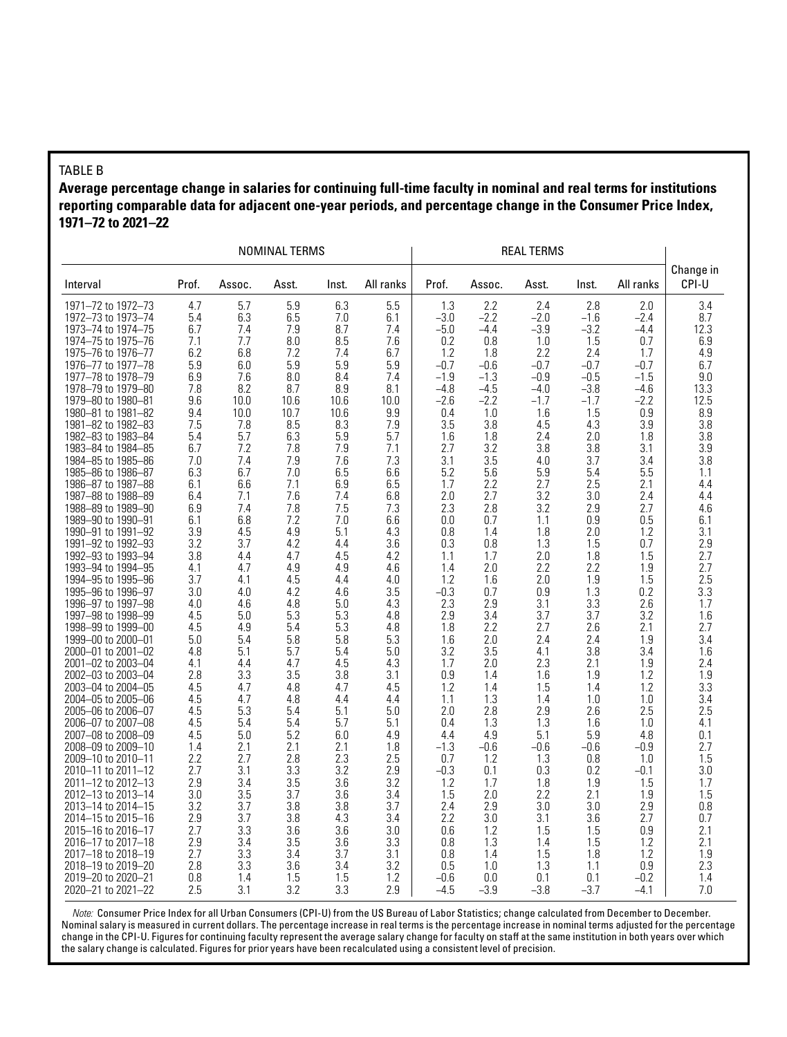#### TABLE B

**Average percentage change in salaries for continuing full-time faculty in nominal and real terms for institutions reporting comparable data for adjacent one-year periods, and percentage change in the Consumer Price Index, 1971–72 to 2021–22**

|                                          |            |            | NOMINAL TERMS |            |            |            |            |            |            |            |                    |
|------------------------------------------|------------|------------|---------------|------------|------------|------------|------------|------------|------------|------------|--------------------|
| Interval                                 | Prof.      | Assoc.     | Asst.         | Inst.      | All ranks  | Prof.      | Assoc.     | Asst.      | Inst.      | All ranks  | Change in<br>CPI-U |
| 1971-72 to 1972-73                       | 4.7        | 5.7        | 5.9           | 6.3        | 5.5        | 1.3        | 2.2        | 2.4        | 2.8        | 2.0        | 3.4                |
| 1972-73 to 1973-74                       | 5.4        | 6.3        | 6.5           | 7.0        | 6.1        | $-3.0$     | $-2.2$     | $-2.0$     | $-1.6$     | $-2.4$     | 8.7                |
| 1973-74 to 1974-75                       | 6.7        | 7.4        | 7.9           | 8.7        | 7.4        | $-5.0$     | $-4.4$     | $-3.9$     | $-3.2$     | $-4.4$     | 12.3               |
| 1974–75 to 1975–76                       | 7.1        | 7.7        | 8.0           | 8.5        | 7.6        | 0.2        | 0.8        | 1.0        | 1.5        | 0.7        | 6.9                |
| 1975-76 to 1976-77                       | 6.2        | 6.8        | 7.2           | 7.4        | 6.7        | 1.2        | 1.8        | 2.2        | 2.4        | 1.7        | 4.9                |
| 1976-77 to 1977-78                       | 5.9        | 6.0        | 5.9           | 5.9        | 5.9        | $-0.7$     | $-0.6$     | $-0.7$     | $-0.7$     | $-0.7$     | 6.7                |
| 1977-78 to 1978-79                       | 6.9        | 7.6        | 8.0           | 8.4        | 7.4        | $-1.9$     | $-1.3$     | $-0.9$     | $-0.5$     | $-1.5$     | 9.0                |
| 1978-79 to 1979-80                       | 7.8        | 8.2        | 8.7           | 8.9        | 8.1        | $-4.8$     | $-4.5$     | $-4.0$     | $-3.8$     | -4.6       | 13.3               |
| 1979-80 to 1980-81                       | 9.6        | 10.0       | 10.6          | 10.6       | 10.0       | $-2.6$     | $-2.2$     | $-1.7$     | $-1.7$     | $-2.2$     | 12.5               |
| 1980-81 to 1981-82                       | 9.4        | 10.0       | 10.7          | 10.6       | 9.9        | 0.4        | 1.0        | 1.6        | 1.5        | 0.9        | 8.9                |
| 1981-82 to 1982-83                       | 7.5        | 7.8        | 8.5           | 8.3        | 7.9        | 3.5        | 3.8        | 4.5        | 4.3        | 3.9        | 3.8                |
| 1982-83 to 1983-84                       | 5.4        | 5.7        | 6.3           | 5.9        | 5.7        | 1.6        | 1.8        | 2.4        | 2.0        | 1.8        | 3.8                |
| 1983-84 to 1984-85                       | 6.7        | 7.2        | 7.8           | 7.9        | 7.1        | 2.7        | 3.2        | 3.8        | 3.8        | 3.1        | 3.9                |
| 1984-85 to 1985-86                       | 7.0        | 7.4        | 7.9           | 7.6        | 7.3        | 3.1        | 3.5        | 4.0        | 3.7        | 3.4        | 3.8                |
| 1985-86 to 1986-87                       | 6.3        | 6.7        | 7.0           | 6.5        | 6.6        | 5.2        | 5.6        | 5.9        | 5.4        | 5.5        | 1.1                |
| 1986-87 to 1987-88                       | 6.1        | 6.6        | 7.1           | 6.9        | 6.5        | 1.7        | 2.2        | 2.7        | 2.5        | 2.1        | 4.4                |
| 1987-88 to 1988-89                       | 6.4        | 7.1        | 7.6           | 7.4        | 6.8        | 2.0        | 2.7        | 3.2        | 3.0        | 2.4        | 4.4                |
| 1988-89 to 1989-90<br>1989-90 to 1990-91 | 6.9<br>6.1 | 7.4<br>6.8 | 7.8<br>7.2    | 7.5<br>7.0 | 7.3<br>6.6 | 2.3<br>0.0 | 2.8<br>0.7 | 3.2<br>1.1 | 2.9<br>0.9 | 2.7<br>0.5 | 4.6<br>6.1         |
| 1990-91 to 1991-92                       | 3.9        | 4.5        | 4.9           | 5.1        | 4.3        | 0.8        | 1.4        | 1.8        | 2.0        | 1.2        | 3.1                |
| 1991-92 to 1992-93                       | 3.2        | 3.7        | 4.2           | 4.4        | 3.6        | 0.3        | 0.8        | 1.3        | 1.5        | 0.7        | 2.9                |
| 1992-93 to 1993-94                       | 3.8        | 4.4        | 4.7           | 4.5        | 4.2        | 1.1        | 1.7        | 2.0        | 1.8        | 1.5        | 2.7                |
| 1993-94 to 1994-95                       | 4.1        | 4.7        | 4.9           | 4.9        | 4.6        | 1.4        | 2.0        | 2.2        | 2.2        | 1.9        | 2.7                |
| 1994-95 to 1995-96                       | 3.7        | 4.1        | 4.5           | 4.4        | 4.0        | 1.2        | 1.6        | 2.0        | 1.9        | 1.5        | 2.5                |
| 1995-96 to 1996-97                       | 3.0        | 4.0        | 4.2           | 4.6        | 3.5        | $-0.3$     | 0.7        | 0.9        | 1.3        | 0.2        | 3.3                |
| 1996-97 to 1997-98                       | 4.0        | 4.6        | 4.8           | 5.0        | 4.3        | 2.3        | 2.9        | 3.1        | 3.3        | 2.6        | 1.7                |
| 1997-98 to 1998-99                       | 4.5        | 5.0        | 5.3           | 5.3        | 4.8        | 2.9        | 3.4        | 3.7        | 3.7        | 3.2        | 1.6                |
| 1998-99 to 1999-00                       | 4.5        | 4.9        | 5.4           | 5.3        | 4.8        | 1.8        | 2.2        | 2.7        | 2.6        | 2.1        | 2.7                |
| 1999-00 to 2000-01                       | 5.0        | 5.4        | 5.8           | 5.8        | 5.3        | 1.6        | 2.0        | 2.4        | 2.4        | 1.9        | 3.4                |
| 2000-01 to 2001-02                       | 4.8        | 5.1        | 5.7           | 5.4        | 5.0        | 3.2        | 3.5        | 4.1        | 3.8        | 3.4        | 1.6                |
| 2001-02 to 2003-04                       | 4.1        | 4.4        | 4.7           | 4.5        | 4.3        | 1.7        | 2.0        | 2.3        | 2.1        | 1.9        | 2.4                |
| 2002-03 to 2003-04                       | 2.8        | 3.3        | 3.5           | 3.8        | 3.1        | 0.9        | 1.4        | 1.6        | 1.9        | 1.2        | 1.9                |
| 2003-04 to 2004-05                       | 4.5        | 4.7        | 4.8           | 4.7        | 4.5        | 1.2        | 1.4        | 1.5        | 1.4        | 1.2        | 3.3                |
| 2004-05 to 2005-06                       | 4.5        | 4.7        | 4.8           | 4.4        | 4.4        | 1.1        | 1.3        | 1.4        | 1.0        | 1.0        | 3.4                |
| 2005-06 to 2006-07                       | 4.5        | 5.3        | 5.4           | 5.1        | 5.0        | 2.0        | 2.8        | 2.9        | 2.6        | 2.5        | 2.5                |
| 2006–07 to 2007–08                       | 4.5        | 5.4        | 5.4           | 5.7        | 5.1        | 0.4        | 1.3        | 1.3        | 1.6        | 1.0        | 4.1                |
| 2007-08 to 2008-09                       | 4.5        | 5.0        | 5.2           | 6.0        | 4.9        | 4.4        | 4.9        | 5.1        | 5.9        | 4.8        | 0.1                |
| 2008-09 to 2009-10                       | 1.4        | 2.1        | 2.1           | 2.1        | 1.8        | $-1.3$     | $-0.6$     | $-0.6$     | $-0.6$     | $-0.9$     | 2.7                |
| 2009-10 to 2010-11                       | 2.2        | 2.7        | 2.8           | 2.3        | 2.5        | 0.7        | 1.2        | 1.3        | 0.8        | 1.0        | 1.5                |
| 2010-11 to 2011-12                       | 2.7        | 3.1        | 3.3           | 3.2        | 2.9        | $-0.3$     | 0.1        | 0.3        | 0.2        | $-0.1$     | 3.0                |
| 2011–12 to 2012–13                       | 2.9        | 3.4        | 3.5           | 3.6        | 3.2        | 1.2        | 1.7        | 1.8        | 1.9        | 1.5        | 1.7                |
| 2012-13 to 2013-14                       | 3.0        | 3.5        | 3.7           | 3.6        | 3.4        | 1.5        | 2.0        | 2.2        | 2.1        | 1.9        | 1.5                |
| 2013-14 to 2014-15                       | 3.2        | 3.7        | 3.8           | 3.8        | 3.7        | 2.4        | 2.9        | 3.0        | 3.0        | 2.9        | 0.8                |
| 2014–15 to 2015–16                       | 2.9        | 3.7        | 3.8           | 4.3        | 3.4        | 2.2        | 3.0        | 3.1        | 3.6        | 2.7        | 0.7                |
| 2015–16 to 2016–17                       | 2.7        | 3.3        | 3.6           | 3.6        | 3.0        | 0.6        | 1.2        | 1.5        | 1.5        | 0.9        | 2.1                |
| 2016-17 to 2017-18                       | 2.9        | 3.4        | 3.5           | 3.6        | 3.3        | 0.8        | 1.3        | 1.4        | 1.5        | 1.2        | 2.1                |
| 2017-18 to 2018-19                       | 2.7        | 3.3        | 3.4           | 3.7        | 3.1        | 0.8        | 1.4        | 1.5        | 1.8        | 1.2        | 1.9                |
| 2018-19 to 2019-20                       | 2.8        | 3.3        | 3.6           | 3.4        | 3.2        | 0.5        | 1.0        | 1.3        | 1.1        | 0.9        | 2.3                |
| 2019–20 to 2020–21                       | 0.8        | 1.4        | 1.5           | 1.5        | 1.2        | $-0.6$     | 0.0        | 0.1        | 0.1        | $-0.2$     | 1.4                |
| 2020-21 to 2021-22                       | 2.5        | 3.1        | 3.2           | 3.3        | 2.9        | $-4.5$     | $-3.9$     | $-3.8$     | $-3.7$     | -4.1       | 7.0                |

*Note:* Consumer Price Index for all Urban Consumers (CPI-U) from the US Bureau of Labor Statistics; change calculated from December to December. Nominal salary is measured in current dollars. The percentage increase in real terms is the percentage increase in nominal terms adjusted for the percentage change in the CPI-U. Figures for continuing faculty represent the average salary change for faculty on staff at the same institution in both years over which the salary change is calculated. Figures for prior years have been recalculated using a consistent level of precision.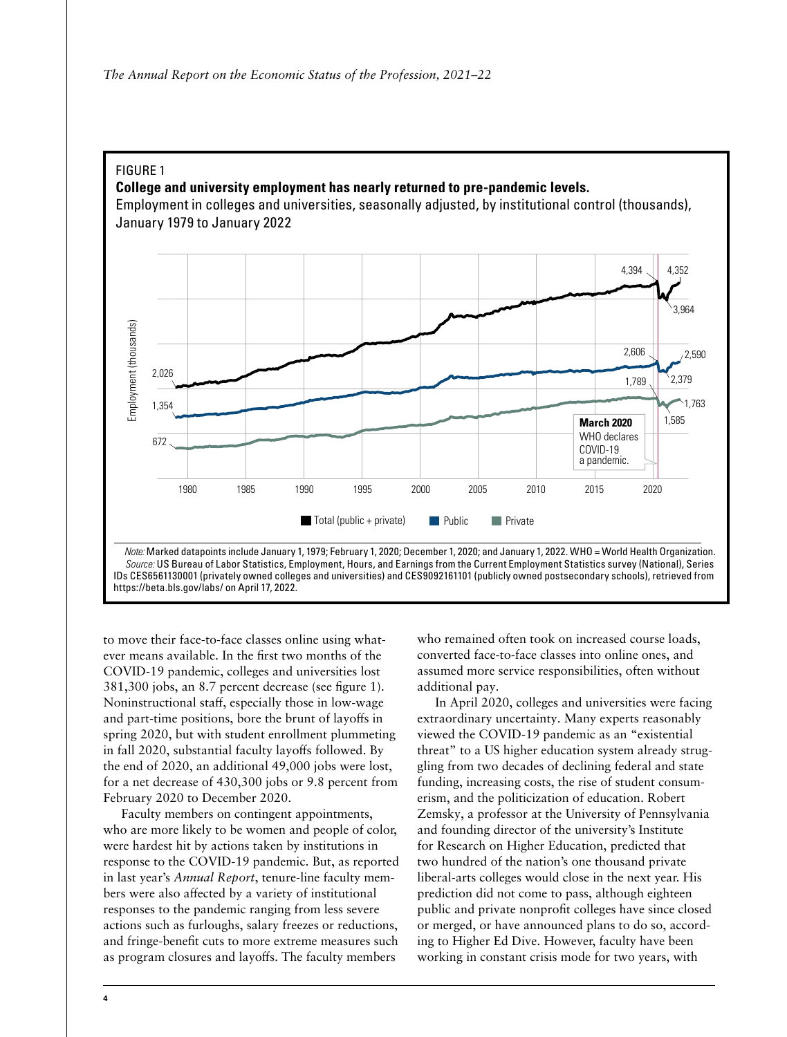#### FIGURE 1

#### **College and university employment has nearly returned to pre-pandemic levels.**

Employment in colleges and universities, seasonally adjusted, by institutional control (thousands), January 1979 to January 2022



to move their face-to-face classes online using whatever means available. In the first two months of the COVID-19 pandemic, colleges and universities lost 381,300 jobs, an 8.7 percent decrease (see figure 1). Noninstructional staff, especially those in low-wage and part-time positions, bore the brunt of layoffs in spring 2020, but with student enrollment plummeting in fall 2020, substantial faculty layoffs followed. By the end of 2020, an additional 49,000 jobs were lost, for a net decrease of 430,300 jobs or 9.8 percent from February 2020 to December 2020.

Faculty members on contingent appointments, who are more likely to be women and people of color, were hardest hit by actions taken by institutions in response to the COVID-19 pandemic. But, as reported in last year's *Annual Report*, tenure-line faculty members were also affected by a variety of institutional responses to the pandemic ranging from less severe actions such as furloughs, salary freezes or reductions, and fringe-benefit cuts to more extreme measures such as program closures and layoffs. The faculty members

who remained often took on increased course loads, converted face-to-face classes into online ones, and assumed more service responsibilities, often without additional pay.

In April 2020, colleges and universities were facing extraordinary uncertainty. Many experts reasonably viewed the COVID-19 pandemic as an "existential threat" to a US higher education system already struggling from two decades of declining federal and state funding, increasing costs, the rise of student consumerism, and the politicization of education. Robert Zemsky, a professor at the University of Pennsylvania and founding director of the university's Institute for Research on Higher Education, predicted that two hundred of the nation's one thousand private liberal-arts colleges would close in the next year. His prediction did not come to pass, although eighteen public and private nonprofit colleges have since closed or merged, or have announced plans to do so, according to Higher Ed Dive. However, faculty have been working in constant crisis mode for two years, with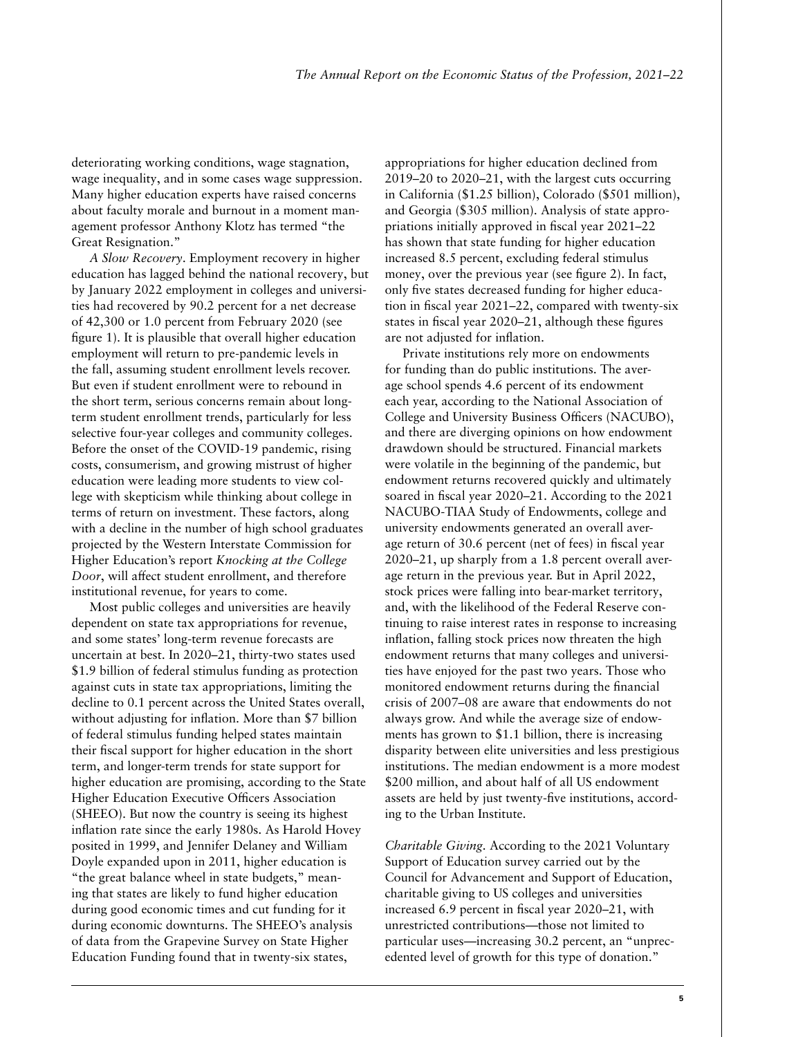deteriorating working conditions, wage stagnation, wage inequality, and in some cases wage suppression. Many higher education experts have raised concerns about faculty morale and burnout in a moment management professor Anthony Klotz has termed "the Great Resignation."

*A Slow Recovery*. Employment recovery in higher education has lagged behind the national recovery, but by January 2022 employment in colleges and universities had recovered by 90.2 percent for a net decrease of 42,300 or 1.0 percent from February 2020 (see figure 1). It is plausible that overall higher education employment will return to pre-pandemic levels in the fall, assuming student enrollment levels recover. But even if student enrollment were to rebound in the short term, serious concerns remain about longterm student enrollment trends, particularly for less selective four-year colleges and community colleges. Before the onset of the COVID-19 pandemic, rising costs, consumerism, and growing mistrust of higher education were leading more students to view college with skepticism while thinking about college in terms of return on investment. These factors, along with a decline in the number of high school graduates projected by the Western Interstate Commission for Higher Education's report *Knocking at the College Door*, will affect student enrollment, and therefore institutional revenue, for years to come.

Most public colleges and universities are heavily dependent on state tax appropriations for revenue, and some states' long-term revenue forecasts are uncertain at best. In 2020–21, thirty-two states used \$1.9 billion of federal stimulus funding as protection against cuts in state tax appropriations, limiting the decline to 0.1 percent across the United States overall, without adjusting for inflation. More than \$7 billion of federal stimulus funding helped states maintain their fiscal support for higher education in the short term, and longer-term trends for state support for higher education are promising, according to the State Higher Education Executive Officers Association (SHEEO). But now the country is seeing its highest inflation rate since the early 1980s. As Harold Hovey posited in 1999, and Jennifer Delaney and William Doyle expanded upon in 2011, higher education is "the great balance wheel in state budgets," meaning that states are likely to fund higher education during good economic times and cut funding for it during economic downturns. The SHEEO's analysis of data from the Grapevine Survey on State Higher Education Funding found that in twenty-six states,

appropriations for higher education declined from 2019–20 to 2020–21, with the largest cuts occurring in California (\$1.25 billion), Colorado (\$501 million), and Georgia (\$305 million). Analysis of state appropriations initially approved in fiscal year 2021–22 has shown that state funding for higher education increased 8.5 percent, excluding federal stimulus money, over the previous year (see figure 2). In fact, only five states decreased funding for higher education in fiscal year 2021–22, compared with twenty-six states in fiscal year 2020–21, although these figures are not adjusted for inflation.

Private institutions rely more on endowments for funding than do public institutions. The average school spends 4.6 percent of its endowment each year, according to the National Association of College and University Business Officers (NACUBO), and there are diverging opinions on how endowment drawdown should be structured. Financial markets were volatile in the beginning of the pandemic, but endowment returns recovered quickly and ultimately soared in fiscal year 2020–21. According to the 2021 NACUBO-TIAA Study of Endowments, college and university endowments generated an overall average return of 30.6 percent (net of fees) in fiscal year 2020–21, up sharply from a 1.8 percent overall average return in the previous year. But in April 2022, stock prices were falling into bear-market territory, and, with the likelihood of the Federal Reserve continuing to raise interest rates in response to increasing inflation, falling stock prices now threaten the high endowment returns that many colleges and universities have enjoyed for the past two years. Those who monitored endowment returns during the financial crisis of 2007–08 are aware that endowments do not always grow. And while the average size of endowments has grown to \$1.1 billion, there is increasing disparity between elite universities and less prestigious institutions. The median endowment is a more modest \$200 million, and about half of all US endowment assets are held by just twenty-five institutions, according to the Urban Institute.

*Charitable Giving.* According to the 2021 Voluntary Support of Education survey carried out by the Council for Advancement and Support of Education, charitable giving to US colleges and universities increased 6.9 percent in fiscal year 2020–21, with unrestricted contributions—those not limited to particular uses—increasing 30.2 percent, an "unprecedented level of growth for this type of donation."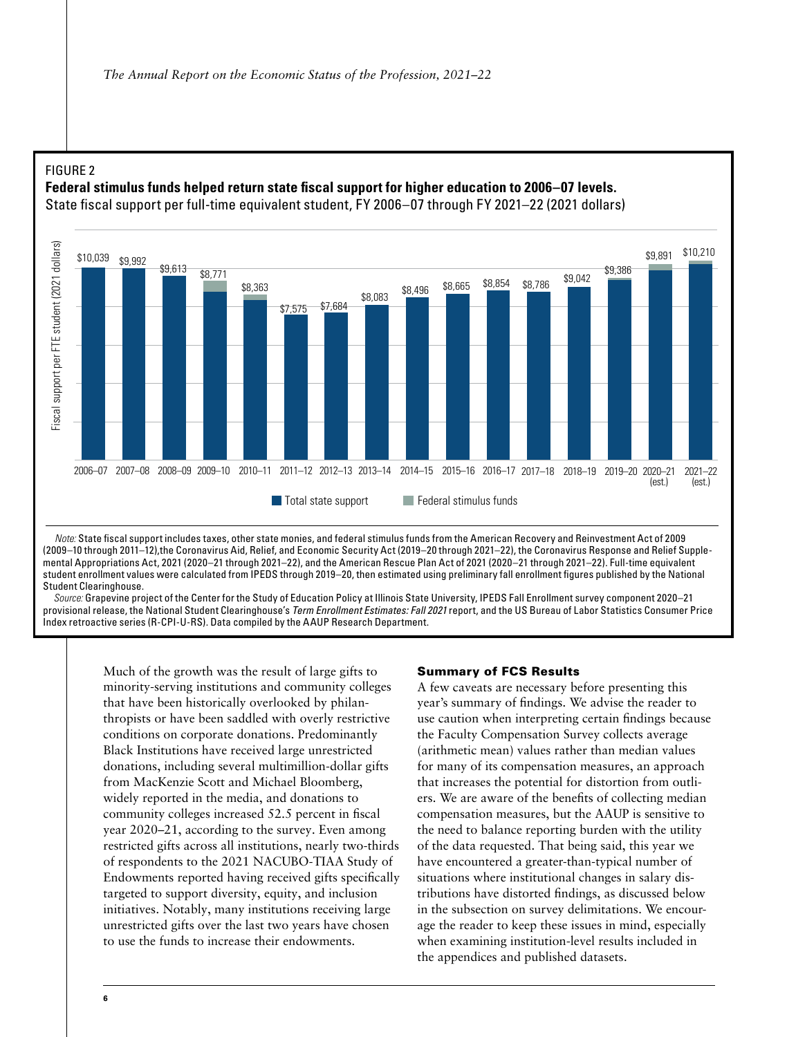# FIGURE 2 FIGURE 2

# **Federal stimulus funds helped return state fiscal support for higher education to 2006–07 levels. Federal stimulus funds helped return state fiscal support for higher education to 2006–07 levels.**

State fiscal support per full-time equivalent student, FY 2006–07 through FY 2021–22 (2021 dollars) State fiscal support per full-time equivalent student, FY 2006–07 through FY 2021–22 (2021 dollars)



Note: State fiscal support includes taxes, other state monies, and federal stimulus funds from the American Recovery and Reinvestment Act of 2009 (2009–10 through 2011–12),the Coronavirus Aid, Relief, and Economic Security Act (2019–20 through 2021–22), the Coronavirus Response and Relief Supplemental Appropriations Act, 2021 (2020–21 through 2021–22), and the American Rescue Plan Act of 2021 (2020–21 through 2021–22). Full-time equivalent student enrollment values were calculated from IPEDS through 2019–20, then estimated using preliminary fall enrollment figures published by the National  *Sources:* Grapevine project of the Center for the Study of Education Policy at Illinois State University, IPEDS Fall Enrollment survey component 2020–21 provisional release, the National Student Student Clearinghouse.

Source: Grapevine project of the Center for the Study of Education Policy at Illinois State University, IPEDS Fall Enrollment survey component 2020–21 provisional release, the National Student Clearinghouse's *Term Enrollment Estimates: Fall 2021* report, and the US Bureau of Labor Statistics Consumer Price Index retroactive series (R-CPI-U-RS). Data compiled by the AAUP Research Department.

Much of the growth was the result of large gifts to minority-serving institutions and community colleges that have been historically overlooked by philanthropists or have been saddled with overly restrictive conditions on corporate donations. Predominantly Black Institutions have received large unrestricted donations, including several multimillion-dollar gifts from MacKenzie Scott and Michael Bloomberg, widely reported in the media, and donations to community colleges increased 52.5 percent in fiscal year 2020–21, according to the survey. Even among restricted gifts across all institutions, nearly two-thirds of respondents to the 2021 NACUBO-TIAA Study of Endowments reported having received gifts specifically targeted to support diversity, equity, and inclusion initiatives. Notably, many institutions receiving large unrestricted gifts over the last two years have chosen to use the funds to increase their endowments.

#### Summary of FCS Results

A few caveats are necessary before presenting this year's summary of findings. We advise the reader to use caution when interpreting certain findings because the Faculty Compensation Survey collects average (arithmetic mean) values rather than median values for many of its compensation measures, an approach that increases the potential for distortion from outliers. We are aware of the benefits of collecting median compensation measures, but the AAUP is sensitive to the need to balance reporting burden with the utility of the data requested. That being said, this year we have encountered a greater-than-typical number of situations where institutional changes in salary distributions have distorted findings, as discussed below in the subsection on survey delimitations. We encourage the reader to keep these issues in mind, especially when examining institution-level results included in the appendices and published datasets.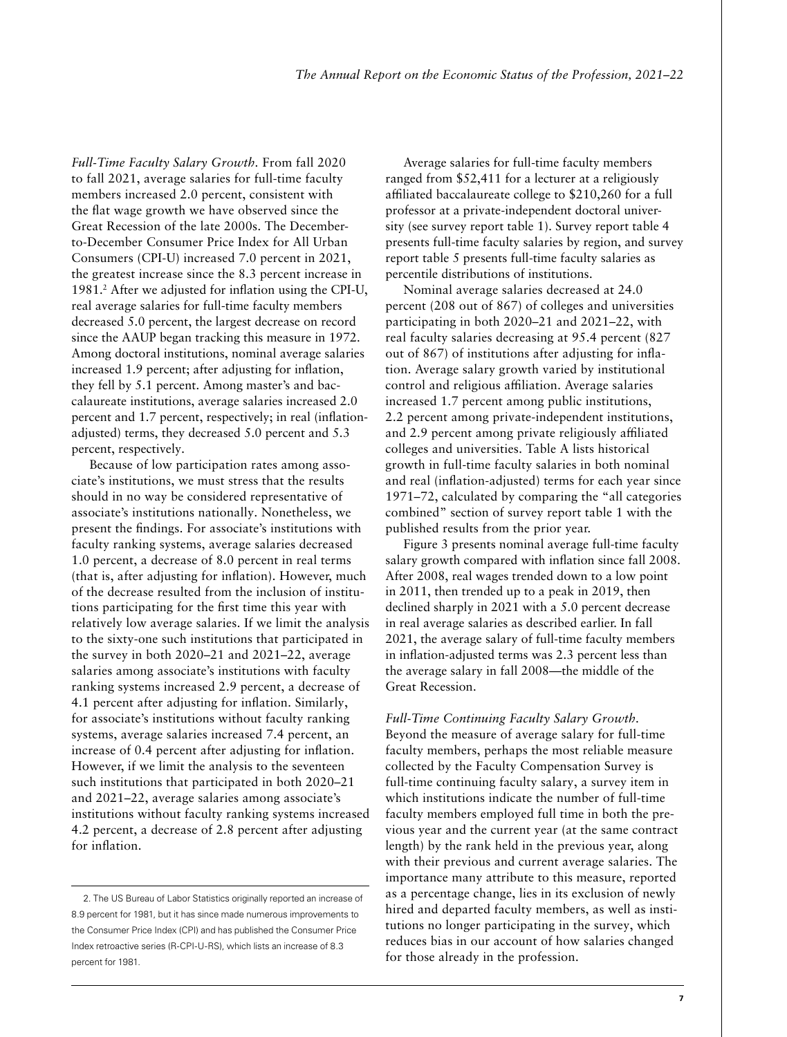*Full-Time Faculty Salary Growth.* From fall 2020 to fall 2021, average salaries for full-time faculty members increased 2.0 percent, consistent with the flat wage growth we have observed since the Great Recession of the late 2000s. The Decemberto-December Consumer Price Index for All Urban Consumers (CPI-U) increased 7.0 percent in 2021, the greatest increase since the 8.3 percent increase in 1981.2 After we adjusted for inflation using the CPI-U, real average salaries for full-time faculty members decreased 5.0 percent, the largest decrease on record since the AAUP began tracking this measure in 1972. Among doctoral institutions, nominal average salaries increased 1.9 percent; after adjusting for inflation, they fell by 5.1 percent. Among master's and baccalaureate institutions, average salaries increased 2.0 percent and 1.7 percent, respectively; in real (inflationadjusted) terms, they decreased 5.0 percent and 5.3 percent, respectively.

Because of low participation rates among associate's institutions, we must stress that the results should in no way be considered representative of associate's institutions nationally. Nonetheless, we present the findings. For associate's institutions with faculty ranking systems, average salaries decreased 1.0 percent, a decrease of 8.0 percent in real terms (that is, after adjusting for inflation). However, much of the decrease resulted from the inclusion of institutions participating for the first time this year with relatively low average salaries. If we limit the analysis to the sixty-one such institutions that participated in the survey in both 2020–21 and 2021–22, average salaries among associate's institutions with faculty ranking systems increased 2.9 percent, a decrease of 4.1 percent after adjusting for inflation. Similarly, for associate's institutions without faculty ranking systems, average salaries increased 7.4 percent, an increase of 0.4 percent after adjusting for inflation. However, if we limit the analysis to the seventeen such institutions that participated in both 2020–21 and 2021–22, average salaries among associate's institutions without faculty ranking systems increased 4.2 percent, a decrease of 2.8 percent after adjusting for inflation.

Average salaries for full-time faculty members ranged from \$52,411 for a lecturer at a religiously affiliated baccalaureate college to \$210,260 for a full professor at a private-independent doctoral university (see survey report table 1). Survey report table 4 presents full-time faculty salaries by region, and survey report table 5 presents full-time faculty salaries as percentile distributions of institutions.

Nominal average salaries decreased at 24.0 percent (208 out of 867) of colleges and universities participating in both 2020–21 and 2021–22, with real faculty salaries decreasing at 95.4 percent (827 out of 867) of institutions after adjusting for inflation. Average salary growth varied by institutional control and religious affiliation. Average salaries increased 1.7 percent among public institutions, 2.2 percent among private-independent institutions, and 2.9 percent among private religiously affiliated colleges and universities. Table A lists historical growth in full-time faculty salaries in both nominal and real (inflation-adjusted) terms for each year since 1971–72, calculated by comparing the "all categories combined" section of survey report table 1 with the published results from the prior year.

Figure 3 presents nominal average full-time faculty salary growth compared with inflation since fall 2008. After 2008, real wages trended down to a low point in 2011, then trended up to a peak in 2019, then declined sharply in 2021 with a 5.0 percent decrease in real average salaries as described earlier. In fall 2021, the average salary of full-time faculty members in inflation-adjusted terms was 2.3 percent less than the average salary in fall 2008—the middle of the Great Recession.

*Full-Time Continuing Faculty Salary Growth.*  Beyond the measure of average salary for full-time faculty members, perhaps the most reliable measure collected by the Faculty Compensation Survey is full-time continuing faculty salary, a survey item in which institutions indicate the number of full-time faculty members employed full time in both the previous year and the current year (at the same contract length) by the rank held in the previous year, along with their previous and current average salaries. The importance many attribute to this measure, reported as a percentage change, lies in its exclusion of newly hired and departed faculty members, as well as institutions no longer participating in the survey, which reduces bias in our account of how salaries changed for those already in the profession.

<sup>2.</sup> The US Bureau of Labor Statistics originally reported an increase of 8.9 percent for 1981, but it has since made numerous improvements to the Consumer Price Index (CPI) and has published the Consumer Price Index retroactive series (R-CPI-U-RS), which lists an increase of 8.3 percent for 1981.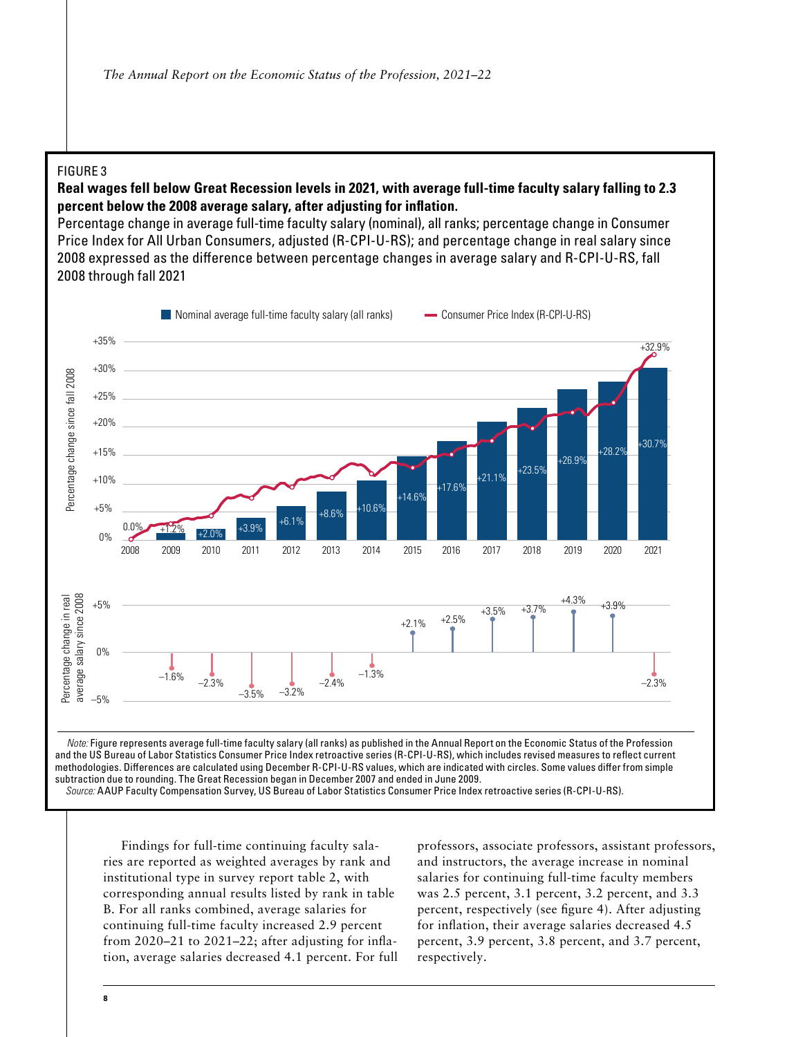#### FIGURE 3

# Real wages fell below Great Recession levels in 2021, with average full-time faculty salary falling to 2.3 percent below the 2008 average salary, after adjusting for inflation. **Example 1999**

**Percentage change in average full-time faculty salary (nominal), all ranks; percentage change in Consumer** Price Index for All Urban Consumers, adjusted (R-CPI-U-RS); and percentage change in real salary since 2008 expressed as the difference between percentage changes in average salary and R-CPI-U-RS, fall expressed as the dieperce between percentage changes in average changes in average salary and R-CPI-U-RS, fall 2021<br>Percentage salary and R-CPI-U-RS, fall 2021 through the distribution of the distribution of the distributi



Findings for full-time continuing faculty salaries are reported as weighted averages by rank and institutional type in survey report table 2, with corresponding annual results listed by rank in table B. For all ranks combined, average salaries for continuing full-time faculty increased 2.9 percent from 2020–21 to 2021–22; after adjusting for inflation, average salaries decreased 4.1 percent. For full professors, associate professors, assistant professors, and instructors, the average increase in nominal salaries for continuing full-time faculty members was 2.5 percent, 3.1 percent, 3.2 percent, and 3.3 percent, respectively (see figure 4). After adjusting for inflation, their average salaries decreased 4.5 percent, 3.9 percent, 3.8 percent, and 3.7 percent, respectively.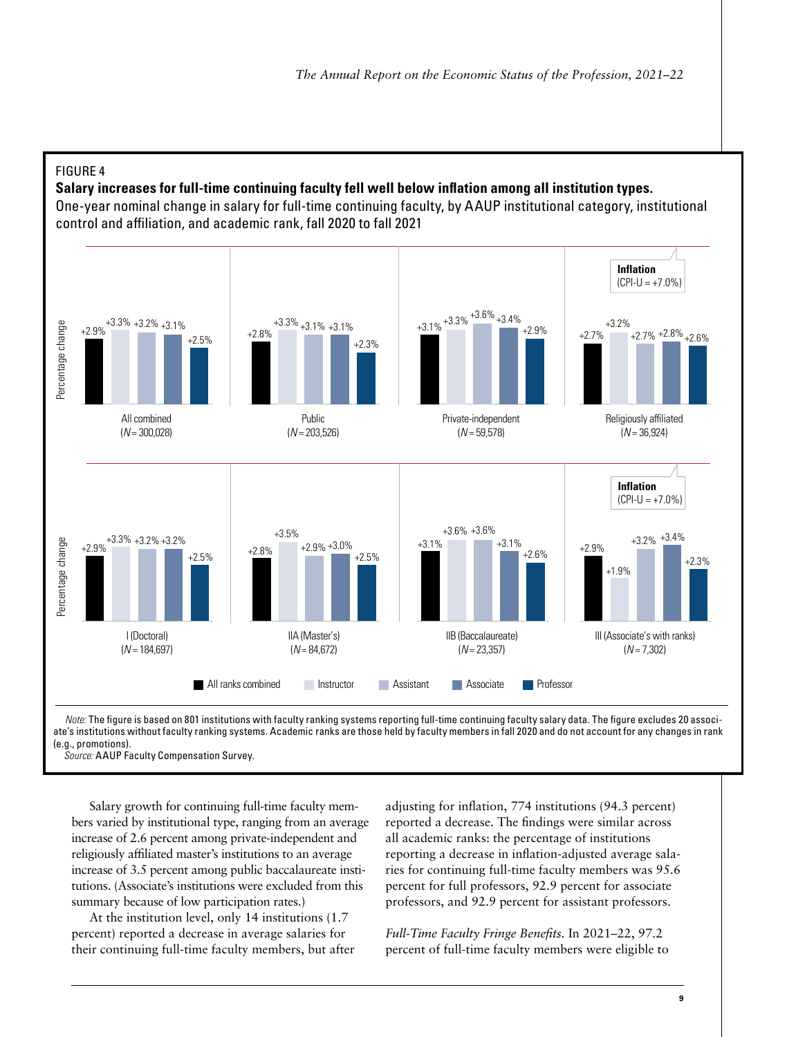

**Salary increases for full-time continuing faculty fell well below inflation among all institution types. Salary increases for full-time continuing faculty fell well below inflation among all institution types.**

One-year nominal change in salary for full-time continuing faculty, by AAUP institutional category, institutional control and affiliation, and academic rank, fall 2020 to fall 2021 control and aliation, and academic rank, fall 2020 to fall 2021



ate's institutions without faculty ranking systems. Academic ranks are those held by faculty members in fall 2020 and do not account for any changes in rank systems. Academic ranks are those held by faculty members in fall 2020 and do not account for any changes in rank (e.g., promotions). (e.g., promotions). *Note:* The figure is based on 801 institutions with faculty ranking systems reporting full-time continuing faculty salary data. The figure excludes 20 associ-

 *Source:* AAUP Faculty Compensation Survey. *Source:* AAUP Faculty Compensation Survey.

Salary growth for continuing full-time faculty members varied by institutional type, ranging from an average increase of 2.6 percent among private-independent and religiously affiliated master's institutions to an average increase of 3.5 percent among public baccalaureate institutions. (Associate's institutions were excluded from this summary because of low participation rates.)

At the institution level, only 14 institutions (1.7 percent) reported a decrease in average salaries for their continuing full-time faculty members, but after adjusting for inflation, 774 institutions (94.3 percent) reported a decrease. The findings were similar across all academic ranks: the percentage of institutions reporting a decrease in inflation-adjusted average salaries for continuing full-time faculty members was 95.6 percent for full professors, 92.9 percent for associate professors, and 92.9 percent for assistant professors.

*Full-Time Faculty Fringe Benefits.* In 2021–22, 97.2 percent of full-time faculty members were eligible to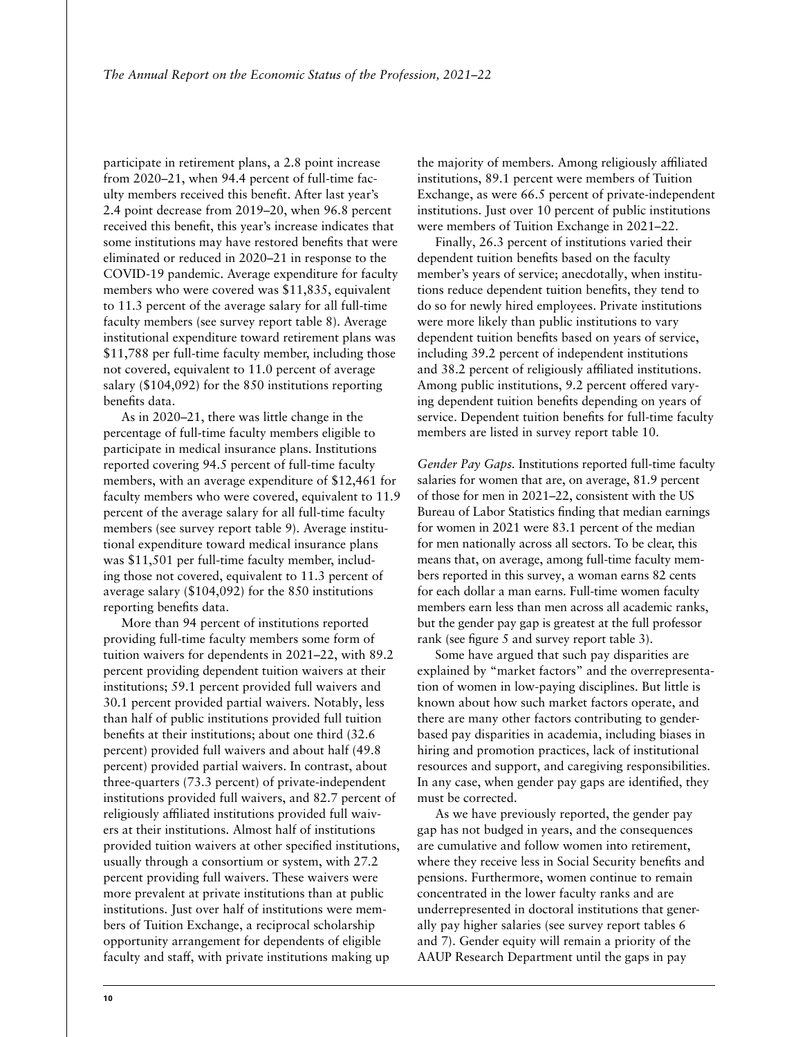participate in retirement plans, a 2.8 point increase from 2020–21, when 94.4 percent of full-time faculty members received this benefit. After last year's 2.4 point decrease from 2019–20, when 96.8 percent received this benefit, this year's increase indicates that some institutions may have restored benefits that were eliminated or reduced in 2020–21 in response to the COVID-19 pandemic. Average expenditure for faculty members who were covered was \$11,835, equivalent to 11.3 percent of the average salary for all full-time faculty members (see survey report table 8). Average institutional expenditure toward retirement plans was \$11,788 per full-time faculty member, including those not covered, equivalent to 11.0 percent of average salary (\$104,092) for the 850 institutions reporting benefits data.

As in 2020–21, there was little change in the percentage of full-time faculty members eligible to participate in medical insurance plans. Institutions reported covering 94.5 percent of full-time faculty members, with an average expenditure of \$12,461 for faculty members who were covered, equivalent to 11.9 percent of the average salary for all full-time faculty members (see survey report table 9). Average institutional expenditure toward medical insurance plans was \$11,501 per full-time faculty member, including those not covered, equivalent to 11.3 percent of average salary (\$104,092) for the 850 institutions reporting benefits data.

More than 94 percent of institutions reported providing full-time faculty members some form of tuition waivers for dependents in 2021–22, with 89.2 percent providing dependent tuition waivers at their institutions; 59.1 percent provided full waivers and 30.1 percent provided partial waivers. Notably, less than half of public institutions provided full tuition benefits at their institutions; about one third (32.6 percent) provided full waivers and about half (49.8 percent) provided partial waivers. In contrast, about three-quarters (73.3 percent) of private-independent institutions provided full waivers, and 82.7 percent of religiously affiliated institutions provided full waivers at their institutions. Almost half of institutions provided tuition waivers at other specified institutions, usually through a consortium or system, with 27.2 percent providing full waivers. These waivers were more prevalent at private institutions than at public institutions. Just over half of institutions were members of Tuition Exchange, a reciprocal scholarship opportunity arrangement for dependents of eligible faculty and staff, with private institutions making up

the majority of members. Among religiously affiliated institutions, 89.1 percent were members of Tuition Exchange, as were 66.5 percent of private-independent institutions. Just over 10 percent of public institutions were members of Tuition Exchange in 2021–22.

Finally, 26.3 percent of institutions varied their dependent tuition benefits based on the faculty member's years of service; anecdotally, when institutions reduce dependent tuition benefits, they tend to do so for newly hired employees. Private institutions were more likely than public institutions to vary dependent tuition benefits based on years of service, including 39.2 percent of independent institutions and 38.2 percent of religiously affiliated institutions. Among public institutions, 9.2 percent offered varying dependent tuition benefits depending on years of service. Dependent tuition benefits for full-time faculty members are listed in survey report table 10.

*Gender Pay Gaps.* Institutions reported full-time faculty salaries for women that are, on average, 81.9 percent of those for men in 2021–22, consistent with the US Bureau of Labor Statistics finding that median earnings for women in 2021 were 83.1 percent of the median for men nationally across all sectors. To be clear, this means that, on average, among full-time faculty members reported in this survey, a woman earns 82 cents for each dollar a man earns. Full-time women faculty members earn less than men across all academic ranks, but the gender pay gap is greatest at the full professor rank (see figure 5 and survey report table 3).

Some have argued that such pay disparities are explained by "market factors" and the overrepresentation of women in low-paying disciplines. But little is known about how such market factors operate, and there are many other factors contributing to genderbased pay disparities in academia, including biases in hiring and promotion practices, lack of institutional resources and support, and caregiving responsibilities. In any case, when gender pay gaps are identified, they must be corrected.

As we have previously reported, the gender pay gap has not budged in years, and the consequences are cumulative and follow women into retirement, where they receive less in Social Security benefits and pensions. Furthermore, women continue to remain concentrated in the lower faculty ranks and are underrepresented in doctoral institutions that generally pay higher salaries (see survey report tables 6 and 7). Gender equity will remain a priority of the AAUP Research Department until the gaps in pay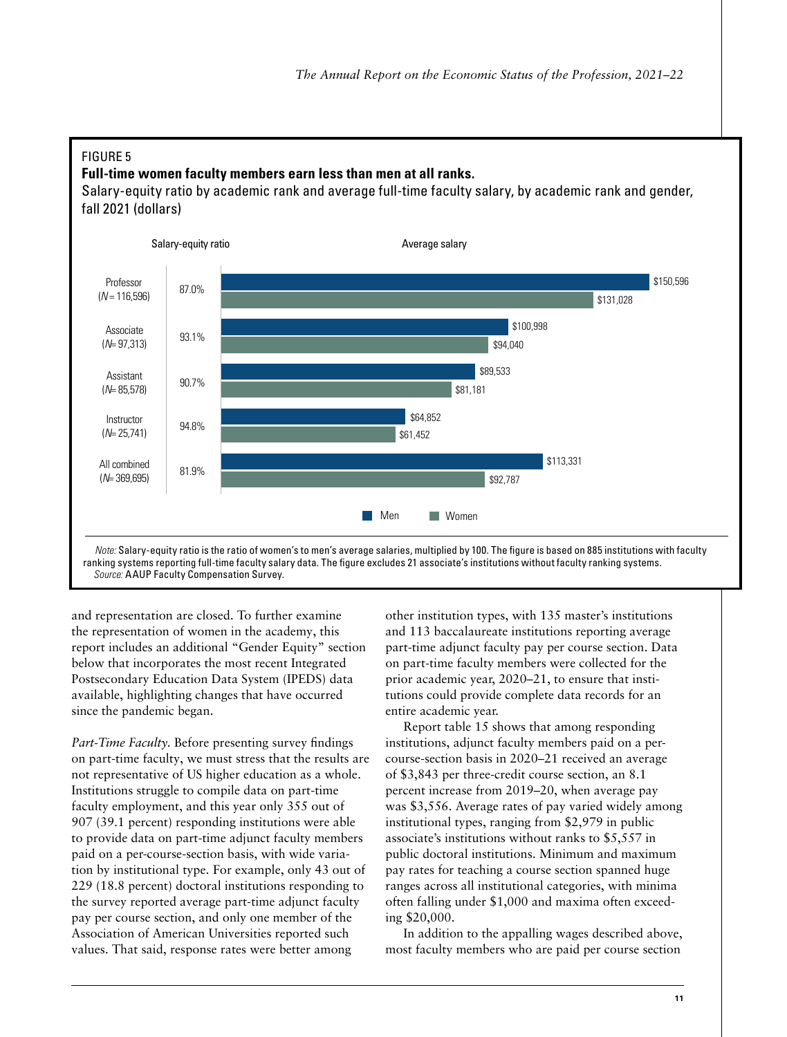#### FIGURE 5 FIGURE 5

# **Full-time women faculty members earn less than men at all ranks. Full-time women faculty members earn less than men at all ranks.**

Salary-equity ratio by academic rank and average full-time faculty salary, by academic rank and gender, fall 2021 (dollars) 2021 (dollars)



and representation are closed. To further examine the representation of women in the academy, this report includes an additional "Gender Equity" section below that incorporates the most recent Integrated Postsecondary Education Data System (IPEDS) data available, highlighting changes that have occurred since the pandemic began.

 *Source:* AAUP Faculty Compensation Survey.

*Part-Time Faculty.* Before presenting survey findings on part-time faculty, we must stress that the results are not representative of US higher education as a whole. Institutions struggle to compile data on part-time faculty employment, and this year only 355 out of 907 (39.1 percent) responding institutions were able to provide data on part-time adjunct faculty members paid on a per-course-section basis, with wide variation by institutional type. For example, only 43 out of 229 (18.8 percent) doctoral institutions responding to the survey reported average part-time adjunct faculty pay per course section, and only one member of the Association of American Universities reported such values. That said, response rates were better among

other institution types, with 135 master's institutions and 113 baccalaureate institutions reporting average part-time adjunct faculty pay per course section. Data on part-time faculty members were collected for the prior academic year, 2020–21, to ensure that institutions could provide complete data records for an entire academic year.

Report table 15 shows that among responding institutions, adjunct faculty members paid on a percourse-section basis in 2020–21 received an average of \$3,843 per three-credit course section, an 8.1 percent increase from 2019–20, when average pay was \$3,556. Average rates of pay varied widely among institutional types, ranging from \$2,979 in public associate's institutions without ranks to \$5,557 in public doctoral institutions. Minimum and maximum pay rates for teaching a course section spanned huge ranges across all institutional categories, with minima often falling under \$1,000 and maxima often exceeding \$20,000.

In addition to the appalling wages described above, most faculty members who are paid per course section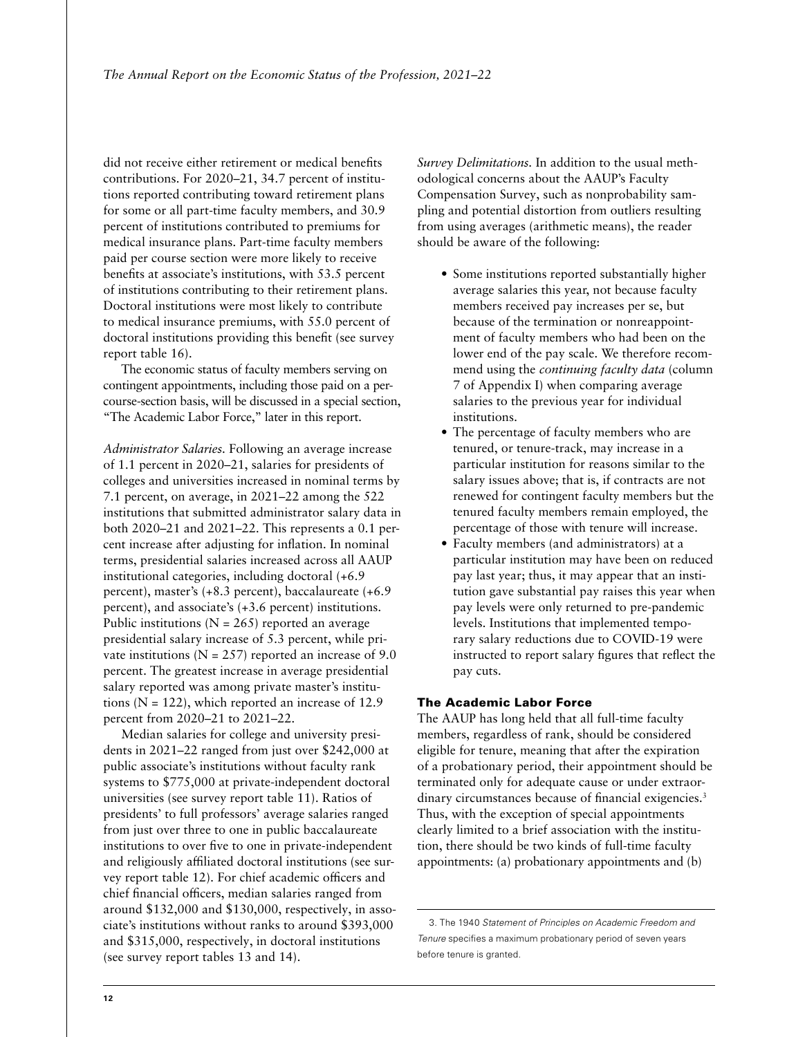did not receive either retirement or medical benefits contributions. For 2020–21, 34.7 percent of institutions reported contributing toward retirement plans for some or all part-time faculty members, and 30.9 percent of institutions contributed to premiums for medical insurance plans. Part-time faculty members paid per course section were more likely to receive benefits at associate's institutions, with 53.5 percent of institutions contributing to their retirement plans. Doctoral institutions were most likely to contribute to medical insurance premiums, with 55.0 percent of doctoral institutions providing this benefit (see survey report table 16).

The economic status of faculty members serving on contingent appointments, including those paid on a percourse-section basis, will be discussed in a special section, "The Academic Labor Force," later in this report.

*Administrator Salaries.* Following an average increase of 1.1 percent in 2020–21, salaries for presidents of colleges and universities increased in nominal terms by 7.1 percent, on average, in 2021–22 among the 522 institutions that submitted administrator salary data in both 2020–21 and 2021–22. This represents a 0.1 percent increase after adjusting for inflation. In nominal terms, presidential salaries increased across all AAUP institutional categories, including doctoral (+6.9 percent), master's (+8.3 percent), baccalaureate (+6.9 percent), and associate's (+3.6 percent) institutions. Public institutions ( $N = 265$ ) reported an average presidential salary increase of 5.3 percent, while private institutions ( $N = 257$ ) reported an increase of 9.0 percent. The greatest increase in average presidential salary reported was among private master's institutions ( $N = 122$ ), which reported an increase of 12.9 percent from 2020–21 to 2021–22.

Median salaries for college and university presidents in 2021–22 ranged from just over \$242,000 at public associate's institutions without faculty rank systems to \$775,000 at private-independent doctoral universities (see survey report table 11). Ratios of presidents' to full professors' average salaries ranged from just over three to one in public baccalaureate institutions to over five to one in private-independent and religiously affiliated doctoral institutions (see survey report table 12). For chief academic officers and chief financial officers, median salaries ranged from around \$132,000 and \$130,000, respectively, in associate's institutions without ranks to around \$393,000 and \$315,000, respectively, in doctoral institutions (see survey report tables 13 and 14).

*Survey Delimitations.* In addition to the usual methodological concerns about the AAUP's Faculty Compensation Survey, such as nonprobability sampling and potential distortion from outliers resulting from using averages (arithmetic means), the reader should be aware of the following:

- Some institutions reported substantially higher average salaries this year, not because faculty members received pay increases per se, but because of the termination or nonreappointment of faculty members who had been on the lower end of the pay scale. We therefore recommend using the *continuing faculty data* (column 7 of Appendix I) when comparing average salaries to the previous year for individual institutions.
- The percentage of faculty members who are tenured, or tenure-track, may increase in a particular institution for reasons similar to the salary issues above; that is, if contracts are not renewed for contingent faculty members but the tenured faculty members remain employed, the percentage of those with tenure will increase.
- Faculty members (and administrators) at a particular institution may have been on reduced pay last year; thus, it may appear that an institution gave substantial pay raises this year when pay levels were only returned to pre-pandemic levels. Institutions that implemented temporary salary reductions due to COVID-19 were instructed to report salary figures that reflect the pay cuts.

#### The Academic Labor Force

The AAUP has long held that all full-time faculty members, regardless of rank, should be considered eligible for tenure, meaning that after the expiration of a probationary period, their appointment should be terminated only for adequate cause or under extraordinary circumstances because of financial exigencies.<sup>3</sup> Thus, with the exception of special appointments clearly limited to a brief association with the institution, there should be two kinds of full-time faculty appointments: (a) probationary appointments and (b)

<sup>3.</sup> The 1940 *Statement of Principles on Academic Freedom and Tenure* specifies a maximum probationary period of seven years before tenure is granted.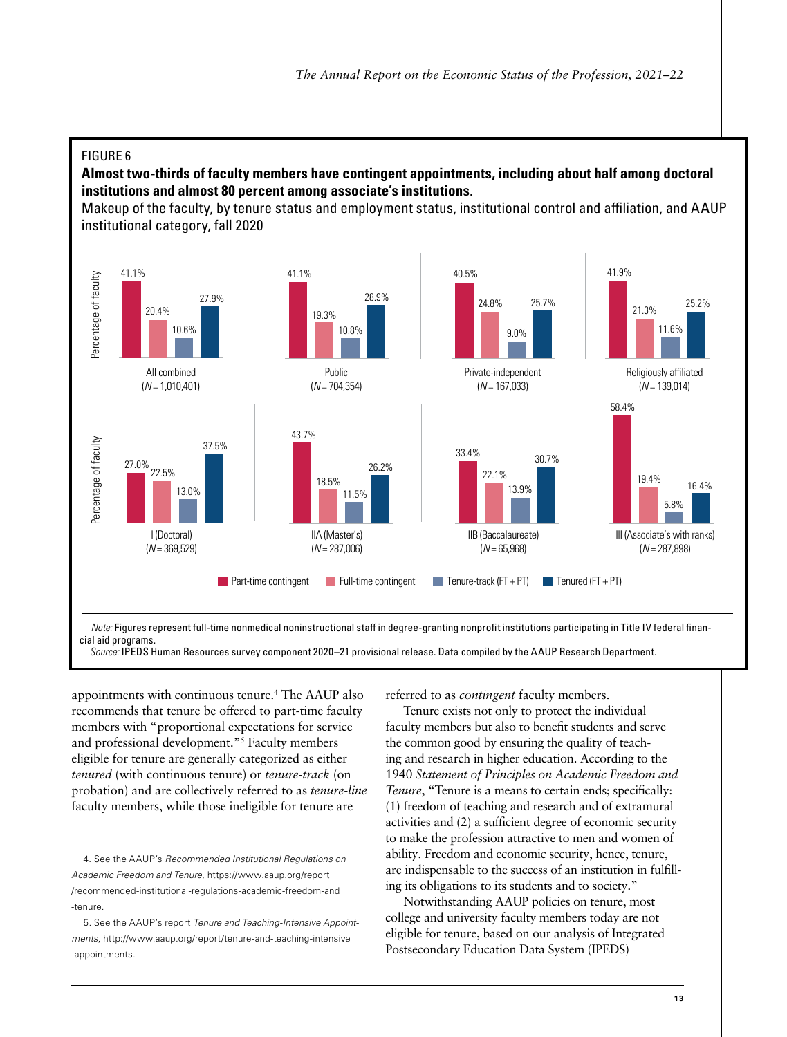#### FIGURE 6 FIGURE 6

**Almost two-thirds of faculty members have contingent appointments, including about half among doctoral Almost two-thirds of faculty members have contingent appointments, including about half among doctoral institutions and almost 80 percent among associate's institutions. institutions and almost 80 percent among associate's institutions.**

Makeup of the faculty, by tenure status and employment status, institutional control and affiliation, and AAUP institutional category, fall 2020 institutional category, fall 2020



Note: Figures represent full-time nonmedical noninstructional staff in degree-granting nonprofit institutions participating in Title IV federal finan- *Source:* IPEDS Human Resources survey component 2020–21 provisional release. Data compiled by the AAUP Research Department. cial aid programs. *Source:* IPEDS Human Resources survey component 2020–21 provisional release. Data compiled by the AAUP Research Department.

appointments with continuous tenure.4 The AAUP also recommends that tenure be offered to part-time faculty members with "proportional expectations for service and professional development."5 Faculty members eligible for tenure are generally categorized as either *tenured* (with continuous tenure) or *tenure-track* (on probation) and are collectively referred to as *tenure-line* faculty members, while those ineligible for tenure are

referred to as *contingent* faculty members.

Tenure exists not only to protect the individual faculty members but also to benefit students and serve the common good by ensuring the quality of teaching and research in higher education. According to the 1940 *Statement of Principles on Academic Freedom and Tenure*, "Tenure is a means to certain ends; specifically: (1) freedom of teaching and research and of extramural activities and (2) a sufficient degree of economic security to make the profession attractive to men and women of ability. Freedom and economic security, hence, tenure, are indispensable to the success of an institution in fulfilling its obligations to its students and to society."

Notwithstanding AAUP policies on tenure, most college and university faculty members today are not eligible for tenure, based on our analysis of Integrated Postsecondary Education Data System (IPEDS)

<sup>4.</sup> See the AAUP's *Recommended Institutional Regulations on Academic Freedom and Tenure*, [https://www.aaup.org/report](https://www.aaup.org/report/recommended-institutional-regulations-academic-freedom-and-tenure) [/recommended-institutional-regulations-academic-freedom-and](https://www.aaup.org/report/recommended-institutional-regulations-academic-freedom-and-tenure) [-tenure.](https://www.aaup.org/report/recommended-institutional-regulations-academic-freedom-and-tenure)

<sup>5.</sup> See the AAUP's report *Tenure and Teaching-Intensive Appointments*, [http://www.aaup.org/report/tenure-and-teaching-intensive](http://www.aaup.org/report/tenure-and-teaching-intensive-appointments) [-appointments](http://www.aaup.org/report/tenure-and-teaching-intensive-appointments).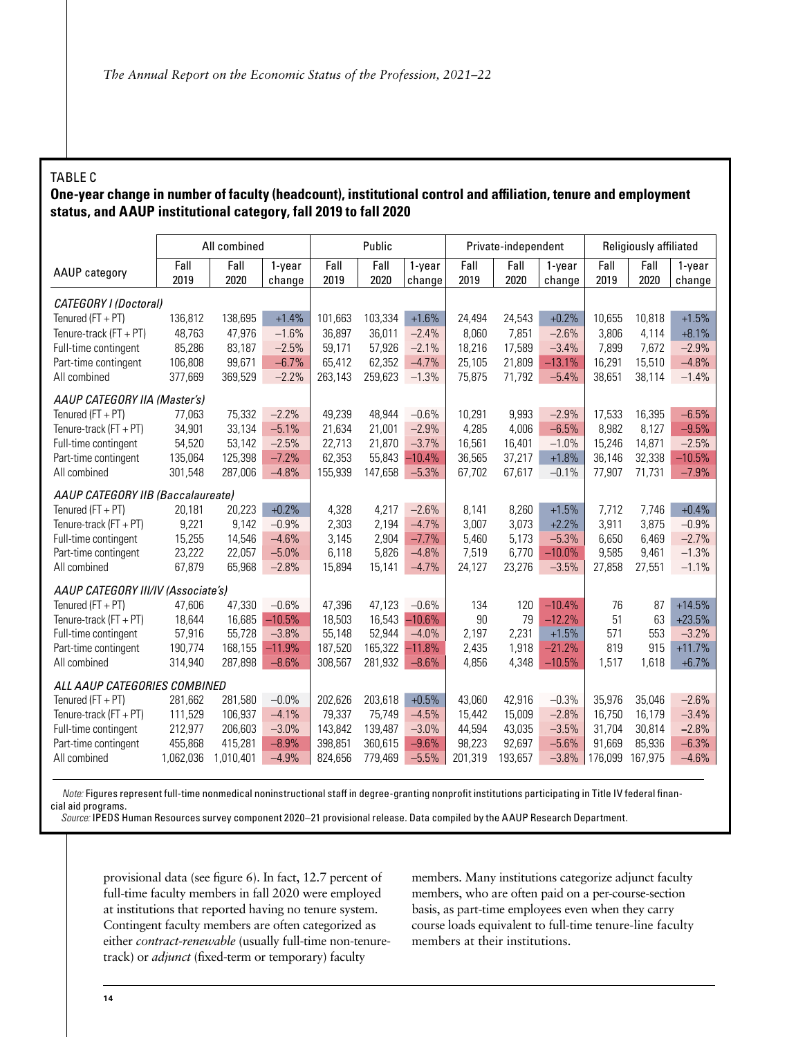#### TABLE C

#### **One-year change in number of faculty (headcount), institutional control and affiliation, tenure and employment status, and AAUP institutional category, fall 2019 to fall 2020**

|                                    | All combined |              | Public           |              |              | Private-independent |              |              | Religiously affiliated |              |              |                  |
|------------------------------------|--------------|--------------|------------------|--------------|--------------|---------------------|--------------|--------------|------------------------|--------------|--------------|------------------|
| AAUP category                      | Fall<br>2019 | Fall<br>2020 | 1-year<br>change | Fall<br>2019 | Fall<br>2020 | 1-year<br>change    | Fall<br>2019 | Fall<br>2020 | 1-year<br>change       | Fall<br>2019 | Fall<br>2020 | 1-year<br>change |
| CATEGORY I (Doctoral)              |              |              |                  |              |              |                     |              |              |                        |              |              |                  |
| Tenured ( $FT + PT$ )              | 136,812      | 138,695      | $+1.4%$          | 101,663      | 103,334      | $+1.6%$             | 24,494       | 24,543       | $+0.2%$                | 10,655       | 10,818       | $+1.5%$          |
| Tenure-track $(FT + PT)$           | 48,763       | 47,976       | $-1.6%$          | 36,897       | 36.011       | $-2.4%$             | 8,060        | 7,851        | $-2.6%$                | 3,806        | 4.114        | $+8.1%$          |
| Full-time contingent               | 85,286       | 83,187       | $-2.5%$          | 59.171       | 57,926       | $-2.1%$             | 18,216       | 17,589       | $-3.4%$                | 7,899        | 7,672        | $-2.9%$          |
| Part-time contingent               | 106,808      | 99,671       | $-6.7%$          | 65,412       | 62,352       | $-4.7%$             | 25.105       | 21,809       | $-13.1%$               | 16,291       | 15,510       | $-4.8%$          |
| All combined                       | 377,669      | 369,529      | $-2.2%$          | 263,143      | 259,623      | $-1.3%$             | 75,875       | 71,792       | $-5.4%$                | 38,651       | 38,114       | $-1.4%$          |
| AAUP CATEGORY IIA (Master's)       |              |              |                  |              |              |                     |              |              |                        |              |              |                  |
| Tenured ( $FT + PT$ )              | 77.063       | 75.332       | $-2.2%$          | 49,239       | 48.944       | $-0.6%$             | 10.291       | 9.993        | $-2.9%$                | 17,533       | 16,395       | $-6.5%$          |
| Tenure-track $(FT + PT)$           | 34,901       | 33,134       | $-5.1%$          | 21,634       | 21,001       | $-2.9%$             | 4,285        | 4,006        | $-6.5%$                | 8,982        | 8,127        | $-9.5%$          |
| Full-time contingent               | 54.520       | 53.142       | $-2.5%$          | 22,713       | 21,870       | $-3.7%$             | 16,561       | 16,401       | $-1.0%$                | 15,246       | 14,871       | $-2.5%$          |
| Part-time contingent               | 135.064      | 125,398      | $-7.2%$          | 62,353       | 55,843       | $-10.4%$            | 36,565       | 37,217       | $+1.8%$                | 36,146       | 32,338       | $-10.5%$         |
| All combined                       | 301,548      | 287,006      | $-4.8%$          | 155,939      | 147,658      | $-5.3%$             | 67.702       | 67,617       | $-0.1%$                | 77,907       | 71,731       | $-7.9%$          |
| AAUP CATEGORY IIB (Baccalaureate)  |              |              |                  |              |              |                     |              |              |                        |              |              |                  |
| Tenured $(FT + PT)$                | 20,181       | 20,223       | $+0.2%$          | 4,328        | 4,217        | $-2.6%$             | 8,141        | 8,260        | $+1.5%$                | 7,712        | 7,746        | $+0.4%$          |
| Tenure-track (FT + PT)             | 9,221        | 9,142        | $-0.9%$          | 2,303        | 2,194        | $-4.7%$             | 3,007        | 3,073        | $+2.2%$                | 3,911        | 3,875        | $-0.9%$          |
| Full-time contingent               | 15,255       | 14,546       | $-4.6%$          | 3,145        | 2,904        | $-7.7%$             | 5,460        | 5,173        | $-5.3%$                | 6,650        | 6,469        | $-2.7%$          |
| Part-time contingent               | 23,222       | 22,057       | $-5.0%$          | 6,118        | 5,826        | $-4.8%$             | 7,519        | 6,770        | $-10.0%$               | 9,585        | 9,461        | $-1.3%$          |
| All combined                       | 67,879       | 65,968       | $-2.8%$          | 15,894       | 15,141       | $-4.7%$             | 24,127       | 23,276       | $-3.5%$                | 27,858       | 27,551       | $-1.1%$          |
| AAUP CATEGORY III/IV (Associate's) |              |              |                  |              |              |                     |              |              |                        |              |              |                  |
| Tenured ( $FT + PT$ )              | 47,606       | 47,330       | $-0.6%$          | 47,396       | 47,123       | $-0.6%$             | 134          | 120          | $-10.4%$               | 76           | 87           | $+14.5%$         |
| Tenure-track $(FT + PT)$           | 18,644       | 16,685       | $-10.5%$         | 18,503       | 16,543       | $-10.6%$            | 90           | 79           | $-12.2%$               | 51           | 63           | $+23.5%$         |
| Full-time contingent               | 57,916       | 55,728       | $-3.8%$          | 55,148       | 52,944       | $-4.0%$             | 2,197        | 2,231        | $+1.5%$                | 571          | 553          | $-3.2%$          |
| Part-time contingent               | 190,774      | 168,155      | $-11.9%$         | 187,520      | 165,322      | $-11.8%$            | 2,435        | 1,918        | $-21.2%$               | 819          | 915          | $+11.7%$         |
| All combined                       | 314,940      | 287,898      | $-8.6%$          | 308,567      | 281,932      | $-8.6%$             | 4,856        | 4,348        | $-10.5%$               | 1,517        | 1,618        | $+6.7%$          |
| ALL AAUP CATEGORIES COMBINED       |              |              |                  |              |              |                     |              |              |                        |              |              |                  |
| Tenured ( $FT + PT$ )              | 281,662      | 281,580      | $-0.0%$          | 202,626      | 203,618      | $+0.5%$             | 43,060       | 42,916       | $-0.3%$                | 35,976       | 35,046       | $-2.6%$          |
| Tenure-track $(FT + PT)$           | 111,529      | 106,937      | $-4.1%$          | 79,337       | 75,749       | $-4.5%$             | 15,442       | 15,009       | $-2.8%$                | 16,750       | 16,179       | $-3.4%$          |
| Full-time contingent               | 212,977      | 206,603      | $-3.0%$          | 143,842      | 139,487      | $-3.0%$             | 44,594       | 43,035       | $-3.5%$                | 31,704       | 30,814       | $-2.8%$          |
| Part-time contingent               | 455,868      | 415,281      | $-8.9%$          | 398,851      | 360,615      | $-9.6%$             | 98,223       | 92,697       | $-5.6%$                | 91,669       | 85,936       | $-6.3%$          |
| All combined                       | 1,062,036    | 1,010,401    | $-4.9%$          | 824,656      | 779,469      | $-5.5%$             | 201,319      | 193,657      | $-3.8%$                | 176,099      | 167,975      | $-4.6%$          |

 *Note:* Figures represent full-time nonmedical noninstructional staff in degree-granting nonprofit institutions participating in Title IV federal financial aid programs.

*Source:* IPEDS Human Resources survey component 2020–21 provisional release. Data compiled by the AAUP Research Department.

provisional data (see figure 6). In fact, 12.7 percent of full-time faculty members in fall 2020 were employed at institutions that reported having no tenure system. Contingent faculty members are often categorized as either *contract-renewable* (usually full-time non-tenuretrack) or *adjunct* (fixed-term or temporary) faculty

members. Many institutions categorize adjunct faculty members, who are often paid on a per-course-section basis, as part-time employees even when they carry course loads equivalent to full-time tenure-line faculty members at their institutions.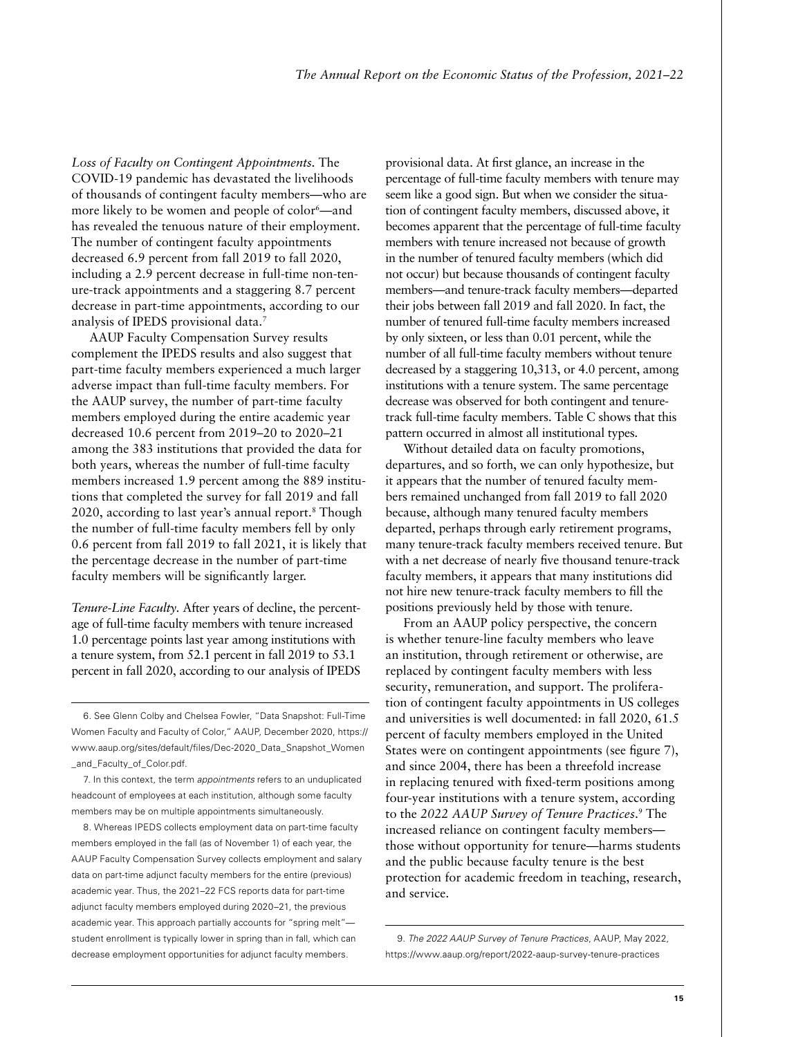*Loss of Faculty on Contingent Appointments.* The COVID-19 pandemic has devastated the livelihoods of thousands of contingent faculty members—who are more likely to be women and people of color<sup>6</sup>—and has revealed the tenuous nature of their employment. The number of contingent faculty appointments decreased 6.9 percent from fall 2019 to fall 2020, including a 2.9 percent decrease in full-time non-tenure-track appointments and a staggering 8.7 percent decrease in part-time appointments, according to our analysis of IPEDS provisional data.7

AAUP Faculty Compensation Survey results complement the IPEDS results and also suggest that part-time faculty members experienced a much larger adverse impact than full-time faculty members. For the AAUP survey, the number of part-time faculty members employed during the entire academic year decreased 10.6 percent from 2019–20 to 2020–21 among the 383 institutions that provided the data for both years, whereas the number of full-time faculty members increased 1.9 percent among the 889 institutions that completed the survey for fall 2019 and fall 2020, according to last year's annual report.8 Though the number of full-time faculty members fell by only 0.6 percent from fall 2019 to fall 2021, it is likely that the percentage decrease in the number of part-time faculty members will be significantly larger.

*Tenure-Line Faculty.* After years of decline, the percentage of full-time faculty members with tenure increased 1.0 percentage points last year among institutions with a tenure system, from 52.1 percent in fall 2019 to 53.1 percent in fall 2020, according to our analysis of IPEDS

6. See Glenn Colby and Chelsea Fowler, "Data Snapshot: Full-Time Women Faculty and Faculty of Color," AAUP, December 2020, [https://](https://www.aaup.org/sites/default/files/Dec-2020_Data_Snapshot_Women_and_Faculty_of_Color.pdf) [www.aaup.org/sites/default/files/Dec-2020\\_Data\\_Snapshot\\_Women](https://www.aaup.org/sites/default/files/Dec-2020_Data_Snapshot_Women_and_Faculty_of_Color.pdf) [\\_and\\_Faculty\\_of\\_Color.pdf](https://www.aaup.org/sites/default/files/Dec-2020_Data_Snapshot_Women_and_Faculty_of_Color.pdf).

7. In this context, the term *appointments* refers to an unduplicated headcount of employees at each institution, although some faculty members may be on multiple appointments simultaneously.

8. Whereas IPEDS collects employment data on part-time faculty members employed in the fall (as of November 1) of each year, the AAUP Faculty Compensation Survey collects employment and salary data on part-time adjunct faculty members for the entire (previous) academic year. Thus, the 2021–22 FCS reports data for part-time adjunct faculty members employed during 2020–21, the previous academic year. This approach partially accounts for "spring melt" student enrollment is typically lower in spring than in fall, which can decrease employment opportunities for adjunct faculty members.

provisional data. At first glance, an increase in the percentage of full-time faculty members with tenure may seem like a good sign. But when we consider the situation of contingent faculty members, discussed above, it becomes apparent that the percentage of full-time faculty members with tenure increased not because of growth in the number of tenured faculty members (which did not occur) but because thousands of contingent faculty members—and tenure-track faculty members—departed their jobs between fall 2019 and fall 2020. In fact, the number of tenured full-time faculty members increased by only sixteen, or less than 0.01 percent, while the number of all full-time faculty members without tenure decreased by a staggering 10,313, or 4.0 percent, among institutions with a tenure system. The same percentage decrease was observed for both contingent and tenuretrack full-time faculty members. Table C shows that this pattern occurred in almost all institutional types.

Without detailed data on faculty promotions, departures, and so forth, we can only hypothesize, but it appears that the number of tenured faculty members remained unchanged from fall 2019 to fall 2020 because, although many tenured faculty members departed, perhaps through early retirement programs, many tenure-track faculty members received tenure. But with a net decrease of nearly five thousand tenure-track faculty members, it appears that many institutions did not hire new tenure-track faculty members to fill the positions previously held by those with tenure.

From an AAUP policy perspective, the concern is whether tenure-line faculty members who leave an institution, through retirement or otherwise, are replaced by contingent faculty members with less security, remuneration, and support. The proliferation of contingent faculty appointments in US colleges and universities is well documented: in fall 2020, 61.5 percent of faculty members employed in the United States were on contingent appointments (see figure 7), and since 2004, there has been a threefold increase in replacing tenured with fixed-term positions among four-year institutions with a tenure system, according to the *2022 AAUP Survey of Tenure Practices*. 9 The increased reliance on contingent faculty members those without opportunity for tenure—harms students and the public because faculty tenure is the best protection for academic freedom in teaching, research, and service.

9. *The 2022 AAUP Survey of Tenure Practices*, AAUP, May 2022, https://www.aaup.org/report/2022-aaup-survey-tenure-practices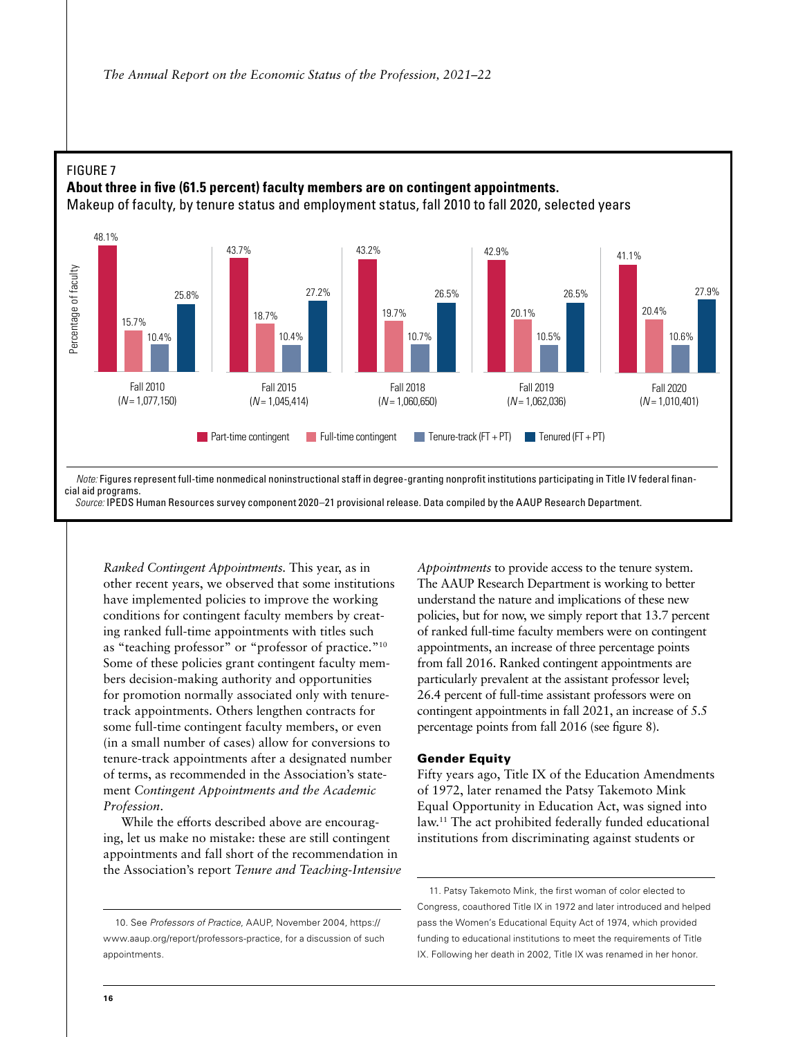

*Ranked Contingent Appointments.* This year, as in other recent years, we observed that some institutions have implemented policies to improve the working conditions for contingent faculty members by creating ranked full-time appointments with titles such as "teaching professor" or "professor of practice."<sup>10</sup> Some of these policies grant contingent faculty members decision-making authority and opportunities for promotion normally associated only with tenuretrack appointments. Others lengthen contracts for some full-time contingent faculty members, or even (in a small number of cases) allow for conversions to tenure-track appointments after a designated number of terms, as recommended in the Association's statement *Contingent Appointments and the Academic Profession*.

While the efforts described above are encouraging, let us make no mistake: these are still contingent appointments and fall short of the recommendation in the Association's report *Tenure and Teaching-Intensive*  *Appointments* to provide access to the tenure system. The AAUP Research Department is working to better understand the nature and implications of these new policies, but for now, we simply report that 13.7 percent of ranked full-time faculty members were on contingent appointments, an increase of three percentage points from fall 2016. Ranked contingent appointments are particularly prevalent at the assistant professor level; 26.4 percent of full-time assistant professors were on contingent appointments in fall 2021, an increase of 5.5 percentage points from fall 2016 (see figure 8).

#### Gender Equity

Fifty years ago, Title IX of the Education Amendments of 1972, later renamed the Patsy Takemoto Mink Equal Opportunity in Education Act, was signed into law.11 The act prohibited federally funded educational institutions from discriminating against students or

11. Patsy Takemoto Mink, the first woman of color elected to Congress, coauthored Title IX in 1972 and later introduced and helped pass the Women's Educational Equity Act of 1974, which provided funding to educational institutions to meet the requirements of Title IX. Following her death in 2002, Title IX was renamed in her honor.

<sup>10.</sup> See *Professors of Practice*, AAUP, November 2004, [https://](https://www.aaup.org/report/professors-practice) [www.aaup.org/report/professors-practice,](https://www.aaup.org/report/professors-practice) for a discussion of such appointments.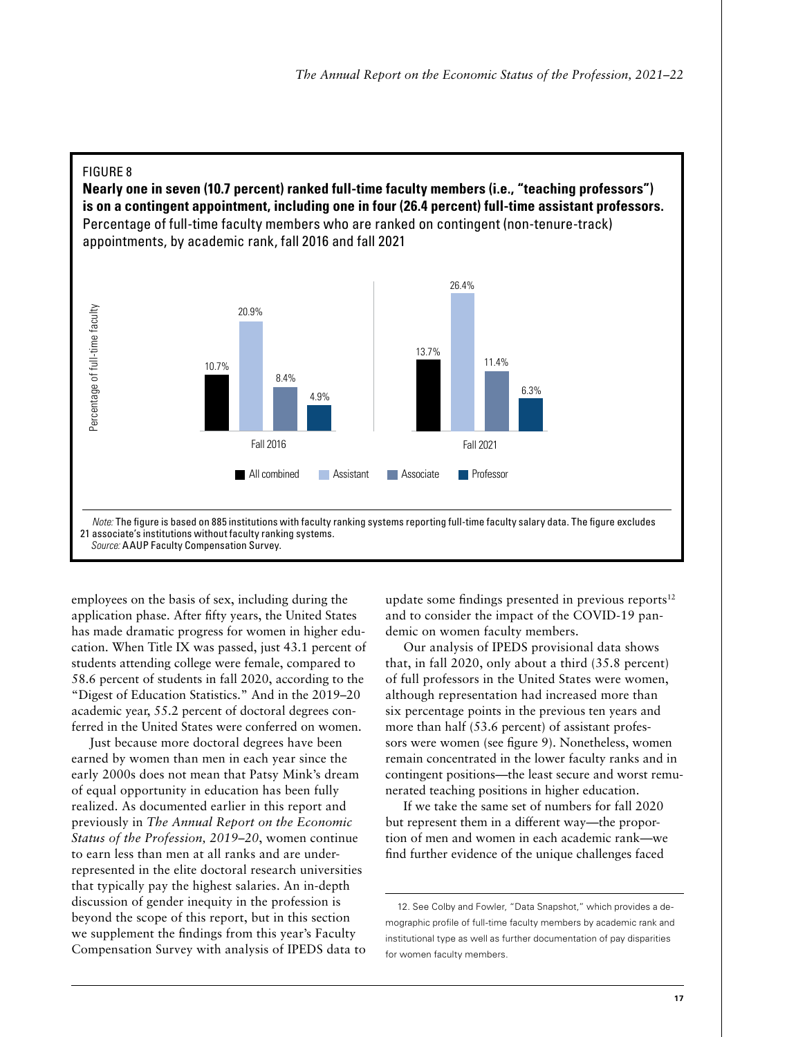

employees on the basis of sex, including during the application phase. After fifty years, the United States has made dramatic progress for women in higher education. When Title IX was passed, just 43.1 percent of students attending college were female, compared to 58.6 percent of students in fall 2020, according to the "Digest of Education Statistics." And in the 2019–20 academic year, 55.2 percent of doctoral degrees conferred in the United States were conferred on women.

Just because more doctoral degrees have been earned by women than men in each year since the early 2000s does not mean that Patsy Mink's dream of equal opportunity in education has been fully realized. As documented earlier in this report and previously in *The Annual Report on the Economic Status of the Profession, 2019–20*, women continue to earn less than men at all ranks and are underrepresented in the elite doctoral research universities that typically pay the highest salaries. An in-depth discussion of gender inequity in the profession is beyond the scope of this report, but in this section we supplement the findings from this year's Faculty Compensation Survey with analysis of IPEDS data to update some findings presented in previous reports $12$ and to consider the impact of the COVID-19 pandemic on women faculty members.

Our analysis of IPEDS provisional data shows that, in fall 2020, only about a third (35.8 percent) of full professors in the United States were women, although representation had increased more than six percentage points in the previous ten years and more than half (53.6 percent) of assistant professors were women (see figure 9). Nonetheless, women remain concentrated in the lower faculty ranks and in contingent positions—the least secure and worst remunerated teaching positions in higher education.

If we take the same set of numbers for fall 2020 but represent them in a different way—the proportion of men and women in each academic rank—we find further evidence of the unique challenges faced

<sup>12.</sup> See Colby and Fowler, "Data Snapshot," which provides a demographic profile of full-time faculty members by academic rank and institutional type as well as further documentation of pay disparities for women faculty members.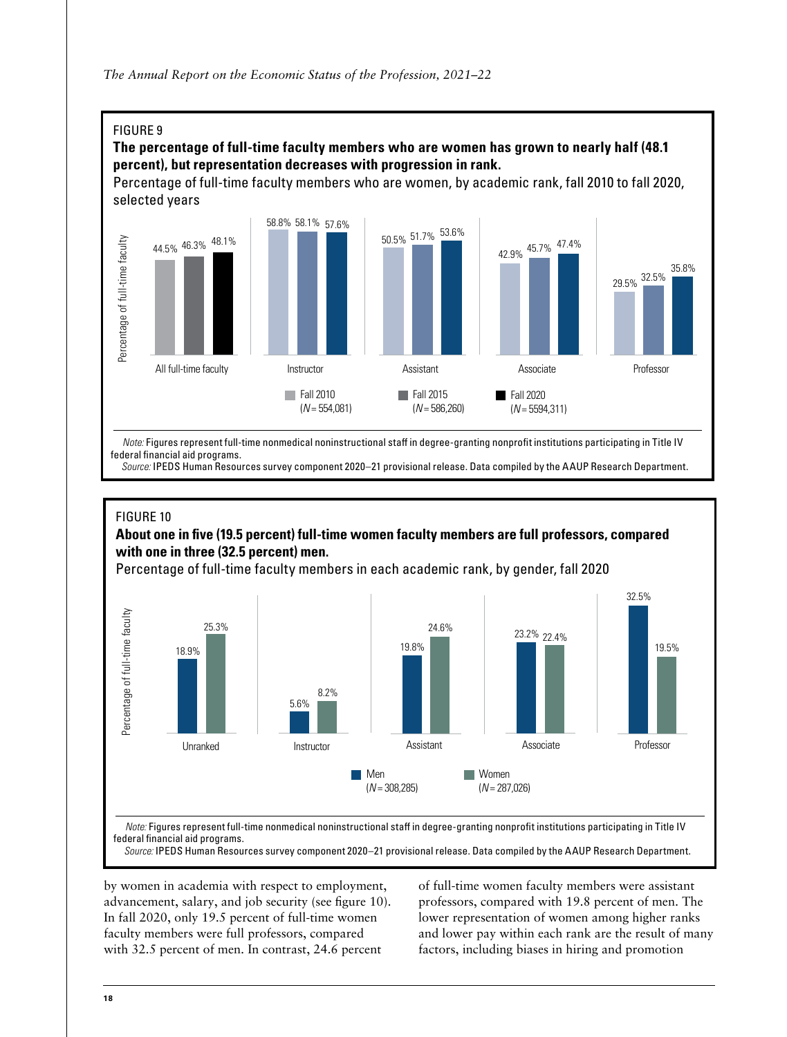

#### The percentage of full-time faculty members who are women has grown to nearly half (48.1 percent), but representation decreases with progression in rank. **The percentage of full-time faculty members who are women has grown to nearly half (48.1 percent), but**

Percentage of full-time faculty members who are women, by academic rank, fall 2010 to fall 2020, selected years



federal financial aid programs. The state institutional state institutions participating in Title IV federal financial aid programs.  *Note:* Figures represent full-time nonmedical noninstructional staff in degree-granting nonprofit institutions participating in Title IV

Source: IPEDS Human Resources survey component 2020-21 provisional release. Data compiled by the AAUP Research Department.

# FIGURE 10 FIGURE 10

# **About one in five (19.5 percent) full-time women faculty members are full professors, compared About one in five (19.5 percent) full-time women faculty members are full professors, compared with one with one in three (32.5 percent) men. in three (32.5 percent) men.**

Percentage of full-time faculty members in each academic rank, by gender, fall 2020 Percentage of full-time faculty members in each academic rank, by gender, fall 2020



Note: Figures represent full-time nonmedical noninstructional staff in degree-granting nonprofit institutions participating in Title IV  *Source:* IPEDS Human Resources survey component 2020–21 provisional release. Data compiled by the AAUP Research Department. federal financial aid programs.

*Source:* IPEDS Human Resources survey component 2020–21 provisional release. Data compiled by the AAUP Research Department.

by women in academia with respect to employment, advancement, salary, and job security (see figure 10). In fall 2020, only 19.5 percent of full-time women faculty members were full professors, compared with 32.5 percent of men. In contrast, 24.6 percent

of full-time women faculty members were assistant professors, compared with 19.8 percent of men. The lower representation of women among higher ranks and lower pay within each rank are the result of many factors, including biases in hiring and promotion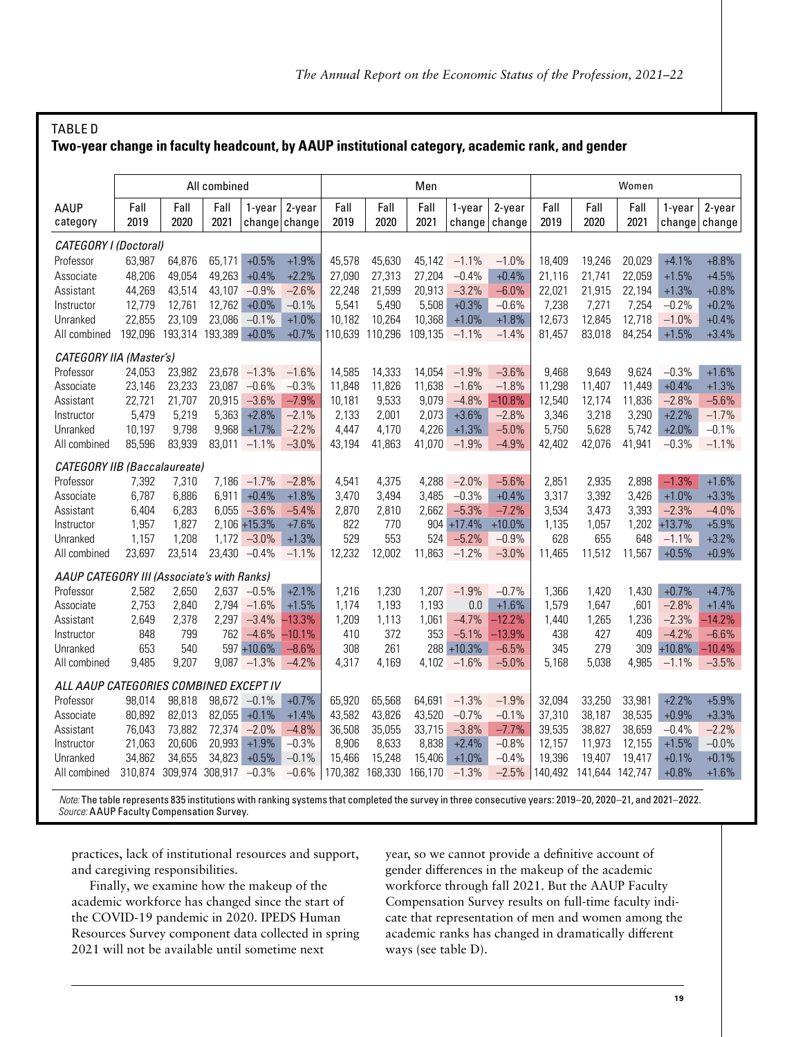| Two-year change in faculty headcount, by AAUP institutional category, academic rank, and gender |              |                               |                       |                 |                            |                 |              |              |                  |                     |              |                 |              |                  |                  |
|-------------------------------------------------------------------------------------------------|--------------|-------------------------------|-----------------------|-----------------|----------------------------|-----------------|--------------|--------------|------------------|---------------------|--------------|-----------------|--------------|------------------|------------------|
|                                                                                                 |              |                               | All combined          |                 |                            |                 |              | Men          |                  |                     |              |                 | Women        |                  |                  |
| AAUP<br>category                                                                                | Fall<br>2019 | Fall<br>2020                  | Fall<br>2021          | 1-year          | $2$ -year<br>change change | Fall<br>2019    | Fall<br>2020 | Fall<br>2021 | 1-year<br>change | $2$ -year<br>change | Fall<br>2019 | Fall<br>2020    | Fall<br>2021 | 1-year<br>change | 2-year<br>change |
| CATEGORY I (Doctoral)                                                                           |              |                               |                       |                 |                            |                 |              |              |                  |                     |              |                 |              |                  |                  |
| Professor                                                                                       | 63,987       | 64,876                        | 65,171                | $+0.5%$         | $+1.9%$                    | 45,578          | 45,630       | 45,142       | $-1.1%$          | $-1.0%$             | 18,409       | 19,246          | 20,029       | $+4.1%$          | $+8.8%$          |
| Associate                                                                                       | 48,206       | 49,054                        | 49,263                | $+0.4%$         | $+2.2%$                    | 27,090          | 27,313       | 27,204       | $-0.4%$          | $+0.4%$             | 21,116       | 21,741          | 22,059       | $+1.5%$          | $+4.5%$          |
| Assistant                                                                                       | 44,269       | 43,514                        | 43,107                | $-0.9%$         | $-2.6%$                    | 22,248          | 21,599       | 20,913       | $-3.2%$          | $-6.0%$             | 22,021       | 21,915          | 22,194       | $+1.3%$          | $+0.8%$          |
| Instructor                                                                                      | 12,779       | 12,761                        | 12,762                | $+0.0%$         | $-0.1%$                    | 5,541           | 5,490        | 5,508        | $+0.3%$          | $-0.6%$             | 7,238        | 7,271           | 7,254        | $-0.2%$          | $+0.2%$          |
| Unranked                                                                                        | 22,855       | 23,109                        | 23,086                | $-0.1%$         | $+1.0%$                    | 10.182          | 10,264       | 10,368       | $+1.0%$          | $+1.8%$             | 12,673       | 12,845          | 12,718       | $-1.0%$          | $+0.4%$          |
| All combined                                                                                    | 192,096      |                               | 193,314 193,389 +0.0% |                 | $+0.7%$                    | 110,639         | 110,296      | 109,135      | $-1.1%$          | $-1.4%$             | 81,457       | 83,018          | 84,254       | $+1.5%$          | $+3.4%$          |
| CATEGORY IIA (Master's)                                                                         |              |                               |                       |                 |                            |                 |              |              |                  |                     |              |                 |              |                  |                  |
| Professor                                                                                       | 24,053       | 23,982                        |                       | $23,678 -1.3%$  | $-1.6%$                    | 14,585          | 14,333       | 14.054       | $-1.9%$          | $-3.6%$             | 9,468        | 9.649           | 9.624        | $-0.3%$          | $+1.6%$          |
| Associate                                                                                       | 23,146       | 23,233                        | 23,087                | $-0.6%$         | $-0.3%$                    | 11,848          | 11,826       | 11,638       | $-1.6%$          | $-1.8%$             | 11,298       | 11,407          | 11,449       | $+0.4%$          | $+1.3%$          |
| Assistant                                                                                       | 22,721       | 21,707                        | 20,915                | $-3.6%$         | $-7.9%$                    | 10,181          | 9,533        | 9,079        | $-4.8%$          | $-10.8%$            | 12,540       | 12,174          | 11,836       | $-2.8%$          | $-5.6%$          |
| Instructor                                                                                      | 5,479        | 5,219                         | 5,363                 | $+2.8%$         | $-2.1%$                    | 2,133           | 2,001        | 2,073        | $+3.6%$          | $-2.8%$             | 3,346        | 3,218           | 3,290        | $+2.2%$          | $-1.7%$          |
| Unranked                                                                                        | 10,197       | 9,798                         | 9,968                 | $+1.7%$         | $-2.2%$                    | 4,447           | 4.170        | 4,226        | $+1.3%$          | $-5.0%$             | 5,750        | 5,628           | 5,742        | $+2.0%$          | $-0.1%$          |
| All combined                                                                                    | 85,596       | 83,939                        |                       | $83,011 -1.1\%$ | $-3.0%$                    | 43,194          | 41,863       | 41,070       | $-1.9%$          | $-4.9%$             | 42,402       | 42,076          | 41,941       | $-0.3%$          | $-1.1%$          |
| <b>CATEGORY IIB (Baccalaureate)</b>                                                             |              |                               |                       |                 |                            |                 |              |              |                  |                     |              |                 |              |                  |                  |
| Professor                                                                                       | 7,392        | 7,310                         |                       | $7,186 - 1.7\%$ | $-2.8%$                    | 4,541           | 4,375        | 4,288        | $-2.0%$          | $-5.6%$             | 2,851        | 2,935           | 2,898        | $-1.3%$          | $+1.6%$          |
| Associate                                                                                       | 6,787        | 6,886                         | 6,911                 | $+0.4%$         | $+1.8%$                    | 3,470           | 3,494        | 3,485        | $-0.3%$          | $+0.4%$             | 3,317        | 3,392           | 3,426        | $+1.0%$          | $+3.3%$          |
| Assistant                                                                                       | 6,404        | 6,283                         | 6,055                 | $-3.6%$         | $-5.4%$                    | 2,870           | 2,810        | 2,662        | $-5.3%$          | $-7.2%$             | 3,534        | 3,473           | 3,393        | $-2.3%$          | $-4.0%$          |
| Instructor                                                                                      | 1,957        | 1,827                         |                       | $2,106 + 15.3%$ | $+7.6%$                    | 822             | 770          |              | $904 + 17.4%$    | $+10.0%$            | 1,135        | 1,057           | 1,202        | $+13.7%$         | $+5.9%$          |
| Unranked                                                                                        | 1,157        | 1,208                         |                       | $1,172 -3.0\%$  | $+1.3%$                    | 529             | 553          | 524          | $-5.2%$          | $-0.9%$             | 628          | 655             | 648          | $-1.1%$          | $+3.2%$          |
| All combined                                                                                    | 23,697       | 23,514                        |                       | 23,430 -0.4%    | $-1.1%$                    | 12,232          | 12,002       | 11,863       | $-1.2%$          | $-3.0%$             | 11,465       | 11,512          | 11,567       | $+0.5%$          | $+0.9%$          |
| AAUP CATEGORY III (Associate's with Ranks)                                                      |              |                               |                       |                 |                            |                 |              |              |                  |                     |              |                 |              |                  |                  |
| Professor                                                                                       | 2,582        | 2,650                         |                       | $2,637 -0.5\%$  | $+2.1%$                    | 1,216           | 1,230        | 1,207        | $-1.9%$          | $-0.7%$             | 1,366        | 1,420           | 1,430        | $+0.7%$          | $+4.7%$          |
| Associate                                                                                       | 2,753        | 2,840                         | 2,794                 | $-1.6%$         | $+1.5%$                    | 1,174           | 1,193        | 1,193        | 0.0              | $+1.6%$             | 1,579        | 1,647           | ,601         | $-2.8%$          | $+1.4%$          |
| Assistant                                                                                       | 2,649        | 2,378                         | 2,297                 | $-3.4%$         | $-13.3%$                   | 1,209           | 1,113        | 1,061        | $-4.7%$          | $-12.2%$            | 1,440        | 1,265           | 1,236        | $-2.3%$          | $-14.2%$         |
| Instructor                                                                                      | 848          | 799                           | 762                   | $-4.6%$         | $-10.1%$                   | 410             | 372          | 353          | $-5.1%$          | $-13.9%$            | 438          | 427             | 409          | $-4.2%$          | $-6.6%$          |
| Unranked                                                                                        | 653          | 540                           |                       | 597 +10.6%      | $-8.6%$                    | 308             | 261          |              | 288 +10.3%       | $-6.5%$             | 345          | 279             | 309          | $+10.8%$         | $-10.4%$         |
| All combined                                                                                    | 9,485        | 9,207                         | 9,087                 | $-1.3%$         | $-4.2%$                    | 4,317           | 4.169        | 4,102        | $-1.6%$          | $-5.0%$             | 5,168        | 5.038           | 4,985        | $-1.1%$          | $-3.5%$          |
| ALL AAUP CATEGORIES COMBINED EXCEPT IV                                                          |              |                               |                       |                 |                            |                 |              |              |                  |                     |              |                 |              |                  |                  |
| Professor                                                                                       | 98,014       | 98,818                        |                       | 98,672 -0.1%    | $+0.7%$                    | 65,920          | 65,568       | 64,691       | $-1.3%$          | $-1.9%$             | 32,094       | 33,250          | 33,981       | $+2.2%$          | $+5.9%$          |
| Associate                                                                                       | 80,892       | 82,013                        | 82,055                | $+0.1%$         | $+1.4%$                    | 43,582          | 43,826       | 43,520       | $-0.7%$          | $-0.1%$             | 37,310       | 38,187          | 38,535       | $+0.9%$          | $+3.3%$          |
| Assistant                                                                                       | 76,043       | 73,882                        | 72,374                | $-2.0%$         | $-4.8%$                    | 36,508          | 35,055       | 33,715       | $-3.8%$          | $-7.7%$             | 39,535       | 38,827          | 38,659       | $-0.4%$          | $-2.2%$          |
| Instructor                                                                                      | 21,063       | 20,606                        | 20,993                | $+1.9%$         | $-0.3%$                    | 8,906           | 8,633        | 8,838        | $+2.4%$          | $-0.8%$             | 12,157       | 11,973          | 12,155       | $+1.5%$          | $-0.0%$          |
| Unranked                                                                                        | 34,862       | 34,655                        | 34,823                | $+0.5%$         | $-0.1%$                    | 15,466          | 15,248       | 15,406       | $+1.0%$          | $-0.4%$             | 19,396       | 19,407          | 19,417       | $+0.1%$          | $+0.1%$          |
| All combined                                                                                    |              | 310,874 309,974 308,917 -0.3% |                       |                 | $-0.6%$                    | 170,382 168,330 |              | 166,170      | $-1.3%$          | $-2.5%$             | 140,492      | 141,644 142,747 |              | $+0.8%$          | $+1.6%$          |

 *Note:* The table represents 835 institutions with ranking systems that completed the survey in three consecutive years: 2019–20, 2020–21, and 2021–2022. *Source:* AAUP Faculty Compensation Survey.

practices, lack of institutional resources and support, and caregiving responsibilities.

TABLE D

Finally, we examine how the makeup of the academic workforce has changed since the start of the COVID-19 pandemic in 2020. IPEDS Human Resources Survey component data collected in spring 2021 will not be available until sometime next

year, so we cannot provide a definitive account of gender differences in the makeup of the academic workforce through fall 2021. But the AAUP Faculty Compensation Survey results on full-time faculty indicate that representation of men and women among the academic ranks has changed in dramatically different ways (see table D).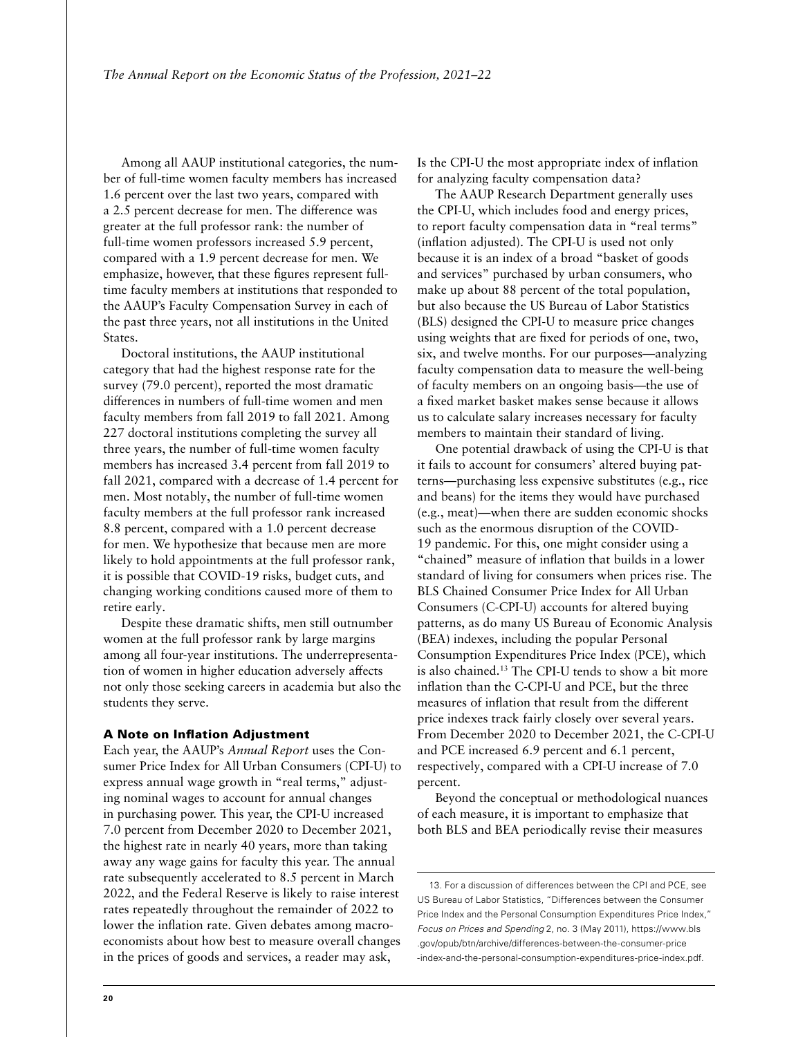Among all AAUP institutional categories, the number of full-time women faculty members has increased 1.6 percent over the last two years, compared with a 2.5 percent decrease for men. The difference was greater at the full professor rank: the number of full-time women professors increased 5.9 percent, compared with a 1.9 percent decrease for men. We emphasize, however, that these figures represent fulltime faculty members at institutions that responded to the AAUP's Faculty Compensation Survey in each of the past three years, not all institutions in the United States.

Doctoral institutions, the AAUP institutional category that had the highest response rate for the survey (79.0 percent), reported the most dramatic differences in numbers of full-time women and men faculty members from fall 2019 to fall 2021. Among 227 doctoral institutions completing the survey all three years, the number of full-time women faculty members has increased 3.4 percent from fall 2019 to fall 2021, compared with a decrease of 1.4 percent for men. Most notably, the number of full-time women faculty members at the full professor rank increased 8.8 percent, compared with a 1.0 percent decrease for men. We hypothesize that because men are more likely to hold appointments at the full professor rank, it is possible that COVID-19 risks, budget cuts, and changing working conditions caused more of them to retire early.

Despite these dramatic shifts, men still outnumber women at the full professor rank by large margins among all four-year institutions. The underrepresentation of women in higher education adversely affects not only those seeking careers in academia but also the students they serve.

#### A Note on Inflation Adjustment

Each year, the AAUP's *Annual Report* uses the Consumer Price Index for All Urban Consumers (CPI-U) to express annual wage growth in "real terms," adjusting nominal wages to account for annual changes in purchasing power. This year, the CPI-U increased 7.0 percent from December 2020 to December 2021, the highest rate in nearly 40 years, more than taking away any wage gains for faculty this year. The annual rate subsequently accelerated to 8.5 percent in March 2022, and the Federal Reserve is likely to raise interest rates repeatedly throughout the remainder of 2022 to lower the inflation rate. Given debates among macroeconomists about how best to measure overall changes in the prices of goods and services, a reader may ask,

Is the CPI-U the most appropriate index of inflation for analyzing faculty compensation data?

The AAUP Research Department generally uses the CPI-U, which includes food and energy prices, to report faculty compensation data in "real terms" (inflation adjusted). The CPI-U is used not only because it is an index of a broad "basket of goods and services" purchased by urban consumers, who make up about 88 percent of the total population, but also because the US Bureau of Labor Statistics (BLS) designed the CPI-U to measure price changes using weights that are fixed for periods of one, two, six, and twelve months. For our purposes—analyzing faculty compensation data to measure the well-being of faculty members on an ongoing basis—the use of a fixed market basket makes sense because it allows us to calculate salary increases necessary for faculty members to maintain their standard of living.

One potential drawback of using the CPI-U is that it fails to account for consumers' altered buying patterns—purchasing less expensive substitutes (e.g., rice and beans) for the items they would have purchased (e.g., meat)—when there are sudden economic shocks such as the enormous disruption of the COVID-19 pandemic. For this, one might consider using a "chained" measure of inflation that builds in a lower standard of living for consumers when prices rise. The BLS Chained Consumer Price Index for All Urban Consumers (C-CPI-U) accounts for altered buying patterns, as do many US Bureau of Economic Analysis (BEA) indexes, including the popular Personal Consumption Expenditures Price Index (PCE), which is also chained.13 The CPI-U tends to show a bit more inflation than the C-CPI-U and PCE, but the three measures of inflation that result from the different price indexes track fairly closely over several years. From December 2020 to December 2021, the C-CPI-U and PCE increased 6.9 percent and 6.1 percent, respectively, compared with a CPI-U increase of 7.0 percent.

Beyond the conceptual or methodological nuances of each measure, it is important to emphasize that both BLS and BEA periodically revise their measures

<sup>13.</sup> For a discussion of differences between the CPI and PCE, see US Bureau of Labor Statistics, "Differences between the Consumer Price Index and the Personal Consumption Expenditures Price Index," *Focus on Prices and Spending* 2, no. 3 (May 2011), [https://www.bls](https://www.bls.gov/opub/btn/archive/differences-between-the-consumer-price-index-and-the-personal-consumption-expenditures-price-index.pdf) [.gov/opub/btn/archive/differences-between-the-consumer-price](https://www.bls.gov/opub/btn/archive/differences-between-the-consumer-price-index-and-the-personal-consumption-expenditures-price-index.pdf) [-index-and-the-personal-consumption-expenditures-price-index.pdf](https://www.bls.gov/opub/btn/archive/differences-between-the-consumer-price-index-and-the-personal-consumption-expenditures-price-index.pdf).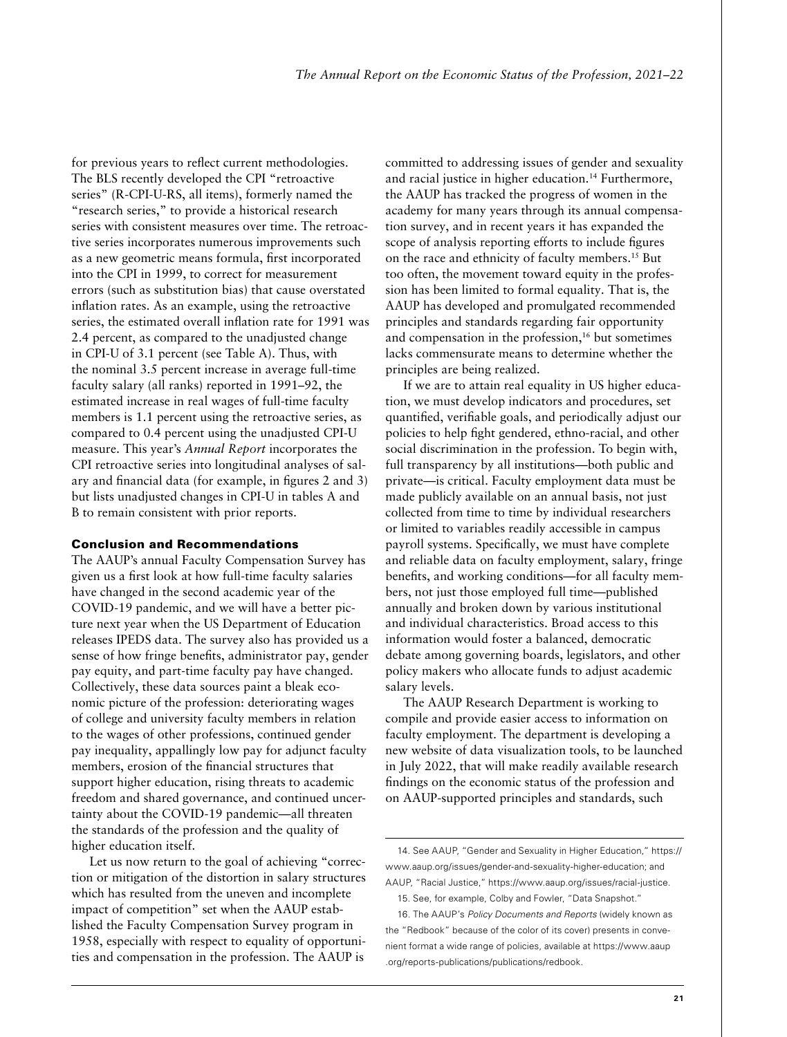for previous years to reflect current methodologies. The BLS recently developed the CPI "retroactive series" (R-CPI-U-RS, all items), formerly named the "research series," to provide a historical research series with consistent measures over time. The retroactive series incorporates numerous improvements such as a new geometric means formula, first incorporated into the CPI in 1999, to correct for measurement errors (such as substitution bias) that cause overstated inflation rates. As an example, using the retroactive series, the estimated overall inflation rate for 1991 was 2.4 percent, as compared to the unadjusted change in CPI-U of 3.1 percent (see Table A). Thus, with the nominal 3.5 percent increase in average full-time faculty salary (all ranks) reported in 1991–92, the estimated increase in real wages of full-time faculty members is 1.1 percent using the retroactive series, as compared to 0.4 percent using the unadjusted CPI-U measure. This year's *Annual Report* incorporates the CPI retroactive series into longitudinal analyses of salary and financial data (for example, in figures 2 and 3) but lists unadjusted changes in CPI-U in tables A and B to remain consistent with prior reports.

#### Conclusion and Recommendations

The AAUP's annual Faculty Compensation Survey has given us a first look at how full-time faculty salaries have changed in the second academic year of the COVID-19 pandemic, and we will have a better picture next year when the US Department of Education releases IPEDS data. The survey also has provided us a sense of how fringe benefits, administrator pay, gender pay equity, and part-time faculty pay have changed. Collectively, these data sources paint a bleak economic picture of the profession: deteriorating wages of college and university faculty members in relation to the wages of other professions, continued gender pay inequality, appallingly low pay for adjunct faculty members, erosion of the financial structures that support higher education, rising threats to academic freedom and shared governance, and continued uncertainty about the COVID-19 pandemic—all threaten the standards of the profession and the quality of higher education itself.

Let us now return to the goal of achieving "correction or mitigation of the distortion in salary structures which has resulted from the uneven and incomplete impact of competition" set when the AAUP established the Faculty Compensation Survey program in 1958, especially with respect to equality of opportunities and compensation in the profession. The AAUP is

committed to addressing issues of gender and sexuality and racial justice in higher education.<sup>14</sup> Furthermore, the AAUP has tracked the progress of women in the academy for many years through its annual compensation survey, and in recent years it has expanded the scope of analysis reporting efforts to include figures on the race and ethnicity of faculty members.15 But too often, the movement toward equity in the profession has been limited to formal equality. That is, the AAUP has developed and promulgated recommended principles and standards regarding fair opportunity and compensation in the profession,<sup>16</sup> but sometimes lacks commensurate means to determine whether the principles are being realized.

If we are to attain real equality in US higher education, we must develop indicators and procedures, set quantified, verifiable goals, and periodically adjust our policies to help fight gendered, ethno-racial, and other social discrimination in the profession. To begin with, full transparency by all institutions—both public and private—is critical. Faculty employment data must be made publicly available on an annual basis, not just collected from time to time by individual researchers or limited to variables readily accessible in campus payroll systems. Specifically, we must have complete and reliable data on faculty employment, salary, fringe benefits, and working conditions—for all faculty members, not just those employed full time—published annually and broken down by various institutional and individual characteristics. Broad access to this information would foster a balanced, democratic debate among governing boards, legislators, and other policy makers who allocate funds to adjust academic salary levels.

The AAUP Research Department is working to compile and provide easier access to information on faculty employment. The department is developing a new website of data visualization tools, to be launched in July 2022, that will make readily available research findings on the economic status of the profession and on AAUP-supported principles and standards, such

<sup>14.</sup> See AAUP, "Gender and Sexuality in Higher Education," https:// www.aaup.org/issues/gender-and-sexuality-higher-education; and AAUP, "Racial Justice," https://www.aaup.org/issues/racial-justice.

<sup>15.</sup> See, for example, Colby and Fowler, "Data Snapshot."

<sup>16.</sup> The AAUP's *Policy Documents and Reports* (widely known as the "Redbook" because of the color of its cover) presents in convenient format a wide range of policies, available at [https://www.aaup](https://www.aaup.org/reports-publications/publications/redbook) [.org/reports-publications/publications/redbook](https://www.aaup.org/reports-publications/publications/redbook).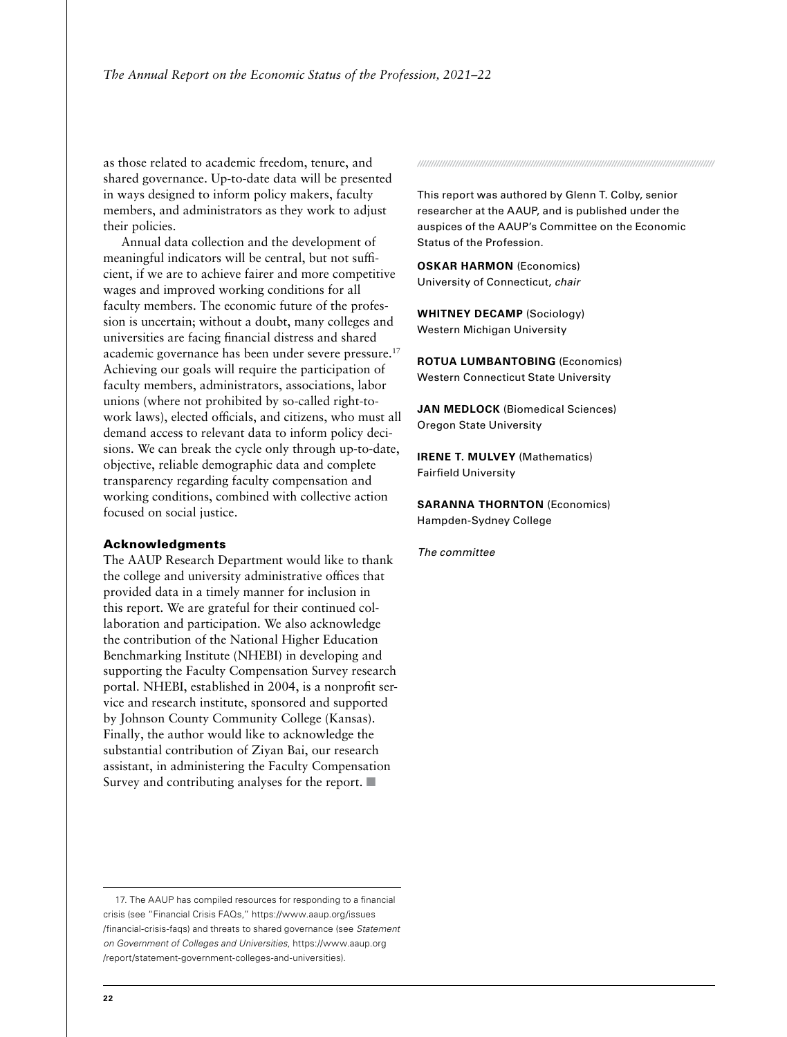as those related to academic freedom, tenure, and shared governance. Up-to-date data will be presented in ways designed to inform policy makers, faculty members, and administrators as they work to adjust their policies.

Annual data collection and the development of meaningful indicators will be central, but not sufficient, if we are to achieve fairer and more competitive wages and improved working conditions for all faculty members. The economic future of the profession is uncertain; without a doubt, many colleges and universities are facing financial distress and shared academic governance has been under severe pressure.17 Achieving our goals will require the participation of faculty members, administrators, associations, labor unions (where not prohibited by so-called right-towork laws), elected officials, and citizens, who must all demand access to relevant data to inform policy decisions. We can break the cycle only through up-to-date, objective, reliable demographic data and complete transparency regarding faculty compensation and working conditions, combined with collective action focused on social justice.

#### Acknowledgments

The AAUP Research Department would like to thank the college and university administrative offices that provided data in a timely manner for inclusion in this report. We are grateful for their continued collaboration and participation. We also acknowledge the contribution of the National Higher Education Benchmarking Institute (NHEBI) in developing and supporting the Faculty Compensation Survey research portal. NHEBI, established in 2004, is a nonprofit service and research institute, sponsored and supported by Johnson County Community College (Kansas). Finally, the author would like to acknowledge the substantial contribution of Ziyan Bai, our research assistant, in administering the Faculty Compensation Survey and contributing analyses for the report.  $\blacksquare$ 

17. The AAUP has compiled resources for responding to a financial crisis (see "Financial Crisis FAQs," [https://www.aaup.org/issues](https://www.aaup.org/issues/financial-crisis-faqs) [/financial-crisis-faqs](https://www.aaup.org/issues/financial-crisis-faqs)) and threats to shared governance (see *Statement on Government of Colleges and Universities*, [https://www.aaup.org](https://www.aaup.org/report/statement-government-colleges-and-universities) [/report/statement-government-colleges-and-universities](https://www.aaup.org/report/statement-government-colleges-and-universities)).

This report was authored by Glenn T. Colby, senior researcher at the AAUP, and is published under the auspices of the AAUP's Committee on the Economic Status of the Profession.

*//////////////////////////////////////////////////////////////////////////////////////////////////////////////*

**OSKAR HARMON** (Economics) University of Connecticut, *chair*

**WHITNEY DECAMP** (Sociology) Western Michigan University

**ROTUA LUMBANTOBING** (Economics) Western Connecticut State University

**JAN MEDLOCK** (Biomedical Sciences) Oregon State University

**IRENE T. MULVEY** (Mathematics) Fairfield University

**SARANNA THORNTON** (Economics) Hampden-Sydney College

*The committee*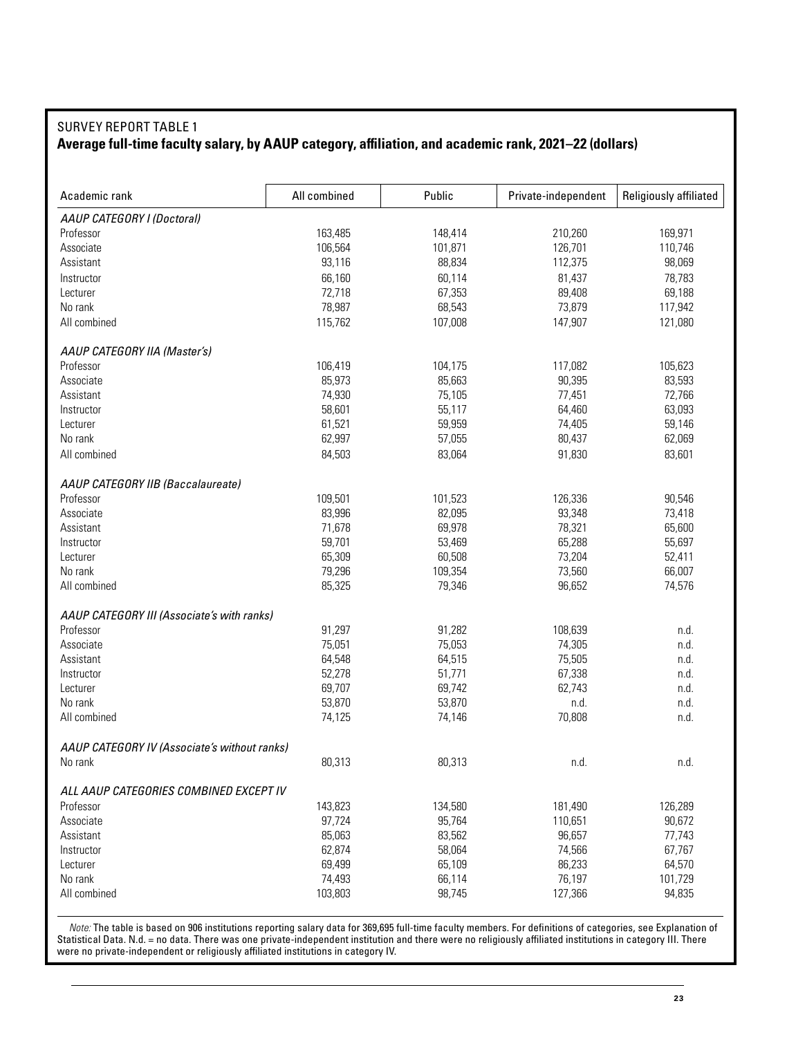# SURVEY REPORT TABLE 1 **Average full-time faculty salary, by AAUP category, affiliation, and academic rank, 2021–22 (dollars)**

| AAUP CATEGORY I (Doctoral)<br>163,485<br>210,260<br>169,971<br>Professor<br>148,414<br>101,871<br>126,701<br>106,564<br>110,746<br>Associate<br>88,834<br>93,116<br>112,375<br>98,069<br>Assistant<br>66,160<br>60,114<br>81,437<br>78,783<br>Instructor<br>72,718<br>67,353<br>89,408<br>69,188<br>Lecturer<br>78,987<br>No rank<br>68,543<br>73,879<br>117,942<br>All combined<br>107,008<br>147,907<br>115,762<br>121,080<br>AAUP CATEGORY IIA (Master's)<br>106,419<br>104,175<br>117,082<br>105,623<br>Professor<br>85,973<br>Associate<br>85,663<br>90,395<br>83,593<br>Assistant<br>74,930<br>75,105<br>77,451<br>72,766<br>58,601<br>55,117<br>64,460<br>63,093<br>Instructor<br>61,521<br>59,959<br>59,146<br>Lecturer<br>74,405<br>62,997<br>57,055<br>80,437<br>62,069<br>No rank | Academic rank | All combined | Public | Private-independent | Religiously affiliated |
|----------------------------------------------------------------------------------------------------------------------------------------------------------------------------------------------------------------------------------------------------------------------------------------------------------------------------------------------------------------------------------------------------------------------------------------------------------------------------------------------------------------------------------------------------------------------------------------------------------------------------------------------------------------------------------------------------------------------------------------------------------------------------------------------|---------------|--------------|--------|---------------------|------------------------|
|                                                                                                                                                                                                                                                                                                                                                                                                                                                                                                                                                                                                                                                                                                                                                                                              |               |              |        |                     |                        |
|                                                                                                                                                                                                                                                                                                                                                                                                                                                                                                                                                                                                                                                                                                                                                                                              |               |              |        |                     |                        |
|                                                                                                                                                                                                                                                                                                                                                                                                                                                                                                                                                                                                                                                                                                                                                                                              |               |              |        |                     |                        |
|                                                                                                                                                                                                                                                                                                                                                                                                                                                                                                                                                                                                                                                                                                                                                                                              |               |              |        |                     |                        |
|                                                                                                                                                                                                                                                                                                                                                                                                                                                                                                                                                                                                                                                                                                                                                                                              |               |              |        |                     |                        |
|                                                                                                                                                                                                                                                                                                                                                                                                                                                                                                                                                                                                                                                                                                                                                                                              |               |              |        |                     |                        |
|                                                                                                                                                                                                                                                                                                                                                                                                                                                                                                                                                                                                                                                                                                                                                                                              |               |              |        |                     |                        |
|                                                                                                                                                                                                                                                                                                                                                                                                                                                                                                                                                                                                                                                                                                                                                                                              |               |              |        |                     |                        |
|                                                                                                                                                                                                                                                                                                                                                                                                                                                                                                                                                                                                                                                                                                                                                                                              |               |              |        |                     |                        |
|                                                                                                                                                                                                                                                                                                                                                                                                                                                                                                                                                                                                                                                                                                                                                                                              |               |              |        |                     |                        |
|                                                                                                                                                                                                                                                                                                                                                                                                                                                                                                                                                                                                                                                                                                                                                                                              |               |              |        |                     |                        |
|                                                                                                                                                                                                                                                                                                                                                                                                                                                                                                                                                                                                                                                                                                                                                                                              |               |              |        |                     |                        |
|                                                                                                                                                                                                                                                                                                                                                                                                                                                                                                                                                                                                                                                                                                                                                                                              |               |              |        |                     |                        |
|                                                                                                                                                                                                                                                                                                                                                                                                                                                                                                                                                                                                                                                                                                                                                                                              |               |              |        |                     |                        |
|                                                                                                                                                                                                                                                                                                                                                                                                                                                                                                                                                                                                                                                                                                                                                                                              |               |              |        |                     |                        |
|                                                                                                                                                                                                                                                                                                                                                                                                                                                                                                                                                                                                                                                                                                                                                                                              | All combined  | 84,503       | 83,064 | 91,830              | 83,601                 |
| AAUP CATEGORY IIB (Baccalaureate)                                                                                                                                                                                                                                                                                                                                                                                                                                                                                                                                                                                                                                                                                                                                                            |               |              |        |                     |                        |
| Professor<br>109,501<br>101,523<br>126,336<br>90,546                                                                                                                                                                                                                                                                                                                                                                                                                                                                                                                                                                                                                                                                                                                                         |               |              |        |                     |                        |
| Associate<br>83,996<br>82,095<br>93,348<br>73,418                                                                                                                                                                                                                                                                                                                                                                                                                                                                                                                                                                                                                                                                                                                                            |               |              |        |                     |                        |
| 71,678<br>69,978<br>78,321<br>65,600<br>Assistant                                                                                                                                                                                                                                                                                                                                                                                                                                                                                                                                                                                                                                                                                                                                            |               |              |        |                     |                        |
| 59,701<br>53,469<br>65,288<br>55,697<br>Instructor                                                                                                                                                                                                                                                                                                                                                                                                                                                                                                                                                                                                                                                                                                                                           |               |              |        |                     |                        |
| 65,309<br>60,508<br>73,204<br>Lecturer<br>52,411                                                                                                                                                                                                                                                                                                                                                                                                                                                                                                                                                                                                                                                                                                                                             |               |              |        |                     |                        |
| 79,296<br>109,354<br>73,560<br>66,007<br>No rank                                                                                                                                                                                                                                                                                                                                                                                                                                                                                                                                                                                                                                                                                                                                             |               |              |        |                     |                        |
| All combined<br>85,325<br>79,346<br>96,652<br>74,576                                                                                                                                                                                                                                                                                                                                                                                                                                                                                                                                                                                                                                                                                                                                         |               |              |        |                     |                        |
| AAUP CATEGORY III (Associate's with ranks)                                                                                                                                                                                                                                                                                                                                                                                                                                                                                                                                                                                                                                                                                                                                                   |               |              |        |                     |                        |
| Professor<br>91,297<br>91,282<br>108,639<br>n.d.                                                                                                                                                                                                                                                                                                                                                                                                                                                                                                                                                                                                                                                                                                                                             |               |              |        |                     |                        |
| 75,051<br>75,053<br>74,305<br>n.d.<br>Associate                                                                                                                                                                                                                                                                                                                                                                                                                                                                                                                                                                                                                                                                                                                                              |               |              |        |                     |                        |
| 64,515<br>Assistant<br>64,548<br>75,505<br>n.d.                                                                                                                                                                                                                                                                                                                                                                                                                                                                                                                                                                                                                                                                                                                                              |               |              |        |                     |                        |
| 52,278<br>51,771<br>67,338<br>n.d.<br>Instructor                                                                                                                                                                                                                                                                                                                                                                                                                                                                                                                                                                                                                                                                                                                                             |               |              |        |                     |                        |
| 69,707<br>69,742<br>62,743<br>Lecturer<br>n.d.                                                                                                                                                                                                                                                                                                                                                                                                                                                                                                                                                                                                                                                                                                                                               |               |              |        |                     |                        |
| 53,870<br>53,870<br>No rank<br>n.d.<br>n.d.                                                                                                                                                                                                                                                                                                                                                                                                                                                                                                                                                                                                                                                                                                                                                  |               |              |        |                     |                        |
| 70,808<br>n.d.<br>All combined<br>74,125<br>74,146                                                                                                                                                                                                                                                                                                                                                                                                                                                                                                                                                                                                                                                                                                                                           |               |              |        |                     |                        |
| AAUP CATEGORY IV (Associate's without ranks)                                                                                                                                                                                                                                                                                                                                                                                                                                                                                                                                                                                                                                                                                                                                                 |               |              |        |                     |                        |
| 80,313<br>80,313<br>No rank<br>n.d.<br>n.d.                                                                                                                                                                                                                                                                                                                                                                                                                                                                                                                                                                                                                                                                                                                                                  |               |              |        |                     |                        |
| ALL AAUP CATEGORIES COMBINED EXCEPT IV                                                                                                                                                                                                                                                                                                                                                                                                                                                                                                                                                                                                                                                                                                                                                       |               |              |        |                     |                        |
| 143,823<br>134,580<br>181,490<br>126,289<br>Professor                                                                                                                                                                                                                                                                                                                                                                                                                                                                                                                                                                                                                                                                                                                                        |               |              |        |                     |                        |
| 97,724<br>95,764<br>110,651<br>90,672<br>Associate                                                                                                                                                                                                                                                                                                                                                                                                                                                                                                                                                                                                                                                                                                                                           |               |              |        |                     |                        |
| 85,063<br>83,562<br>96,657<br>77,743<br>Assistant                                                                                                                                                                                                                                                                                                                                                                                                                                                                                                                                                                                                                                                                                                                                            |               |              |        |                     |                        |
| 62,874<br>58,064<br>74,566<br>67,767<br>Instructor                                                                                                                                                                                                                                                                                                                                                                                                                                                                                                                                                                                                                                                                                                                                           |               |              |        |                     |                        |
| 86,233<br>69,499<br>65,109<br>64,570<br>Lecturer                                                                                                                                                                                                                                                                                                                                                                                                                                                                                                                                                                                                                                                                                                                                             |               |              |        |                     |                        |
| No rank<br>76,197<br>74,493<br>66,114<br>101,729                                                                                                                                                                                                                                                                                                                                                                                                                                                                                                                                                                                                                                                                                                                                             |               |              |        |                     |                        |
| All combined<br>94,835<br>103,803<br>98,745<br>127,366                                                                                                                                                                                                                                                                                                                                                                                                                                                                                                                                                                                                                                                                                                                                       |               |              |        |                     |                        |

*Note:* The table is based on 906 institutions reporting salary data for 369,695 full-time faculty members. For definitions of categories, see Explanation of Statistical Data. N.d. = no data. There was one private-independent institution and there were no religiously affiliated institutions in category III. There were no private-independent or religiously affiliated institutions in category IV.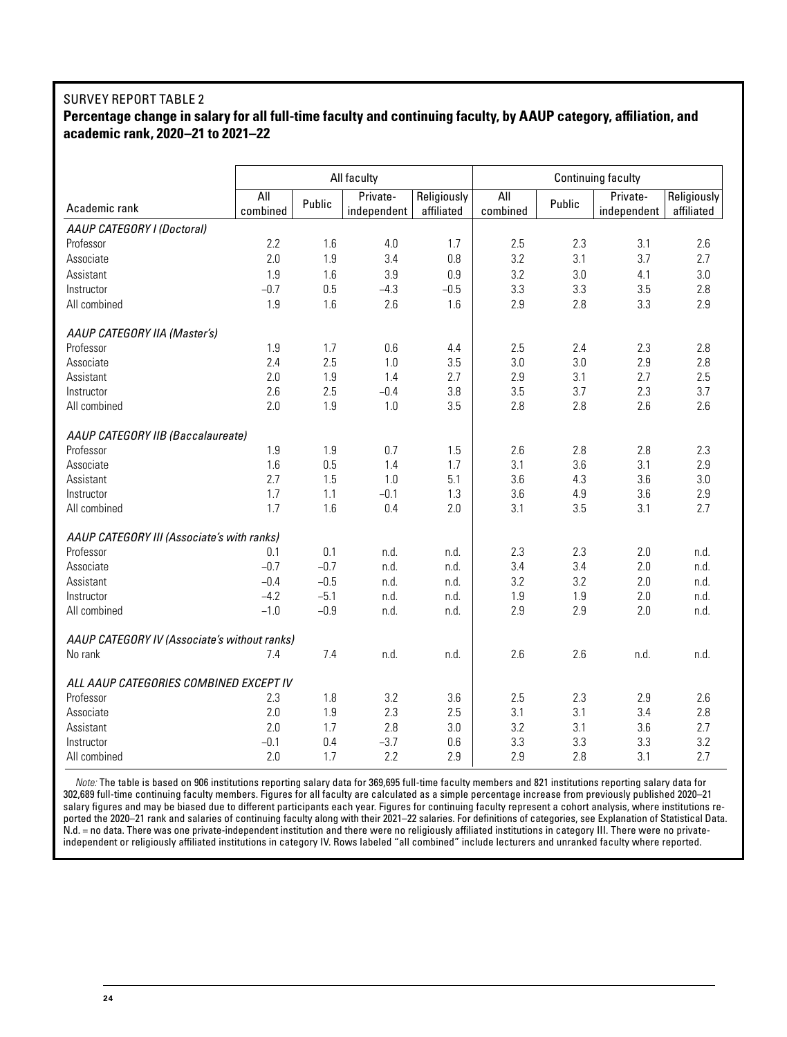#### SURVEY REPORT TABLE 2 **Percentage change in salary for all full-time faculty and continuing faculty, by AAUP category, affiliation, and academic rank, 2020–21 to 2021–22**

|                                              |                 |        | All faculty             | Continuing faculty<br>Religiously<br>All<br>Private-<br>Religiously |          |        |             |            |  |  |
|----------------------------------------------|-----------------|--------|-------------------------|---------------------------------------------------------------------|----------|--------|-------------|------------|--|--|
| Academic rank                                | All<br>combined | Public | Private-<br>independent | affiliated                                                          | combined | Public | independent | affiliated |  |  |
| AAUP CATEGORY I (Doctoral)                   |                 |        |                         |                                                                     |          |        |             |            |  |  |
| Professor                                    | 2.2             | 1.6    | 4.0                     | 1.7                                                                 | 2.5      | 2.3    | 3.1         | 2.6        |  |  |
| Associate                                    | 2.0             | 1.9    | 3.4                     | 0.8                                                                 | 3.2      | 3.1    | 3.7         | 2.7        |  |  |
| Assistant                                    | 1.9             | 1.6    | 3.9                     | 0.9                                                                 | 3.2      | 3.0    | 4.1         | 3.0        |  |  |
| Instructor                                   | $-0.7$          | 0.5    | $-4.3$                  | $-0.5$                                                              | 3.3      | 3.3    | 3.5         | 2.8        |  |  |
| All combined                                 | 1.9             | 1.6    | 2.6                     | 1.6                                                                 | 2.9      | 2.8    | 3.3         | 2.9        |  |  |
| AAUP CATEGORY IIA (Master's)                 |                 |        |                         |                                                                     |          |        |             |            |  |  |
| Professor                                    | 1.9             | 1.7    | 0.6                     | 4.4                                                                 | 2.5      | 2.4    | 2.3         | 2.8        |  |  |
| Associate                                    | 2.4             | 2.5    | 1.0                     | 3.5                                                                 | 3.0      | 3.0    | 2.9         | 2.8        |  |  |
| Assistant                                    | 2.0             | 1.9    | 1.4                     | 2.7                                                                 | 2.9      | 3.1    | 2.7         | 2.5        |  |  |
| Instructor                                   | 2.6             | 2.5    | $-0.4$                  | 3.8                                                                 | 3.5      | 3.7    | 2.3         | 3.7        |  |  |
| All combined                                 | 2.0             | 1.9    | 1.0                     | 3.5                                                                 | 2.8      | 2.8    | 2.6         | 2.6        |  |  |
| AAUP CATEGORY IIB (Baccalaureate)            |                 |        |                         |                                                                     |          |        |             |            |  |  |
| Professor                                    | 1.9             | 1.9    | 0.7                     | 1.5                                                                 | 2.6      | 2.8    | 2.8         | 2.3        |  |  |
| Associate                                    | 1.6             | 0.5    | 1.4                     | 1.7                                                                 | 3.1      | 3.6    | 3.1         | 2.9        |  |  |
| Assistant                                    | 2.7             | 1.5    | 1.0                     | 5.1                                                                 | 3.6      | 4.3    | 3.6         | 3.0        |  |  |
| Instructor                                   | 1.7             | 1.1    | $-0.1$                  | 1.3                                                                 | 3.6      | 4.9    | 3.6         | 2.9        |  |  |
| All combined                                 | 1.7             | 1.6    | 0.4                     | 2.0                                                                 | 3.1      | 3.5    | 3.1         | 2.7        |  |  |
| AAUP CATEGORY III (Associate's with ranks)   |                 |        |                         |                                                                     |          |        |             |            |  |  |
| Professor                                    | 0.1             | 0.1    | n.d.                    | n.d.                                                                | 2.3      | 2.3    | 2.0         | n.d.       |  |  |
| Associate                                    | $-0.7$          | $-0.7$ | n.d.                    | n.d.                                                                | 3.4      | 3.4    | 2.0         | n.d.       |  |  |
| Assistant                                    | $-0.4$          | $-0.5$ | n.d.                    | n.d.                                                                | 3.2      | 3.2    | 2.0         | n.d.       |  |  |
| Instructor                                   | $-4.2$          | $-5.1$ | n.d.                    | n.d.                                                                | 1.9      | 1.9    | 2.0         | n.d.       |  |  |
| All combined                                 | $-1.0$          | $-0.9$ | n.d.                    | n.d.                                                                | 2.9      | 2.9    | 2.0         | n.d.       |  |  |
| AAUP CATEGORY IV (Associate's without ranks) |                 |        |                         |                                                                     |          |        |             |            |  |  |
| No rank                                      | 7.4             | 7.4    | n.d.                    | n.d.                                                                | 2.6      | 2.6    | n.d.        | n.d.       |  |  |
| ALL AAUP CATEGORIES COMBINED EXCEPT IV       |                 |        |                         |                                                                     |          |        |             |            |  |  |
| Professor                                    | 2.3             | 1.8    | 3.2                     | 3.6                                                                 | 2.5      | 2.3    | 2.9         | 2.6        |  |  |
| Associate                                    | 2.0             | 1.9    | 2.3                     | 2.5                                                                 | 3.1      | 3.1    | 3.4         | 2.8        |  |  |
| Assistant                                    | 2.0             | 1.7    | 2.8                     | 3.0                                                                 | 3.2      | 3.1    | 3.6         | 2.7        |  |  |
| Instructor                                   | $-0.1$          | 0.4    | $-3.7$                  | 0.6                                                                 | 3.3      | 3.3    | 3.3         | 3.2        |  |  |
| All combined                                 | 2.0             | 1.7    | 2.2                     | 2.9                                                                 | 2.9      | 2.8    | 3.1         | 2.7        |  |  |

*Note:* The table is based on 906 institutions reporting salary data for 369,695 full-time faculty members and 821 institutions reporting salary data for 302,689 full-time continuing faculty members. Figures for all faculty are calculated as a simple percentage increase from previously published 2020–21 salary figures and may be biased due to different participants each year. Figures for continuing faculty represent a cohort analysis, where institutions reported the 2020–21 rank and salaries of continuing faculty along with their 2021–22 salaries. For definitions of categories, see Explanation of Statistical Data. N.d. = no data. There was one private-independent institution and there were no religiously affiliated institutions in category III. There were no privateindependent or religiously affiliated institutions in category IV. Rows labeled "all combined" include lecturers and unranked faculty where reported.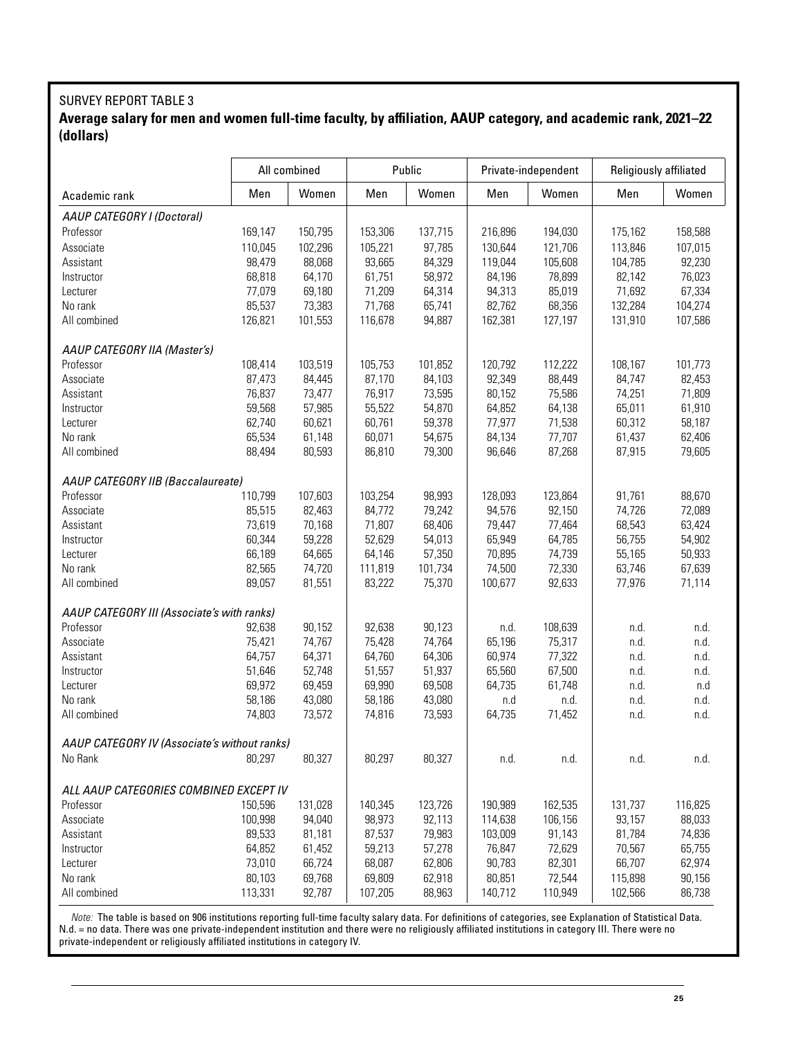## SURVEY REPORT TABLE 3 **Average salary for men and women full-time faculty, by affiliation, AAUP category, and academic rank, 2021–22 (dollars)**

|                                              | All combined |         |         | Public  |         | Private-independent | Religiously affiliated |         |
|----------------------------------------------|--------------|---------|---------|---------|---------|---------------------|------------------------|---------|
| Academic rank                                | Men          | Women   | Men     | Women   | Men     | Women               | Men                    | Women   |
| AAUP CATEGORY I (Doctoral)                   |              |         |         |         |         |                     |                        |         |
| Professor                                    | 169,147      | 150,795 | 153,306 | 137,715 | 216,896 | 194,030             | 175,162                | 158,588 |
| Associate                                    | 110,045      | 102,296 | 105,221 | 97,785  | 130,644 | 121,706             | 113,846                | 107,015 |
| Assistant                                    | 98,479       | 88,068  | 93,665  | 84,329  | 119,044 | 105,608             | 104,785                | 92,230  |
| Instructor                                   | 68,818       | 64,170  | 61,751  | 58,972  | 84,196  | 78,899              | 82,142                 | 76,023  |
| Lecturer                                     | 77,079       | 69,180  | 71,209  | 64,314  | 94,313  | 85,019              | 71,692                 | 67,334  |
| No rank                                      | 85,537       | 73,383  | 71,768  | 65,741  | 82,762  | 68,356              | 132,284                | 104,274 |
| All combined                                 | 126,821      | 101,553 | 116,678 | 94,887  | 162,381 | 127,197             | 131,910                | 107,586 |
|                                              |              |         |         |         |         |                     |                        |         |
| AAUP CATEGORY IIA (Master's)                 |              |         |         |         |         |                     |                        |         |
| Professor                                    | 108,414      | 103,519 | 105,753 | 101,852 | 120,792 | 112,222             | 108,167                | 101,773 |
| Associate                                    | 87,473       | 84,445  | 87,170  | 84,103  | 92,349  | 88,449              | 84,747                 | 82,453  |
| Assistant                                    | 76,837       | 73,477  | 76,917  | 73,595  | 80,152  | 75,586              | 74,251                 | 71,809  |
| Instructor                                   | 59,568       | 57,985  | 55,522  | 54,870  | 64,852  | 64,138              | 65,011                 | 61,910  |
| Lecturer                                     | 62,740       | 60,621  | 60,761  | 59,378  | 77,977  | 71,538              | 60,312                 | 58,187  |
| No rank                                      | 65,534       | 61,148  | 60,071  | 54,675  | 84,134  | 77,707              | 61,437                 | 62,406  |
| All combined                                 | 88,494       | 80,593  | 86,810  | 79,300  | 96,646  | 87,268              | 87,915                 | 79,605  |
| AAUP CATEGORY IIB (Baccalaureate)            |              |         |         |         |         |                     |                        |         |
| Professor                                    | 110,799      | 107,603 | 103,254 | 98,993  | 128,093 | 123,864             | 91,761                 | 88,670  |
| Associate                                    | 85,515       | 82,463  | 84,772  | 79,242  | 94,576  | 92,150              | 74,726                 | 72,089  |
| Assistant                                    | 73,619       | 70,168  | 71,807  | 68,406  | 79,447  | 77,464              | 68,543                 | 63,424  |
| Instructor                                   | 60,344       | 59,228  | 52,629  | 54,013  | 65,949  | 64,785              | 56,755                 | 54,902  |
| Lecturer                                     | 66,189       | 64,665  | 64,146  | 57,350  | 70,895  | 74,739              | 55,165                 | 50,933  |
| No rank                                      | 82,565       | 74,720  | 111,819 | 101,734 | 74,500  | 72,330              | 63,746                 | 67,639  |
| All combined                                 | 89,057       | 81,551  | 83,222  | 75,370  | 100,677 | 92,633              | 77,976                 | 71,114  |
|                                              |              |         |         |         |         |                     |                        |         |
| AAUP CATEGORY III (Associate's with ranks)   |              |         |         |         |         |                     |                        |         |
| Professor                                    | 92,638       | 90,152  | 92,638  | 90,123  | n.d.    | 108,639             | n.d.                   | n.d.    |
| Associate                                    | 75,421       | 74,767  | 75,428  | 74,764  | 65,196  | 75,317              | n.d.                   | n.d.    |
| Assistant                                    | 64,757       | 64,371  | 64,760  | 64,306  | 60,974  | 77,322              | n.d.                   | n.d.    |
| Instructor                                   | 51,646       | 52,748  | 51,557  | 51,937  | 65,560  | 67,500              | n.d.                   | n.d.    |
| Lecturer                                     | 69,972       | 69,459  | 69,990  | 69,508  | 64,735  | 61,748              | n.d.                   | n.d     |
| No rank                                      | 58,186       | 43,080  | 58,186  | 43,080  | n.d     | n.d.                | n.d.                   | n.d.    |
| All combined                                 | 74,803       | 73,572  | 74,816  | 73,593  | 64,735  | 71,452              | n.d.                   | n.d.    |
| AAUP CATEGORY IV (Associate's without ranks) |              |         |         |         |         |                     |                        |         |
| No Rank                                      | 80,297       | 80,327  | 80,297  | 80,327  | n.d.    | n.d.                | n.d.                   | n.d.    |
|                                              |              |         |         |         |         |                     |                        |         |
| ALL AAUP CATEGORIES COMBINED EXCEPT IV       |              |         | 140,345 | 123,726 |         |                     | 131,737                |         |
| Professor                                    | 150,596      | 131,028 |         |         | 190,989 | 162,535             |                        | 116,825 |
| Associate                                    | 100,998      | 94,040  | 98,973  | 92,113  | 114,638 | 106,156             | 93,157                 | 88,033  |
| Assistant                                    | 89,533       | 81,181  | 87,537  | 79,983  | 103,009 | 91,143              | 81,784                 | 74,836  |
| Instructor                                   | 64,852       | 61,452  | 59,213  | 57,278  | 76,847  | 72,629              | 70,567                 | 65,755  |
| Lecturer                                     | 73,010       | 66,724  | 68,087  | 62,806  | 90,783  | 82,301              | 66,707                 | 62,974  |
| No rank                                      | 80,103       | 69,768  | 69,809  | 62,918  | 80,851  | 72,544              | 115,898                | 90,156  |
| All combined                                 | 113,331      | 92,787  | 107,205 | 88,963  | 140,712 | 110,949             | 102,566                | 86,738  |

*Note:* The table is based on 906 institutions reporting full-time faculty salary data. For definitions of categories, see Explanation of Statistical Data. N.d. = no data. There was one private-independent institution and there were no religiously affiliated institutions in category III. There were no private-independent or religiously affiliated institutions in category IV.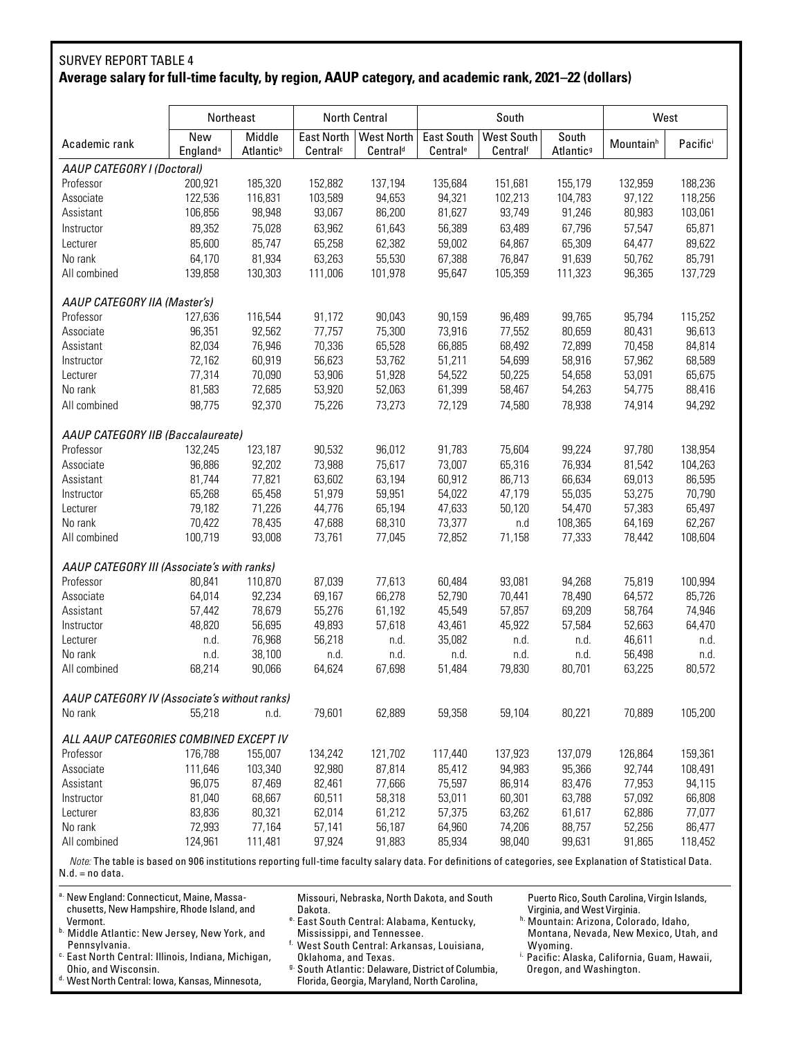# SURVEY REPORT TABLE 4 **Average salary for full-time faculty, by region, AAUP category, and academic rank, 2021–22 (dollars)**

|                                                                                                                                                           | Northeast                          |                                 |                                           | North Central                      |                                           | South                         |                                | West                  |         |
|-----------------------------------------------------------------------------------------------------------------------------------------------------------|------------------------------------|---------------------------------|-------------------------------------------|------------------------------------|-------------------------------------------|-------------------------------|--------------------------------|-----------------------|---------|
| Academic rank                                                                                                                                             | New<br><b>England</b> <sup>a</sup> | Middle<br>Atlantic <sup>b</sup> | <b>East North</b><br>Central <sup>c</sup> | West North<br>Central <sup>d</sup> | <b>East South</b><br>Central <sup>e</sup> | <b>West South</b><br>Centralf | South<br>Atlantic <sup>9</sup> | Mountain <sup>h</sup> | Pacific |
| AAUP CATEGORY I (Doctoral)                                                                                                                                |                                    |                                 |                                           |                                    |                                           |                               |                                |                       |         |
| Professor                                                                                                                                                 | 200,921                            | 185,320                         | 152,882                                   | 137,194                            | 135,684                                   | 151,681                       | 155,179                        | 132,959               | 188,236 |
| Associate                                                                                                                                                 | 122,536                            | 116,831                         | 103,589                                   | 94,653                             | 94,321                                    | 102,213                       | 104,783                        | 97,122                | 118,256 |
| Assistant                                                                                                                                                 | 106,856                            | 98,948                          | 93,067                                    | 86,200                             | 81,627                                    | 93,749                        | 91,246                         | 80,983                | 103,061 |
| Instructor                                                                                                                                                | 89,352                             | 75,028                          | 63,962                                    | 61,643                             | 56,389                                    | 63,489                        | 67,796                         | 57,547                | 65,871  |
| Lecturer                                                                                                                                                  | 85,600                             | 85,747                          | 65,258                                    | 62,382                             | 59,002                                    | 64,867                        | 65,309                         | 64,477                | 89,622  |
| No rank                                                                                                                                                   | 64,170                             | 81,934                          | 63,263                                    | 55,530                             | 67,388                                    | 76,847                        | 91,639                         | 50,762                | 85,791  |
| All combined                                                                                                                                              | 139,858                            | 130,303                         | 111,006                                   | 101,978                            | 95,647                                    | 105,359                       | 111,323                        | 96,365                | 137,729 |
|                                                                                                                                                           |                                    |                                 |                                           |                                    |                                           |                               |                                |                       |         |
| AAUP CATEGORY IIA (Master's)                                                                                                                              |                                    |                                 |                                           |                                    |                                           |                               |                                |                       |         |
| Professor                                                                                                                                                 | 127.636                            | 116,544                         | 91,172                                    | 90,043                             | 90,159                                    | 96,489                        | 99,765                         | 95,794                | 115,252 |
| Associate                                                                                                                                                 | 96,351                             | 92,562                          | 77,757                                    | 75,300                             | 73,916                                    | 77,552                        | 80,659                         | 80,431                | 96,613  |
| Assistant                                                                                                                                                 | 82,034                             | 76,946                          | 70,336                                    | 65,528                             | 66,885                                    | 68,492                        | 72,899                         | 70,458                | 84,814  |
| Instructor                                                                                                                                                | 72,162                             | 60,919                          | 56,623                                    | 53,762                             | 51,211                                    | 54,699                        | 58,916                         | 57,962                | 68,589  |
| Lecturer                                                                                                                                                  | 77,314                             | 70,090                          | 53,906                                    | 51,928                             | 54,522                                    | 50,225                        | 54,658                         | 53,091                | 65,675  |
| No rank                                                                                                                                                   | 81,583                             | 72,685                          | 53,920                                    | 52,063                             | 61,399                                    | 58,467                        | 54,263                         | 54,775                | 88,416  |
| All combined                                                                                                                                              | 98,775                             | 92,370                          | 75,226                                    | 73,273                             | 72,129                                    | 74,580                        | 78,938                         | 74,914                | 94,292  |
| AAUP CATEGORY IIB (Baccalaureate)                                                                                                                         |                                    |                                 |                                           |                                    |                                           |                               |                                |                       |         |
| Professor                                                                                                                                                 | 132,245                            | 123,187                         | 90,532                                    | 96,012                             | 91,783                                    | 75,604                        | 99,224                         | 97,780                | 138,954 |
|                                                                                                                                                           |                                    |                                 |                                           |                                    |                                           |                               |                                |                       |         |
| Associate<br>Assistant                                                                                                                                    | 96,886                             | 92,202                          | 73,988<br>63,602                          | 75,617                             | 73,007                                    | 65,316                        | 76,934                         | 81,542                | 104,263 |
|                                                                                                                                                           | 81,744                             | 77,821                          |                                           | 63,194                             | 60,912                                    | 86,713                        | 66,634                         | 69,013                | 86,595  |
| Instructor                                                                                                                                                | 65,268                             | 65,458                          | 51,979                                    | 59,951                             | 54,022                                    | 47,179                        | 55,035                         | 53,275                | 70,790  |
| Lecturer                                                                                                                                                  | 79,182                             | 71,226                          | 44,776                                    | 65,194                             | 47,633                                    | 50,120                        | 54,470                         | 57,383                | 65,497  |
| No rank                                                                                                                                                   | 70,422                             | 78,435                          | 47,688                                    | 68,310                             | 73,377                                    | n.d                           | 108,365                        | 64,169                | 62.267  |
| All combined                                                                                                                                              | 100,719                            | 93,008                          | 73,761                                    | 77,045                             | 72,852                                    | 71,158                        | 77,333                         | 78,442                | 108,604 |
| AAUP CATEGORY III (Associate's with ranks)                                                                                                                |                                    |                                 |                                           |                                    |                                           |                               |                                |                       |         |
| Professor                                                                                                                                                 | 80,841                             | 110,870                         | 87,039                                    | 77,613                             | 60,484                                    | 93,081                        | 94,268                         | 75,819                | 100,994 |
| Associate                                                                                                                                                 | 64,014                             | 92,234                          | 69,167                                    | 66,278                             | 52,790                                    | 70,441                        | 78,490                         | 64,572                | 85,726  |
| Assistant                                                                                                                                                 | 57,442                             | 78,679                          | 55,276                                    | 61,192                             | 45,549                                    | 57,857                        | 69,209                         | 58,764                | 74,946  |
| Instructor                                                                                                                                                | 48,820                             | 56,695                          | 49,893                                    | 57,618                             | 43,461                                    | 45,922                        | 57,584                         | 52,663                | 64,470  |
| Lecturer                                                                                                                                                  | n.d.                               | 76,968                          | 56,218                                    | n.d.                               | 35,082                                    | n.d.                          | n.d.                           | 46,611                | n.d.    |
| No rank                                                                                                                                                   | n.d.                               | 38,100                          | n.d.                                      | n.d.                               | n.d.                                      | n.d.                          | n.d.                           | 56,498                | n.d.    |
| All combined                                                                                                                                              | 68,214                             | 90,066                          | 64,624                                    | 67,698                             | 51,484                                    | 79.830                        | 80,701                         | 63,225                | 80.572  |
| AAUP CATEGORY IV (Associate's without ranks)                                                                                                              |                                    |                                 |                                           |                                    |                                           |                               |                                |                       |         |
| No rank                                                                                                                                                   | 55,218                             | n.d.                            | 79,601                                    | 62,889                             | 59,358                                    | 59,104                        | 80,221                         | 70,889                | 105,200 |
| ALL AAUP CATEGORIES COMBINED EXCEPT IV                                                                                                                    |                                    |                                 |                                           |                                    |                                           |                               |                                |                       |         |
| Professor                                                                                                                                                 | 176,788                            | 155,007                         | 134,242                                   | 121,702                            | 117,440                                   | 137,923                       | 137,079                        | 126,864               | 159,361 |
| Associate                                                                                                                                                 | 111,646                            | 103,340                         | 92,980                                    | 87,814                             | 85,412                                    | 94,983                        | 95,366                         | 92,744                | 108,491 |
| Assistant                                                                                                                                                 | 96,075                             | 87,469                          | 82,461                                    | 77,666                             | 75,597                                    | 86,914                        | 83,476                         | 77,953                | 94,115  |
| Instructor                                                                                                                                                | 81,040                             | 68,667                          | 60,511                                    | 58,318                             | 53,011                                    | 60,301                        | 63,788                         | 57,092                | 66,808  |
| Lecturer                                                                                                                                                  | 83,836                             | 80,321                          | 62,014                                    | 61,212                             | 57,375                                    | 63,262                        | 61,617                         | 62,886                | 77,077  |
| No rank                                                                                                                                                   | 72,993                             | 77,164                          | 57,141                                    | 56,187                             | 64,960                                    | 74,206                        | 88,757                         | 52,256                | 86,477  |
| All combined                                                                                                                                              | 124,961                            | 111,481                         | 97,924                                    | 91,883                             | 85,934                                    | 98,040                        | 99,631                         | 91,865                | 118,452 |
| Note: The table is based on 906 institutions reporting full-time faculty salary data. For definitions of categories, see Explanation of Statistical Data. |                                    |                                 |                                           |                                    |                                           |                               |                                |                       |         |

N.d. = no data.

d. West North Central: Iowa, Kansas, Minnesota,

| a. New England: Connecticut, Maine, Massa-<br>chusetts, New Hampshire, Rhode Island, and | Missouri, Nebraska, North Dakota, and South<br>Dakota.       | Puerto Rico, South Carolina, Virgin Islands,<br>Virginia, and West Virginia. |
|------------------------------------------------------------------------------------------|--------------------------------------------------------------|------------------------------------------------------------------------------|
| Vermont.                                                                                 | <sup>e.</sup> East South Central: Alabama, Kentucky,         | <sup>h.</sup> Mountain: Arizona, Colorado, Idaho,                            |
| b. Middle Atlantic: New Jersey, New York, and                                            | Mississippi, and Tennessee.                                  | Montana, Nevada, New Mexico, Utah, and                                       |
| Pennsylvania.                                                                            | <sup>f.</sup> West South Central: Arkansas, Louisiana,       | Wyoming.                                                                     |
| <sup>c.</sup> East North Central: Illinois, Indiana, Michigan,                           | Oklahoma, and Texas.                                         | <sup>i.</sup> Pacific: Alaska, California, Guam, Hawaii,                     |
| Ohio, and Wisconsin.                                                                     | <sup>9</sup> South Atlantic: Delaware, District of Columbia, | Oregon, and Washington.                                                      |

Florida, Georgia, Maryland, North Carolina,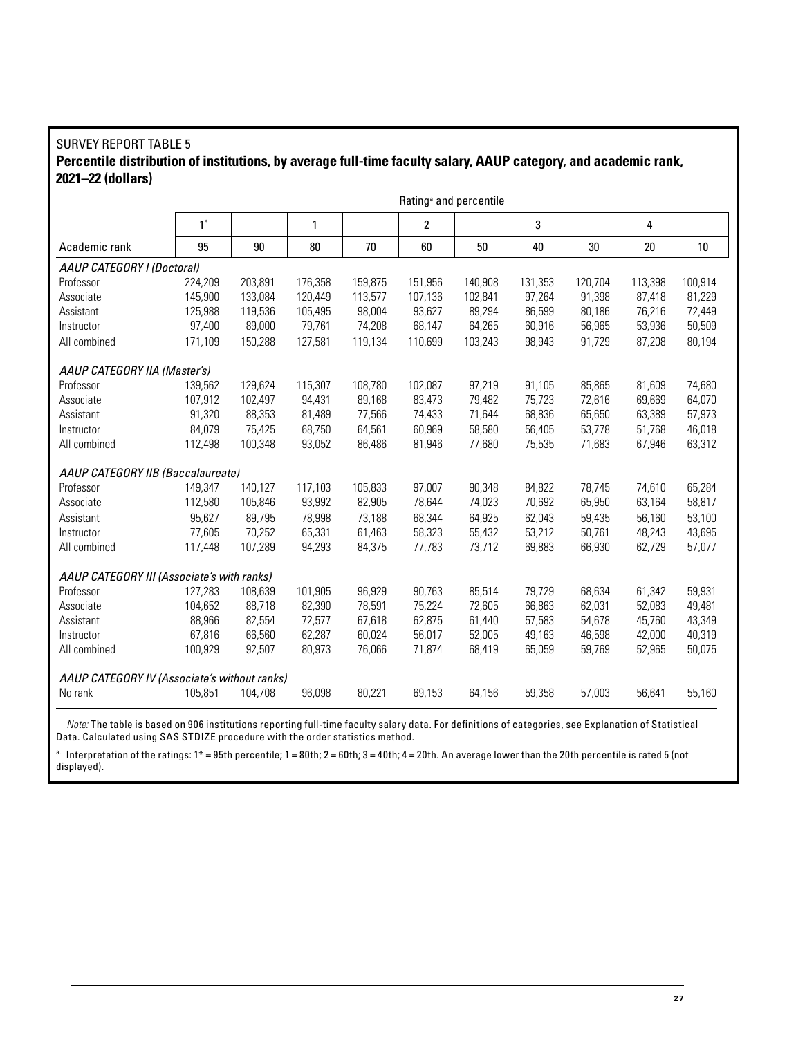#### SURVEY REPORT TABLE 5 **Percentile distribution of institutions, by average full-time faculty salary, AAUP category, and academic rank, 2021–22 (dollars)**

|                                              |         |         |         |         | Rating <sup>ª</sup> and percentile |         |         |         |         |         |
|----------------------------------------------|---------|---------|---------|---------|------------------------------------|---------|---------|---------|---------|---------|
|                                              | $1^*$   |         | 1       |         | $\overline{\mathbf{c}}$            |         | 3       |         | 4       |         |
| Academic rank                                | 95      | 90      | 80      | 70      | 60                                 | 50      | 40      | 30      | 20      | $10\,$  |
| AAUP CATEGORY I (Doctoral)                   |         |         |         |         |                                    |         |         |         |         |         |
| Professor                                    | 224,209 | 203,891 | 176,358 | 159,875 | 151,956                            | 140,908 | 131,353 | 120,704 | 113,398 | 100,914 |
| Associate                                    | 145,900 | 133,084 | 120,449 | 113,577 | 107,136                            | 102,841 | 97,264  | 91,398  | 87,418  | 81,229  |
| Assistant                                    | 125,988 | 119,536 | 105,495 | 98,004  | 93,627                             | 89,294  | 86,599  | 80,186  | 76,216  | 72,449  |
| Instructor                                   | 97,400  | 89,000  | 79,761  | 74,208  | 68,147                             | 64,265  | 60,916  | 56,965  | 53,936  | 50,509  |
| All combined                                 | 171,109 | 150,288 | 127,581 | 119,134 | 110.699                            | 103.243 | 98,943  | 91.729  | 87.208  | 80,194  |
| AAUP CATEGORY IIA (Master's)                 |         |         |         |         |                                    |         |         |         |         |         |
| Professor                                    | 139,562 | 129,624 | 115,307 | 108,780 | 102,087                            | 97,219  | 91,105  | 85,865  | 81,609  | 74,680  |
| Associate                                    | 107,912 | 102,497 | 94,431  | 89,168  | 83,473                             | 79,482  | 75,723  | 72,616  | 69,669  | 64,070  |
| Assistant                                    | 91,320  | 88,353  | 81,489  | 77,566  | 74,433                             | 71,644  | 68,836  | 65,650  | 63,389  | 57,973  |
| Instructor                                   | 84,079  | 75,425  | 68,750  | 64,561  | 60,969                             | 58,580  | 56,405  | 53,778  | 51,768  | 46,018  |
| All combined                                 | 112,498 | 100,348 | 93,052  | 86,486  | 81,946                             | 77.680  | 75,535  | 71.683  | 67,946  | 63,312  |
| AAUP CATEGORY IIB (Baccalaureate)            |         |         |         |         |                                    |         |         |         |         |         |
| Professor                                    | 149,347 | 140,127 | 117,103 | 105,833 | 97,007                             | 90,348  | 84,822  | 78,745  | 74,610  | 65,284  |
| Associate                                    | 112,580 | 105,846 | 93,992  | 82,905  | 78,644                             | 74,023  | 70,692  | 65,950  | 63,164  | 58,817  |
| Assistant                                    | 95,627  | 89,795  | 78,998  | 73,188  | 68,344                             | 64,925  | 62,043  | 59,435  | 56,160  | 53,100  |
| Instructor                                   | 77,605  | 70,252  | 65,331  | 61,463  | 58,323                             | 55,432  | 53,212  | 50,761  | 48,243  | 43,695  |
| All combined                                 | 117,448 | 107,289 | 94,293  | 84,375  | 77,783                             | 73,712  | 69,883  | 66,930  | 62,729  | 57,077  |
| AAUP CATEGORY III (Associate's with ranks)   |         |         |         |         |                                    |         |         |         |         |         |
| Professor                                    | 127,283 | 108,639 | 101,905 | 96,929  | 90,763                             | 85,514  | 79,729  | 68,634  | 61,342  | 59,931  |
| Associate                                    | 104,652 | 88,718  | 82,390  | 78,591  | 75,224                             | 72,605  | 66,863  | 62,031  | 52,083  | 49,481  |
| Assistant                                    | 88,966  | 82,554  | 72,577  | 67,618  | 62.875                             | 61,440  | 57,583  | 54,678  | 45,760  | 43,349  |
| Instructor                                   | 67,816  | 66,560  | 62,287  | 60,024  | 56.017                             | 52,005  | 49,163  | 46.598  | 42.000  | 40,319  |
| All combined                                 | 100,929 | 92,507  | 80,973  | 76,066  | 71,874                             | 68,419  | 65,059  | 59,769  | 52,965  | 50,075  |
| AAUP CATEGORY IV (Associate's without ranks) |         |         |         |         |                                    |         |         |         |         |         |
| No rank                                      | 105,851 | 104,708 | 96,098  | 80,221  | 69,153                             | 64,156  | 59,358  | 57,003  | 56,641  | 55,160  |

*Note:* The table is based on 906 institutions reporting full-time faculty salary data. For definitions of categories, see Explanation of Statistical Data. Calculated using SAS STDIZE procedure with the order statistics method.

 $a$ . Interpretation of the ratings: 1\* = 95th percentile; 1 = 80th; 2 = 60th; 3 = 40th; 4 = 20th. An average lower than the 20th percentile is rated 5 (not displayed).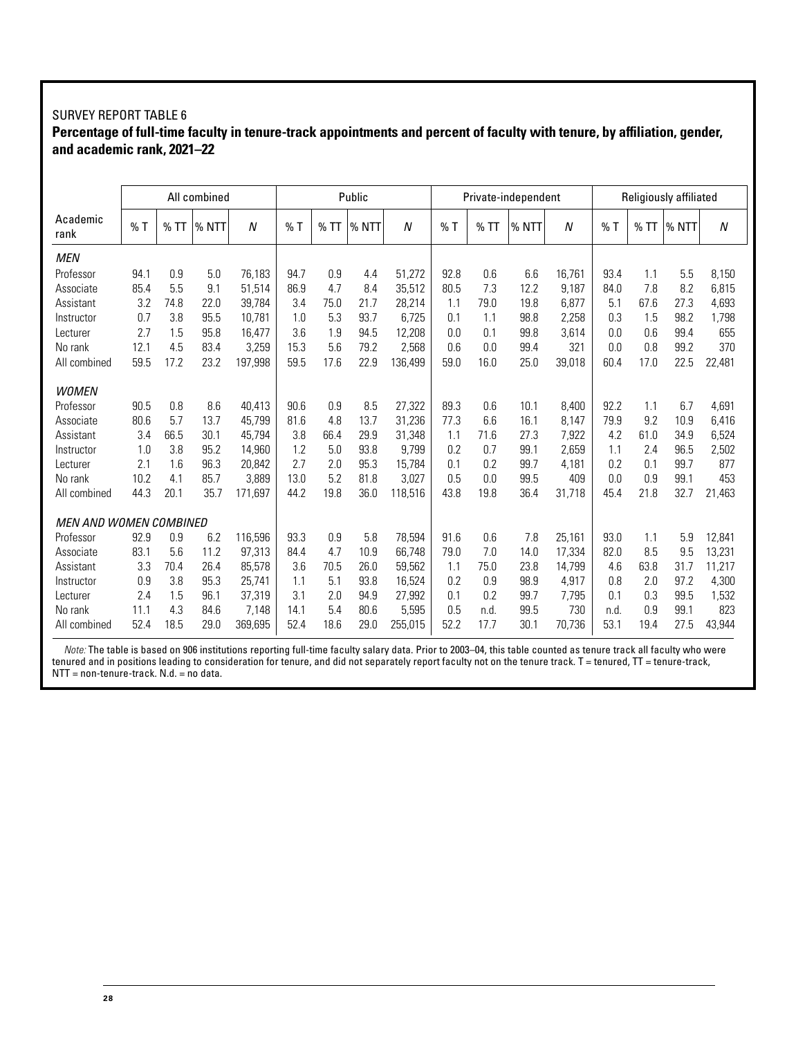#### SURVEY REPORT TABLE 6

### **Percentage of full-time faculty in tenure-track appointments and percent of faculty with tenure, by affiliation, gender, and academic rank, 2021–22**

|                        |      |      | All combined |                  | Public |      |       |         |      |      | Private-independent |        |      | Religiously affiliated<br>N<br>%TT<br>% NTT<br>5.5<br>1.1<br>8,150<br>7.8<br>8.2<br>6,815<br>67.6<br>27.3<br>4,693<br>1.5<br>98.2<br>1,798<br>0.6<br>99.4<br>655<br>0.8<br>99.2<br>370<br>17.0<br>22.5<br>22,481<br>6.7<br>1.1<br>4,691<br>9.2<br>10.9<br>6,416<br>61.0<br>34.9<br>6,524<br>2.4<br>96.5<br>2,502 |      |        |  |
|------------------------|------|------|--------------|------------------|--------|------|-------|---------|------|------|---------------------|--------|------|------------------------------------------------------------------------------------------------------------------------------------------------------------------------------------------------------------------------------------------------------------------------------------------------------------------|------|--------|--|
| Academic<br>rank       | %T   | %TT  | % NTT        | $\boldsymbol{N}$ | $%$ T  | %TT  | % NTT | N       | %T   | % TI | % NTT               | N      | %T   |                                                                                                                                                                                                                                                                                                                  |      |        |  |
| <b>MEN</b>             |      |      |              |                  |        |      |       |         |      |      |                     |        |      |                                                                                                                                                                                                                                                                                                                  |      |        |  |
| Professor              | 94.1 | 0.9  | 5.0          | 76.183           | 94.7   | 0.9  | 4.4   | 51,272  | 92.8 | 0.6  | 6.6                 | 16.761 | 93.4 |                                                                                                                                                                                                                                                                                                                  |      |        |  |
| Associate              | 85.4 | 5.5  | 9.1          | 51,514           | 86.9   | 4.7  | 8.4   | 35,512  | 80.5 | 7.3  | 12.2                | 9.187  | 84.0 |                                                                                                                                                                                                                                                                                                                  |      |        |  |
| Assistant              | 3.2  | 74.8 | 22.0         | 39,784           | 3.4    | 75.0 | 21.7  | 28,214  | 1.1  | 79.0 | 19.8                | 6,877  | 5.1  |                                                                                                                                                                                                                                                                                                                  |      |        |  |
| Instructor             | 0.7  | 3.8  | 95.5         | 10.781           | 1.0    | 5.3  | 93.7  | 6,725   | 0.1  | 1.1  | 98.8                | 2,258  | 0.3  |                                                                                                                                                                                                                                                                                                                  |      |        |  |
| Lecturer               | 2.7  | 1.5  | 95.8         | 16.477           | 3.6    | 1.9  | 94.5  | 12.208  | 0.0  | 0.1  | 99.8                | 3.614  | 0.0  |                                                                                                                                                                                                                                                                                                                  |      |        |  |
| No rank                | 12.1 | 4.5  | 83.4         | 3,259            | 15.3   | 5.6  | 79.2  | 2,568   | 0.6  | 0.0  | 99.4                | 321    | 0.0  |                                                                                                                                                                                                                                                                                                                  |      |        |  |
| All combined           | 59.5 | 17.2 | 23.2         | 197,998          | 59.5   | 17.6 | 22.9  | 136,499 | 59.0 | 16.0 | 25.0                | 39,018 | 60.4 |                                                                                                                                                                                                                                                                                                                  |      |        |  |
| <b>WOMEN</b>           |      |      |              |                  |        |      |       |         |      |      |                     |        |      |                                                                                                                                                                                                                                                                                                                  |      |        |  |
| Professor              | 90.5 | 0.8  | 8.6          | 40,413           | 90.6   | 0.9  | 8.5   | 27,322  | 89.3 | 0.6  | 10.1                | 8,400  | 92.2 |                                                                                                                                                                                                                                                                                                                  |      |        |  |
| Associate              | 80.6 | 5.7  | 13.7         | 45,799           | 81.6   | 4.8  | 13.7  | 31,236  | 77.3 | 6.6  | 16.1                | 8.147  | 79.9 |                                                                                                                                                                                                                                                                                                                  |      |        |  |
| Assistant              | 3.4  | 66.5 | 30.1         | 45.794           | 3.8    | 66.4 | 29.9  | 31,348  | 1.1  | 71.6 | 27.3                | 7,922  | 4.2  |                                                                                                                                                                                                                                                                                                                  |      |        |  |
| Instructor             | 1.0  | 3.8  | 95.2         | 14,960           | 1.2    | 5.0  | 93.8  | 9,799   | 0.2  | 0.7  | 99.1                | 2,659  | 1.1  |                                                                                                                                                                                                                                                                                                                  |      |        |  |
| Lecturer               | 2.1  | 1.6  | 96.3         | 20.842           | 2.7    | 2.0  | 95.3  | 15,784  | 0.1  | 0.2  | 99.7                | 4.181  | 0.2  | 0.1                                                                                                                                                                                                                                                                                                              | 99.7 | 877    |  |
| No rank                | 10.2 | 4.1  | 85.7         | 3.889            | 13.0   | 5.2  | 81.8  | 3,027   | 0.5  | 0.0  | 99.5                | 409    | 0.0  | 0.9                                                                                                                                                                                                                                                                                                              | 99.1 | 453    |  |
| All combined           | 44.3 | 20.1 | 35.7         | 171,697          | 44.2   | 19.8 | 36.0  | 118,516 | 43.8 | 19.8 | 36.4                | 31,718 | 45.4 | 21.8                                                                                                                                                                                                                                                                                                             | 32.7 | 21,463 |  |
| MEN AND WOMEN COMBINED |      |      |              |                  |        |      |       |         |      |      |                     |        |      |                                                                                                                                                                                                                                                                                                                  |      |        |  |
| Professor              | 92.9 | 0.9  | 6.2          | 116.596          | 93.3   | 0.9  | 5.8   | 78,594  | 91.6 | 0.6  | 7.8                 | 25,161 | 93.0 | 1.1                                                                                                                                                                                                                                                                                                              | 5.9  | 12,841 |  |
| Associate              | 83.1 | 5.6  | 11.2         | 97.313           | 84.4   | 4.7  | 10.9  | 66.748  | 79.0 | 7.0  | 14.0                | 17.334 | 82.0 | 8.5                                                                                                                                                                                                                                                                                                              | 9.5  | 13,231 |  |
| Assistant              | 3.3  | 70.4 | 26.4         | 85,578           | 3.6    | 70.5 | 26.0  | 59,562  | 1.1  | 75.0 | 23.8                | 14,799 | 4.6  | 63.8                                                                                                                                                                                                                                                                                                             | 31.7 | 11,217 |  |
| Instructor             | 0.9  | 3.8  | 95.3         | 25.741           | 1.1    | 5.1  | 93.8  | 16,524  | 0.2  | 0.9  | 98.9                | 4,917  | 0.8  | 2.0                                                                                                                                                                                                                                                                                                              | 97.2 | 4,300  |  |
| Lecturer               | 2.4  | 1.5  | 96.1         | 37,319           | 3.1    | 2.0  | 94.9  | 27,992  | 0.1  | 0.2  | 99.7                | 7,795  | 0.1  | 0.3                                                                                                                                                                                                                                                                                                              | 99.5 | 1,532  |  |
| No rank                | 11.1 | 4.3  | 84.6         | 7,148            | 14.1   | 5.4  | 80.6  | 5,595   | 0.5  | n.d. | 99.5                | 730    | n.d. | 0.9                                                                                                                                                                                                                                                                                                              | 99.1 | 823    |  |
| All combined           | 52.4 | 18.5 | 29.0         | 369,695          | 52.4   | 18.6 | 29.0  | 255,015 | 52.2 | 17.7 | 30.1                | 70,736 | 53.1 | 19.4                                                                                                                                                                                                                                                                                                             | 27.5 | 43,944 |  |

*Note:* The table is based on 906 institutions reporting full-time faculty salary data. Prior to 2003–04, this table counted as tenure track all faculty who were tenured and in positions leading to consideration for tenure, and did not separately report faculty not on the tenure track. T = tenured, TT = tenure-track,  $NTT = non-tenure-track. N.d. = no data.$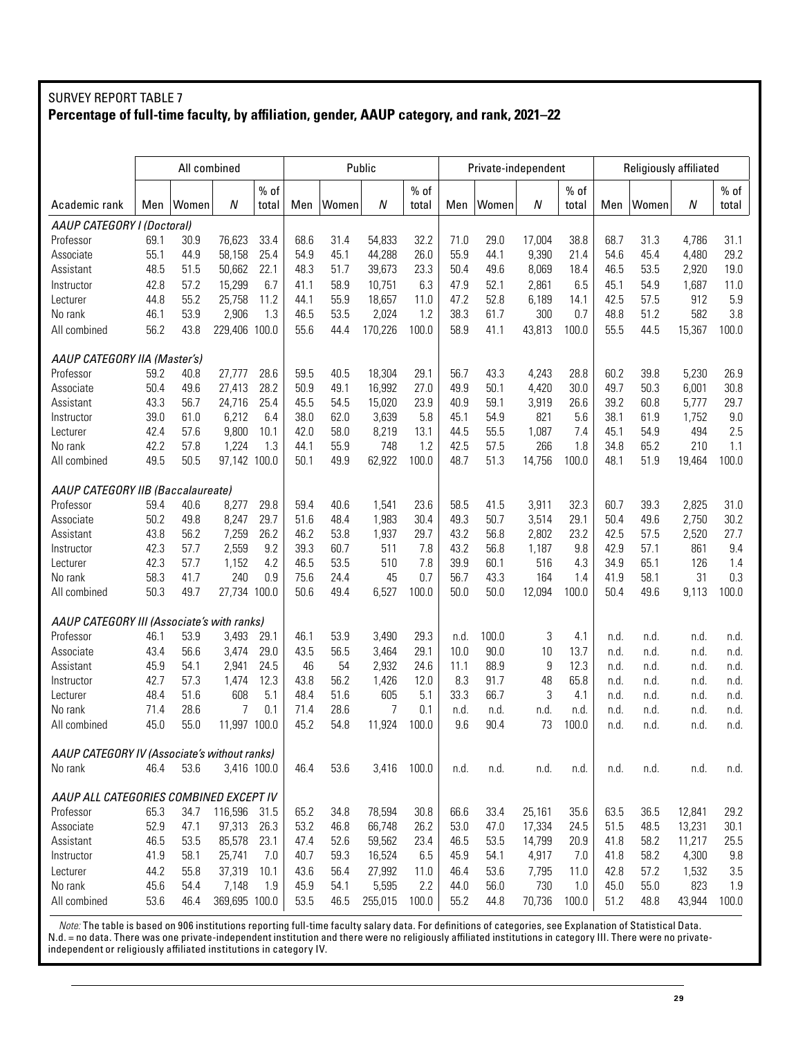#### SURVEY REPORT TABLE 7 **Percentage of full-time faculty, by affiliation, gender, AAUP category, and rank, 2021–22**

|                                              |      | All combined |               | Public<br>$%$ of<br>$%$ of |      |       | Private-independent |       |      |       | Religiously affiliated |        |      |       |        |        |
|----------------------------------------------|------|--------------|---------------|----------------------------|------|-------|---------------------|-------|------|-------|------------------------|--------|------|-------|--------|--------|
|                                              |      |              |               |                            |      |       |                     |       |      |       |                        | $%$ of |      |       |        | $%$ of |
| Academic rank                                | Men  | Women        | N             | total                      | Men  | Women | N                   | total | Men  | Women | N                      | total  | Men  | Women | N      | total  |
| AAUP CATEGORY I (Doctoral)                   |      |              |               |                            |      |       |                     |       |      |       |                        |        |      |       |        |        |
| Professor                                    | 69.1 | 30.9         | 76,623        | 33.4                       | 68.6 | 31.4  | 54,833              | 32.2  | 71.0 | 29.0  | 17,004                 | 38.8   | 68.7 | 31.3  | 4,786  | 31.1   |
| Associate                                    | 55.1 | 44.9         | 58,158        | 25.4                       | 54.9 | 45.1  | 44,288              | 26.0  | 55.9 | 44.1  | 9,390                  | 21.4   | 54.6 | 45.4  | 4,480  | 29.2   |
| Assistant                                    | 48.5 | 51.5         | 50,662        | 22.1                       | 48.3 | 51.7  | 39,673              | 23.3  | 50.4 | 49.6  | 8,069                  | 18.4   | 46.5 | 53.5  | 2,920  | 19.0   |
| Instructor                                   | 42.8 | 57.2         | 15,299        | 6.7                        | 41.1 | 58.9  | 10,751              | 6.3   | 47.9 | 52.1  | 2,861                  | 6.5    | 45.1 | 54.9  | 1,687  | 11.0   |
| Lecturer                                     | 44.8 | 55.2         | 25,758        | 11.2                       | 44.1 | 55.9  | 18,657              | 11.0  | 47.2 | 52.8  | 6,189                  | 14.1   | 42.5 | 57.5  | 912    | 5.9    |
| No rank                                      | 46.1 | 53.9         | 2,906         | 1.3                        | 46.5 | 53.5  | 2,024               | 1.2   | 38.3 | 61.7  | 300                    | 0.7    | 48.8 | 51.2  | 582    | 3.8    |
| All combined                                 | 56.2 | 43.8         | 229,406       | 100.0                      | 55.6 | 44.4  | 170,226             | 100.0 | 58.9 | 41.1  | 43,813                 | 100.0  | 55.5 | 44.5  | 15,367 | 100.0  |
| AAUP CATEGORY IIA (Master's)                 |      |              |               |                            |      |       |                     |       |      |       |                        |        |      |       |        |        |
| Professor                                    | 59.2 | 40.8         | 27,777        | 28.6                       | 59.5 | 40.5  | 18,304              | 29.1  | 56.7 | 43.3  | 4,243                  | 28.8   | 60.2 | 39.8  | 5,230  | 26.9   |
| Associate                                    | 50.4 | 49.6         | 27,413        | 28.2                       | 50.9 | 49.1  | 16,992              | 27.0  | 49.9 | 50.1  | 4,420                  | 30.0   | 49.7 | 50.3  | 6,001  | 30.8   |
| Assistant                                    | 43.3 | 56.7         | 24,716        | 25.4                       | 45.5 | 54.5  | 15,020              | 23.9  | 40.9 | 59.1  | 3,919                  | 26.6   | 39.2 | 60.8  | 5,777  | 29.7   |
| Instructor                                   | 39.0 | 61.0         | 6,212         | 6.4                        | 38.0 | 62.0  | 3,639               | 5.8   | 45.1 | 54.9  | 821                    | 5.6    | 38.1 | 61.9  | 1,752  | 9.0    |
| Lecturer                                     | 42.4 | 57.6         | 9,800         | 10.1                       | 42.0 | 58.0  | 8,219               | 13.1  | 44.5 | 55.5  | 1,087                  | 7.4    | 45.1 | 54.9  | 494    | 2.5    |
| No rank                                      | 42.2 | 57.8         | 1,224         | 1.3                        | 44.1 | 55.9  | 748                 | 1.2   | 42.5 | 57.5  | 266                    | 1.8    | 34.8 | 65.2  | 210    | 1.1    |
| All combined                                 | 49.5 | 50.5         | 97,142 100.0  |                            | 50.1 | 49.9  | 62,922              | 100.0 | 48.7 | 51.3  | 14,756                 | 100.0  | 48.1 | 51.9  | 19,464 | 100.0  |
| AAUP CATEGORY IIB (Baccalaureate)            |      |              |               |                            |      |       |                     |       |      |       |                        |        |      |       |        |        |
| Professor                                    | 59.4 | 40.6         | 8,277         | 29.8                       | 59.4 | 40.6  | 1,541               | 23.6  | 58.5 | 41.5  | 3,911                  | 32.3   | 60.7 | 39.3  | 2,825  | 31.0   |
| Associate                                    | 50.2 | 49.8         | 8,247         | 29.7                       | 51.6 | 48.4  | 1,983               | 30.4  | 49.3 | 50.7  | 3,514                  | 29.1   | 50.4 | 49.6  | 2,750  | 30.2   |
| Assistant                                    | 43.8 | 56.2         | 7,259         | 26.2                       | 46.2 | 53.8  | 1,937               | 29.7  | 43.2 | 56.8  | 2,802                  | 23.2   | 42.5 | 57.5  | 2,520  | 27.7   |
| Instructor                                   | 42.3 | 57.7         | 2,559         | 9.2                        | 39.3 | 60.7  | 511                 | 7.8   | 43.2 | 56.8  | 1,187                  | 9.8    | 42.9 | 57.1  | 861    | 9.4    |
| Lecturer                                     | 42.3 | 57.7         | 1,152         | 4.2                        | 46.5 | 53.5  | 510                 | 7.8   | 39.9 | 60.1  | 516                    | 4.3    | 34.9 | 65.1  | 126    | 1.4    |
| No rank                                      | 58.3 | 41.7         | 240           | 0.9                        | 75.6 | 24.4  | 45                  | 0.7   | 56.7 | 43.3  | 164                    | 1.4    | 41.9 | 58.1  | 31     | 0.3    |
| All combined                                 | 50.3 | 49.7         | 27,734 100.0  |                            | 50.6 | 49.4  | 6,527               | 100.0 | 50.0 | 50.0  | 12,094                 | 100.0  | 50.4 | 49.6  | 9,113  | 100.0  |
| AAUP CATEGORY III (Associate's with ranks)   |      |              |               |                            |      |       |                     |       |      |       |                        |        |      |       |        |        |
| Professor                                    | 46.1 | 53.9         | 3,493         | 29.1                       | 46.1 | 53.9  | 3,490               | 29.3  | n.d. | 100.0 | 3                      | 4.1    | n.d. | n.d.  | n.d.   | n.d.   |
| Associate                                    | 43.4 | 56.6         | 3,474         | 29.0                       | 43.5 | 56.5  | 3,464               | 29.1  | 10.0 | 90.0  | 10                     | 13.7   | n.d. | n.d.  | n.d.   | n.d.   |
| Assistant                                    | 45.9 | 54.1         | 2,941         | 24.5                       | 46   | 54    | 2,932               | 24.6  | 11.1 | 88.9  | 9                      | 12.3   | n.d. | n.d.  | n.d.   | n.d.   |
| Instructor                                   | 42.7 | 57.3         | 1,474         | 12.3                       | 43.8 | 56.2  | 1,426               | 12.0  | 8.3  | 91.7  | 48                     | 65.8   | n.d. | n.d.  | n.d.   | n.d.   |
| Lecturer                                     | 48.4 | 51.6         | 608           | 5.1                        | 48.4 | 51.6  | 605                 | 5.1   | 33.3 | 66.7  | 3                      | 4.1    | n.d. | n.d.  | n.d.   | n.d.   |
| No rank                                      | 71.4 | 28.6         | 7             | 0.1                        | 71.4 | 28.6  | 7                   | 0.1   | n.d. | n.d.  | n.d.                   | n.d.   | n.d. | n.d.  | n.d.   | n.d.   |
| All combined                                 | 45.0 | 55.0         | 11,997 100.0  |                            | 45.2 | 54.8  | 11,924              | 100.0 | 9.6  | 90.4  | 73                     | 100.0  | n.d. | n.d.  | n.d.   | n.d.   |
| AAUP CATEGORY IV (Associate's without ranks) |      |              |               |                            |      |       |                     |       |      |       |                        |        |      |       |        |        |
| No rank                                      | 46.4 | 53.6         | 3,416 100.0   |                            | 46.4 | 53.6  | 3,416               | 100.0 | n.d. | n.d.  | n.d.                   | n.d.   | n.d. | n.d.  | n.d.   | n.d.   |
| AAUP ALL CATEGORIES COMBINED EXCEPT IV       |      |              |               |                            |      |       |                     |       |      |       |                        |        |      |       |        |        |
| Professor                                    | 65.3 | 34.7         | 116,596       | 31.5                       | 65.2 | 34.8  | 78,594              | 30.8  | 66.6 | 33.4  | 25,161                 | 35.6   | 63.5 | 36.5  | 12,841 | 29.2   |
| Associate                                    | 52.9 | 47.1         | 97,313        | 26.3                       | 53.2 | 46.8  | 66,748              | 26.2  | 53.0 | 47.0  | 17,334                 | 24.5   | 51.5 | 48.5  | 13,231 | 30.1   |
| Assistant                                    | 46.5 | 53.5         | 85,578        | 23.1                       | 47.4 | 52.6  | 59,562              | 23.4  | 46.5 | 53.5  | 14,799                 | 20.9   | 41.8 | 58.2  | 11,217 | 25.5   |
| Instructor                                   | 41.9 | 58.1         | 25,741        | 7.0                        | 40.7 | 59.3  | 16,524              | 6.5   | 45.9 | 54.1  | 4,917                  | 7.0    | 41.8 | 58.2  | 4,300  | 9.8    |
| Lecturer                                     | 44.2 | 55.8         | 37,319        | 10.1                       | 43.6 | 56.4  | 27,992              | 11.0  | 46.4 | 53.6  | 7,795                  | 11.0   | 42.8 | 57.2  | 1,532  | 3.5    |
| No rank                                      | 45.6 | 54.4         | 7,148         | 1.9                        | 45.9 | 54.1  | 5,595               | 2.2   | 44.0 | 56.0  | 730                    | 1.0    | 45.0 | 55.0  | 823    | 1.9    |
| All combined                                 | 53.6 | 46.4         | 369,695 100.0 |                            | 53.5 | 46.5  | 255,015             | 100.0 | 55.2 | 44.8  | 70,736                 | 100.0  | 51.2 | 48.8  | 43,944 | 100.0  |
|                                              |      |              |               |                            |      |       |                     |       |      |       |                        |        |      |       |        |        |

*Note:* The table is based on 906 institutions reporting full-time faculty salary data. For definitions of categories, see Explanation of Statistical Data. N.d. = no data. There was one private-independent institution and there were no religiously affiliated institutions in category III. There were no privateindependent or religiously affiliated institutions in category IV.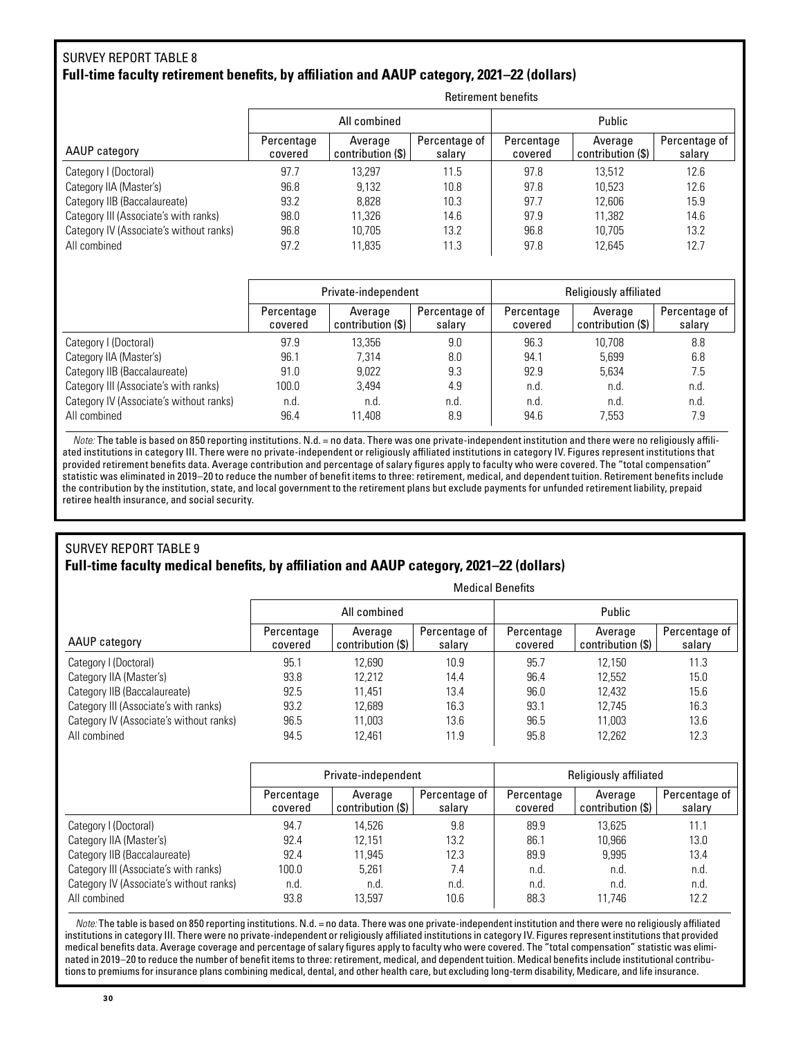#### SURVEY REPORT TABLE 8 **Full-time faculty retirement benefits, by affiliation and AAUP category, 2021–22 (dollars)**

|                       | All combined                 |                         | Public                |                              |                         |  |  |  |  |
|-----------------------|------------------------------|-------------------------|-----------------------|------------------------------|-------------------------|--|--|--|--|
| Percentage<br>covered | Average<br>contribution (\$) | Percentage of<br>salary | Percentage<br>covered | Average<br>contribution (\$) | Percentage of<br>salary |  |  |  |  |
| 97.7                  | 13.297                       | 11.5                    | 97.8                  | 13.512                       | 12.6                    |  |  |  |  |
| 96.8                  | 9.132                        | 10.8                    | 97.8                  | 10.523                       | 12.6                    |  |  |  |  |
| 93.2                  | 8.828                        | 10.3                    | 97.7                  | 12.606                       | 15.9                    |  |  |  |  |
| 98.0                  | 11.326                       | 14.6                    | 97.9                  | 11.382                       | 14.6                    |  |  |  |  |
| 96.8                  | 10.705                       | 13.2                    | 96.8                  | 10.705                       | 13.2                    |  |  |  |  |
| 97.2                  | 11,835                       | 11.3                    | 97.8                  | 12.645                       | 12.7                    |  |  |  |  |
|                       |                              |                         |                       |                              |                         |  |  |  |  |

Retirement benefits

|                                         |                       | Private-independent          |                         | Religiously affiliated |                              |                         |  |  |
|-----------------------------------------|-----------------------|------------------------------|-------------------------|------------------------|------------------------------|-------------------------|--|--|
|                                         | Percentage<br>covered | Average<br>contribution (\$) | Percentage of<br>salary | Percentage<br>covered  | Average<br>contribution (\$) | Percentage of<br>salary |  |  |
| Category I (Doctoral)                   | 97.9                  | 13.356                       | 9.0                     | 96.3                   | 10.708                       | 8.8                     |  |  |
| Category IIA (Master's)                 | 96.1                  | 7.314                        | 8.0                     | 94.1                   | 5.699                        | 6.8                     |  |  |
| Category IIB (Baccalaureate)            | 91.0                  | 9.022                        | 9.3                     | 92.9                   | 5.634                        | 7.5                     |  |  |
| Category III (Associate's with ranks)   | 100.0                 | 3.494                        | 4.9                     | n.d.                   | n.d.                         | n.d.                    |  |  |
| Category IV (Associate's without ranks) | n.d.                  | n.d.                         | n.d.                    | n.d.                   | n.d.                         | n.d.                    |  |  |
| All combined                            | 96.4                  | 11.408                       | 8.9                     | 94.6                   | 7.553                        | 7.9                     |  |  |

*Note:* The table is based on 850 reporting institutions. N.d. = no data. There was one private-independent institution and there were no religiously affiliated institutions in category III. There were no private-independent or religiously affiliated institutions in category IV. Figures represent institutions that provided retirement benefits data. Average contribution and percentage of salary figures apply to faculty who were covered. The "total compensation" statistic was eliminated in 2019–20 to reduce the number of benefit items to three: retirement, medical, and dependent tuition. Retirement benefits include the contribution by the institution, state, and local government to the retirement plans but exclude payments for unfunded retirement liability, prepaid retiree health insurance, and social security.

#### SURVEY REPORT TABLE 9 **Full-time faculty medical benefits, by affiliation and AAUP category, 2021–22 (dollars)**

|                                         | <b>Medical Benefits</b> |                              |                         |                       |                              |                         |  |  |  |  |
|-----------------------------------------|-------------------------|------------------------------|-------------------------|-----------------------|------------------------------|-------------------------|--|--|--|--|
|                                         |                         | All combined                 |                         | Public                |                              |                         |  |  |  |  |
| AAUP category                           | Percentage<br>covered   | Average<br>contribution (\$) | Percentage of<br>salary | Percentage<br>covered | Average<br>contribution (\$) | Percentage of<br>salary |  |  |  |  |
| Category I (Doctoral)                   | 95.1                    | 12.690                       | 10.9                    | 95.7                  | 12.150                       | 11.3                    |  |  |  |  |
| Category IIA (Master's)                 | 93.8                    | 12.212                       | 14.4                    | 96.4                  | 12.552                       | 15.0                    |  |  |  |  |
| Category IIB (Baccalaureate)            | 92.5                    | 11.451                       | 13.4                    | 96.0                  | 12.432                       | 15.6                    |  |  |  |  |
| Category III (Associate's with ranks)   | 93.2                    | 12.689                       | 16.3                    | 93.1                  | 12.745                       | 16.3                    |  |  |  |  |
| Category IV (Associate's without ranks) | 96.5                    | 11.003                       | 13.6                    | 96.5                  | 11.003                       | 13.6                    |  |  |  |  |
| All combined                            | 94.5                    | 12.461                       | 11.9                    | 95.8                  | 12.262                       | 12.3                    |  |  |  |  |

|                                         |                       | Private-independent          |                         | Religiously affiliated |                              |                         |  |  |
|-----------------------------------------|-----------------------|------------------------------|-------------------------|------------------------|------------------------------|-------------------------|--|--|
|                                         | Percentage<br>covered | Average<br>contribution (\$) | Percentage of<br>salary | Percentage<br>covered  | Average<br>contribution (\$) | Percentage of<br>salary |  |  |
| Category I (Doctoral)                   | 94.7                  | 14.526                       | 9.8                     | 89.9                   | 13.625                       | 11.1                    |  |  |
| Category IIA (Master's)                 | 92.4                  | 12.151                       | 13.2                    | 86.1                   | 10.966                       | 13.0                    |  |  |
| Category IIB (Baccalaureate)            | 92.4                  | 11.945                       | 12.3                    | 89.9                   | 9.995                        | 13.4                    |  |  |
| Category III (Associate's with ranks)   | 100.0                 | 5.261                        | 7.4                     | n.d.                   | n.d.                         | n.d.                    |  |  |
| Category IV (Associate's without ranks) | n.d.                  | n.d.                         | n.d.                    | n.d.                   | n.d.                         | n.d.                    |  |  |
| All combined                            | 93.8                  | 13.597                       | 10.6                    | 88.3                   | 11.746                       | 12.2                    |  |  |

*Note:* The table is based on 850 reporting institutions. N.d. = no data. There was one private-independent institution and there were no religiously affiliated institutions in category III. There were no private-independent or religiously affiliated institutions in category IV. Figures represent institutions that provided medical benefits data. Average coverage and percentage of salary figures apply to faculty who were covered. The "total compensation" statistic was eliminated in 2019–20 to reduce the number of benefit items to three: retirement, medical, and dependent tuition. Medical benefits include institutional contributions to premiums for insurance plans combining medical, dental, and other health care, but excluding long-term disability, Medicare, and life insurance.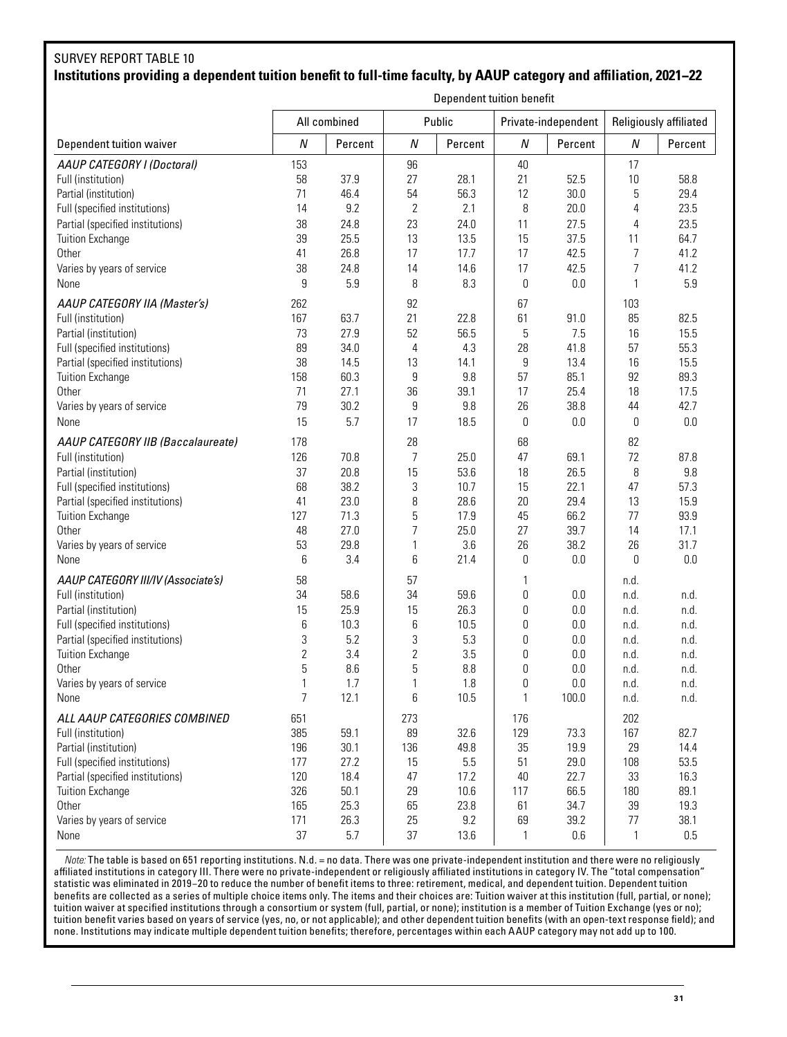# SURVEY REPORT TABLE 10 **Institutions providing a dependent tuition benefit to full-time faculty, by AAUP category and affiliation, 2021−22**

|                                    | Dependent tuition benefit |              |                  |         |                  |                     |                  |                        |  |
|------------------------------------|---------------------------|--------------|------------------|---------|------------------|---------------------|------------------|------------------------|--|
|                                    |                           | All combined |                  | Public  |                  | Private-independent |                  | Religiously affiliated |  |
| Dependent tuition waiver           | Ν                         | Percent      | $\boldsymbol{N}$ | Percent | $\boldsymbol{N}$ | Percent             | $\boldsymbol{N}$ | Percent                |  |
| AAUP CATEGORY I (Doctoral)         | 153                       |              | 96               |         | 40               |                     | 17               |                        |  |
| Full (institution)                 | 58                        | 37.9         | 27               | 28.1    | 21               | 52.5                | 10               | 58.8                   |  |
| Partial (institution)              | 71                        | 46.4         | 54               | 56.3    | 12               | 30.0                | 5                | 29.4                   |  |
| Full (specified institutions)      | 14                        | 9.2          | $\overline{2}$   | 2.1     | 8                | 20.0                | 4                | 23.5                   |  |
| Partial (specified institutions)   | 38                        | 24.8         | 23               | 24.0    | 11               | 27.5                | 4                | 23.5                   |  |
| <b>Tuition Exchange</b>            | 39                        | 25.5         | 13               | 13.5    | 15               | 37.5                | 11               | 64.7                   |  |
| Other                              | 41                        | 26.8         | 17               | 17.7    | 17               | 42.5                | 7                | 41.2                   |  |
| Varies by years of service         | 38                        | 24.8         | 14               | 14.6    | 17               | 42.5                | 7                | 41.2                   |  |
| None                               | 9                         | 5.9          | 8                | 8.3     | 0                | 0.0                 | 1                | 5.9                    |  |
| AAUP CATEGORY IIA (Master's)       | 262                       |              | 92               |         | 67               |                     | 103              |                        |  |
| Full (institution)                 | 167                       | 63.7         | 21               | 22.8    | 61               | 91.0                | 85               | 82.5                   |  |
| Partial (institution)              | 73                        | 27.9         | 52               | 56.5    | 5                | 7.5                 | 16               | 15.5                   |  |
| Full (specified institutions)      | 89                        | 34.0         | 4                | 4.3     | 28               | 41.8                | 57               | 55.3                   |  |
| Partial (specified institutions)   | 38                        | 14.5         | 13               | 14.1    | 9                | 13.4                | 16               | 15.5                   |  |
| <b>Tuition Exchange</b>            | 158                       | 60.3         | 9                | 9.8     | 57               | 85.1                | 92               | 89.3                   |  |
| Other                              | 71                        | 27.1         | 36               | 39.1    | 17               | 25.4                | 18               | 17.5                   |  |
| Varies by years of service         | 79                        | 30.2         | $\boldsymbol{9}$ | 9.8     | 26               | 38.8                | 44               | 42.7                   |  |
| None                               | 15                        | 5.7          | 17               | 18.5    | 0                | 0.0                 | 0                | 0.0                    |  |
| AAUP CATEGORY IIB (Baccalaureate)  | 178                       |              | 28               |         | 68               |                     | 82               |                        |  |
| Full (institution)                 | 126                       | 70.8         | 7                | 25.0    | 47               | 69.1                | 72               | 87.8                   |  |
| Partial (institution)              | 37                        | 20.8         | 15               | 53.6    | 18               | 26.5                | 8                | 9.8                    |  |
| Full (specified institutions)      | 68                        | 38.2         | 3                | 10.7    | 15               | 22.1                | 47               | 57.3                   |  |
| Partial (specified institutions)   | 41                        | 23.0         | 8                | 28.6    | 20               | 29.4                | 13               | 15.9                   |  |
| Tuition Exchange                   | 127                       | 71.3         | 5                | 17.9    | 45               | 66.2                | 77               | 93.9                   |  |
| Other                              | 48                        | 27.0         | $\overline{7}$   | 25.0    | 27               | 39.7                | 14               | 17.1                   |  |
| Varies by years of service         | 53                        | 29.8         | $\mathbf{1}$     | 3.6     | 26               | 38.2                | 26               | 31.7                   |  |
| None                               | 6                         | 3.4          | 6                | 21.4    | 0                | 0.0                 | 0                | 0.0                    |  |
| AAUP CATEGORY III/IV (Associate's) | 58                        |              | 57               |         | 1                |                     | n.d.             |                        |  |
| Full (institution)                 | 34                        | 58.6         | 34               | 59.6    | 0                | 0.0                 | n.d.             | n.d.                   |  |
| Partial (institution)              | 15                        | 25.9         | 15               | 26.3    | 0                | 0.0                 | n.d.             | n.d.                   |  |
| Full (specified institutions)      | 6                         | 10.3         | $\,6\,$          | 10.5    | 0                | 0.0                 | n.d.             | n.d.                   |  |
| Partial (specified institutions)   | 3                         | 5.2          | $\sqrt{3}$       | 5.3     | 0                | 0.0                 | n.d.             | n.d.                   |  |
| <b>Tuition Exchange</b>            | $\overline{2}$            | 3.4          | $\overline{c}$   | 3.5     | 0                | 0.0                 | n.d.             | n.d.                   |  |
| Other                              | 5                         | 8.6          | 5                | 8.8     | 0                | 0.0                 | n.d.             | n.d.                   |  |
| Varies by years of service         |                           | 1.7          | 1                | 1.8     | 0                | 0.0                 | n.d.             | n.d                    |  |
| None                               | 7                         | 12.1         | 6                | 10.5    | 1                | 100.0               | n.d.             | n.d.                   |  |
| ALL AAUP CATEGORIES COMBINED       | 651                       |              | 273              |         | 176              |                     | 202              |                        |  |
| Full (institution)                 | 385                       | 59.1         | 89               | 32.6    | 129              | 73.3                | 167              | 82.7                   |  |
| Partial (institution)              | 196                       | 30.1         | 136              | 49.8    | 35               | 19.9                | 29               | 14.4                   |  |
| Full (specified institutions)      | 177                       | 27.2         | 15               | 5.5     | 51               | 29.0                | 108              | 53.5                   |  |
| Partial (specified institutions)   | 120                       | 18.4         | 47               | 17.2    | 40               | 22.7                | 33               | 16.3                   |  |
| Tuition Exchange                   | 326                       | 50.1         | 29               | 10.6    | 117              | 66.5                | 180              | 89.1                   |  |
| Other                              | 165                       | 25.3         | 65               | 23.8    | 61               | 34.7                | 39               | 19.3                   |  |
| Varies by years of service         | 171                       | 26.3         | 25               | 9.2     | 69               | 39.2                | $77$             | 38.1                   |  |
| None                               | 37                        | 5.7          | 37               | 13.6    | 1                | 0.6                 | 1                | 0.5                    |  |

*Note:* The table is based on 651 reporting institutions. N.d. = no data. There was one private-independent institution and there were no religiously affiliated institutions in category III. There were no private-independent or religiously affiliated institutions in category IV. The "total compensation" statistic was eliminated in 2019−20 to reduce the number of benefit items to three: retirement, medical, and dependent tuition. Dependent tuition benefits are collected as a series of multiple choice items only. The items and their choices are: Tuition waiver at this institution (full, partial, or none); tuition waiver at specified institutions through a consortium or system (full, partial, or none); institution is a member of Tuition Exchange (yes or no); tuition benefit varies based on years of service (yes, no, or not applicable); and other dependent tuition benefits (with an open-text response field); and none. Institutions may indicate multiple dependent tuition benefits; therefore, percentages within each AAUP category may not add up to 100.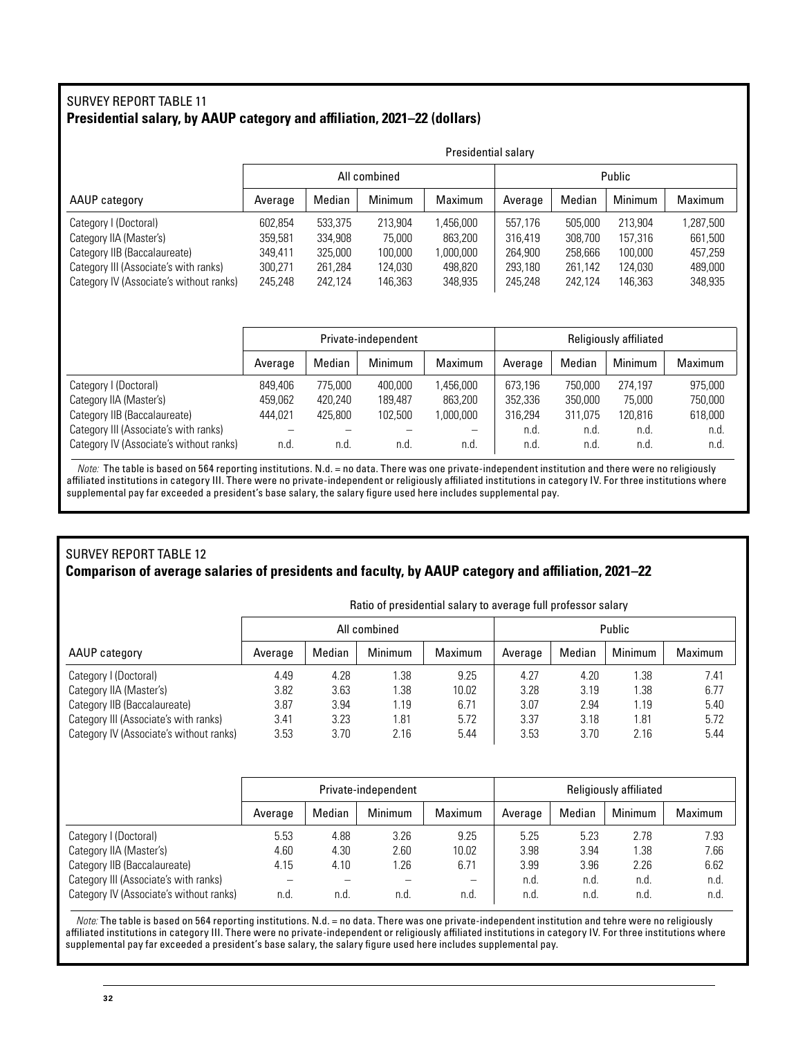## SURVEY REPORT TABLE 11 **Presidential salary, by AAUP category and affiliation, 2021–22 (dollars)**

|                                         |         | Presidential salary |              |           |         |         |         |           |  |  |
|-----------------------------------------|---------|---------------------|--------------|-----------|---------|---------|---------|-----------|--|--|
|                                         |         |                     | All combined |           |         |         | Public  |           |  |  |
| AAUP category                           | Average | Median              | Minimum      | Maximum   | Average | Median  | Minimum | Maximum   |  |  |
| Category I (Doctoral)                   | 602,854 | 533,375             | 213,904      | 1,456,000 | 557.176 | 505,000 | 213,904 | 1,287,500 |  |  |
| Category IIA (Master's)                 | 359,581 | 334,908             | 75,000       | 863,200   | 316,419 | 308.700 | 157.316 | 661,500   |  |  |
| Category IIB (Baccalaureate)            | 349,411 | 325,000             | 100,000      | 1,000,000 | 264,900 | 258,666 | 100,000 | 457,259   |  |  |
| Category III (Associate's with ranks)   | 300.271 | 261.284             | 124.030      | 498.820   | 293.180 | 261.142 | 124.030 | 489.000   |  |  |
| Category IV (Associate's without ranks) | 245.248 | 242.124             | 146.363      | 348,935   | 245.248 | 242.124 | 146.363 | 348,935   |  |  |

|                                         | Private-independent |         |         |                          | Religiously affiliated |         |                |         |
|-----------------------------------------|---------------------|---------|---------|--------------------------|------------------------|---------|----------------|---------|
|                                         | Average             | Median  | Minimum | <b>Maximum</b>           | Average                | Median  | <b>Minimum</b> | Maximum |
| Category I (Doctoral)                   | 849.406             | 775.000 | 400.000 | .456.000                 | 673.196                | 750.000 | 274.197        | 975,000 |
| Category IIA (Master's)                 | 459,062             | 420.240 | 189.487 | 863,200                  | 352,336                | 350,000 | 75,000         | 750,000 |
| Category IIB (Baccalaureate)            | 444.021             | 425.800 | 102.500 | 1.000.000                | 316.294                | 311.075 | 120.816        | 618,000 |
| Category III (Associate's with ranks)   |                     |         |         | $\overline{\phantom{0}}$ | n.d.                   | n.d.    | n.d.           | n.d.    |
| Category IV (Associate's without ranks) | n.d                 | n.d     | n.d     | n.d                      | n.d.                   | n.d.    | n.d.           | n.d.    |

*Note:* The table is based on 564 reporting institutions. N.d. = no data. There was one private-independent institution and there were no religiously affiliated institutions in category III. There were no private-independent or religiously affiliated institutions in category IV. For three institutions where supplemental pay far exceeded a president's base salary, the salary figure used here includes supplemental pay.

#### SURVEY REPORT TABLE 12 **Comparison of average salaries of presidents and faculty, by AAUP category and affiliation, 2021–22**

|                                         | Ratio of presidential salary to average full professor salary |        |              |         |         |        |         |         |  |
|-----------------------------------------|---------------------------------------------------------------|--------|--------------|---------|---------|--------|---------|---------|--|
|                                         |                                                               |        | All combined |         | Public  |        |         |         |  |
| AAUP category                           | Average                                                       | Median | Minimum      | Maximum | Average | Median | Minimum | Maximum |  |
| Category I (Doctoral)                   | 4.49                                                          | 4.28   | .38          | 9.25    | 4.27    | 4.20   | 1.38    | 7.41    |  |
| Category IIA (Master's)                 | 3.82                                                          | 3.63   | 1.38         | 10.02   | 3.28    | 3.19   | 1.38    | 6.77    |  |
| Category IIB (Baccalaureate)            | 3.87                                                          | 3.94   | 1.19         | 6.71    | 3.07    | 2.94   | 1.19    | 5.40    |  |
| Category III (Associate's with ranks)   | 3.41                                                          | 3.23   | 1.81         | 5.72    | 3.37    | 3.18   | 1.81    | 5.72    |  |
| Category IV (Associate's without ranks) | 3.53                                                          | 3.70   | 2.16         | 5.44    | 3.53    | 3.70   | 2.16    | 5.44    |  |

|                                         | Private-independent |        |         |                   | Religiously affiliated |        |         |         |
|-----------------------------------------|---------------------|--------|---------|-------------------|------------------------|--------|---------|---------|
|                                         | Average             | Median | Minimum | Maximum           | Average                | Median | Minimum | Maximum |
| Category I (Doctoral)                   | 5.53                | 4.88   | 3.26    | 9.25              | 5.25                   | 5.23   | 2.78    | 7.93    |
| Category IIA (Master's)                 | 4.60                | 4.30   | 2.60    | 10.02             | 3.98                   | 3.94   | 1.38    | 7.66    |
| Category IIB (Baccalaureate)            | 4.15                | 4.10   | 1.26    | 6.71              | 3.99                   | 3.96   | 2.26    | 6.62    |
| Category III (Associate's with ranks)   |                     |        |         | $\qquad \qquad -$ | n.d.                   | n.d.   | n.d.    | n.d.    |
| Category IV (Associate's without ranks) | n.d.                | n.d.   | n.d.    | n.d.              | n.d.                   | n.d.   | n.d.    | n.d.    |

*Note:* The table is based on 564 reporting institutions. N.d. = no data. There was one private-independent institution and tehre were no religiously affiliated institutions in category III. There were no private-independent or religiously affiliated institutions in category IV. For three institutions where supplemental pay far exceeded a president's base salary, the salary figure used here includes supplemental pay.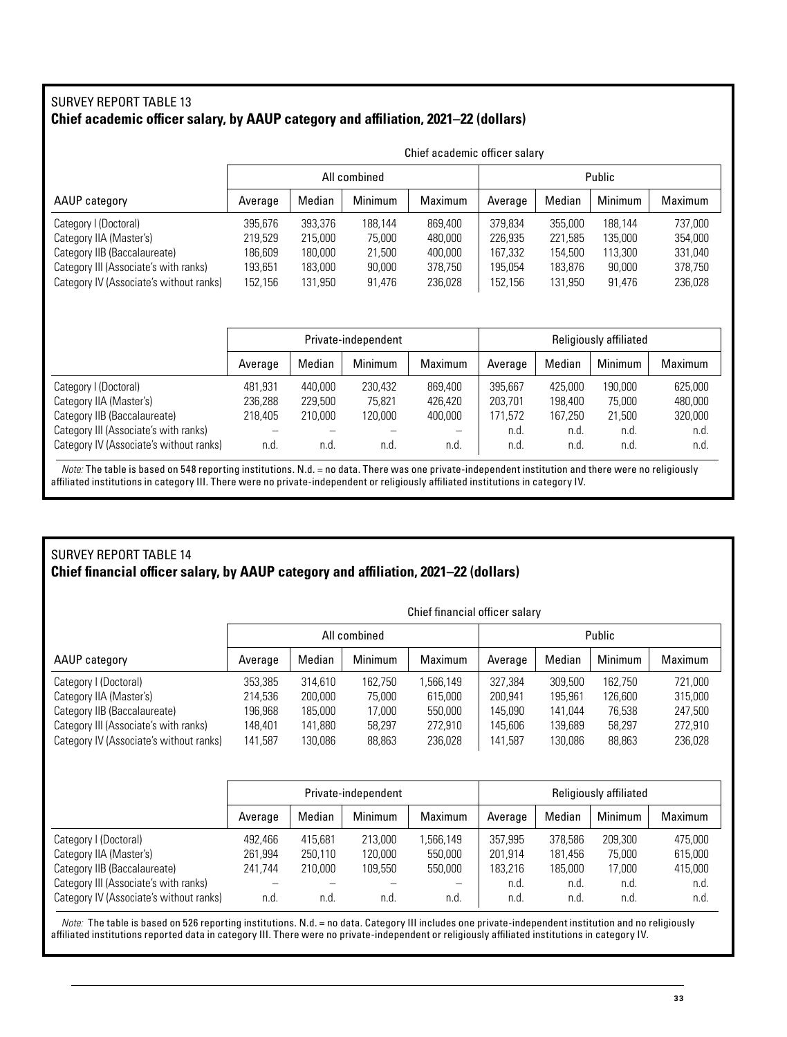## SURVEY REPORT TABLE 13 **Chief academic officer salary, by AAUP category and affiliation, 2021–22 (dollars)**

|                                         | Chief academic officer salary |         |              |         |         |         |         |         |  |
|-----------------------------------------|-------------------------------|---------|--------------|---------|---------|---------|---------|---------|--|
|                                         |                               |         | All combined |         | Public  |         |         |         |  |
| AAUP category                           | Average                       | Median  | Minimum      | Maximum | Average | Median  | Minimum | Maximum |  |
| Category I (Doctoral)                   | 395,676                       | 393.376 | 188.144      | 869.400 | 379.834 | 355,000 | 188.144 | 737,000 |  |
| Category IIA (Master's)                 | 219.529                       | 215,000 | 75,000       | 480,000 | 226.935 | 221.585 | 135,000 | 354,000 |  |
| Category IIB (Baccalaureate)            | 186,609                       | 180,000 | 21,500       | 400,000 | 167,332 | 154,500 | 113,300 | 331,040 |  |
| Category III (Associate's with ranks)   | 193,651                       | 183.000 | 90,000       | 378,750 | 195,054 | 183.876 | 90,000  | 378,750 |  |
| Category IV (Associate's without ranks) | 152,156                       | 131,950 | 91,476       | 236,028 | 152.156 | 131,950 | 91,476  | 236,028 |  |

|                                         | Private-independent |         |         |                |         |         | <b>Religiously affiliated</b> |                |
|-----------------------------------------|---------------------|---------|---------|----------------|---------|---------|-------------------------------|----------------|
|                                         | Average             | Median  | Minimum | <b>Maximum</b> | Average | Median  | Minimum                       | <b>Maximum</b> |
| Category I (Doctoral)                   | 481,931             | 440.000 | 230.432 | 869,400        | 395.667 | 425.000 | 190,000                       | 625,000        |
| Category IIA (Master's)                 | 236,288             | 229,500 | 75.821  | 426,420        | 203.701 | 198,400 | 75.000                        | 480,000        |
| Category IIB (Baccalaureate)            | 218.405             | 210,000 | 120,000 | 400,000        | 171.572 | 167.250 | 21,500                        | 320,000        |
| Category III (Associate's with ranks)   |                     |         |         |                | n.d.    | n.d.    | n.d.                          | n.d.           |
| Category IV (Associate's without ranks) | n.d                 | n.d.    | n.d.    | n.d.           | n.d.    | n.d.    | n.d.                          | n.d.           |

*Note:* The table is based on 548 reporting institutions. N.d. = no data. There was one private-independent institution and there were no religiously affiliated institutions in category III. There were no private-independent or religiously affiliated institutions in category IV.

## SURVEY REPORT TABLE 14 **Chief financial officer salary, by AAUP category and affiliation, 2021–22 (dollars)**

|                                         | Chief financial officer salary |         |                |          |         |         |         |         |  |
|-----------------------------------------|--------------------------------|---------|----------------|----------|---------|---------|---------|---------|--|
|                                         |                                |         | All combined   |          | Public  |         |         |         |  |
| AAUP category                           | Average                        | Median  | <b>Minimum</b> | Maximum  | Average | Median  | Minimum | Maximum |  |
| Category I (Doctoral)                   | 353,385                        | 314,610 | 162.750        | .566,149 | 327.384 | 309,500 | 162.750 | 721,000 |  |
| Category IIA (Master's)                 | 214,536                        | 200,000 | 75,000         | 615,000  | 200.941 | 195.961 | 126.600 | 315,000 |  |
| Category IIB (Baccalaureate)            | 196,968                        | 185,000 | 17,000         | 550.000  | 145.090 | 141.044 | 76.538  | 247.500 |  |
| Category III (Associate's with ranks)   | 148,401                        | 141,880 | 58,297         | 272,910  | 145.606 | 139,689 | 58,297  | 272,910 |  |
| Category IV (Associate's without ranks) | 141,587                        | 130,086 | 88,863         | 236,028  | 141,587 | 130,086 | 88,863  | 236,028 |  |

|                                         | Private-independent |         |         |                          | Religiously affiliated |         |         |         |
|-----------------------------------------|---------------------|---------|---------|--------------------------|------------------------|---------|---------|---------|
|                                         | Average             | Median  | Minimum | Maximum                  | Average                | Median  | Minimum | Maximum |
| Category I (Doctoral)                   | 492.466             | 415.681 | 213,000 | .566.149                 | 357.995                | 378.586 | 209.300 | 475.000 |
| Category IIA (Master's)                 | 261,994             | 250,110 | 120,000 | 550,000                  | 201.914                | 181,456 | 75,000  | 615,000 |
| Category IIB (Baccalaureate)            | 241.744             | 210.000 | 109.550 | 550.000                  | 183.216                | 185.000 | 17.000  | 415,000 |
| Category III (Associate's with ranks)   |                     |         |         | $\overline{\phantom{0}}$ | n.d.                   | n.d.    | n.d.    | n.d.    |
| Category IV (Associate's without ranks) | n.d.                | n.d.    | n.d.    | n.d.                     | n.d.                   | n.d.    | n.d.    | n.d.    |

*Note:* The table is based on 526 reporting institutions. N.d. = no data. Category III includes one private-independent institution and no religiously affiliated institutions reported data in category III. There were no private-independent or religiously affiliated institutions in category IV.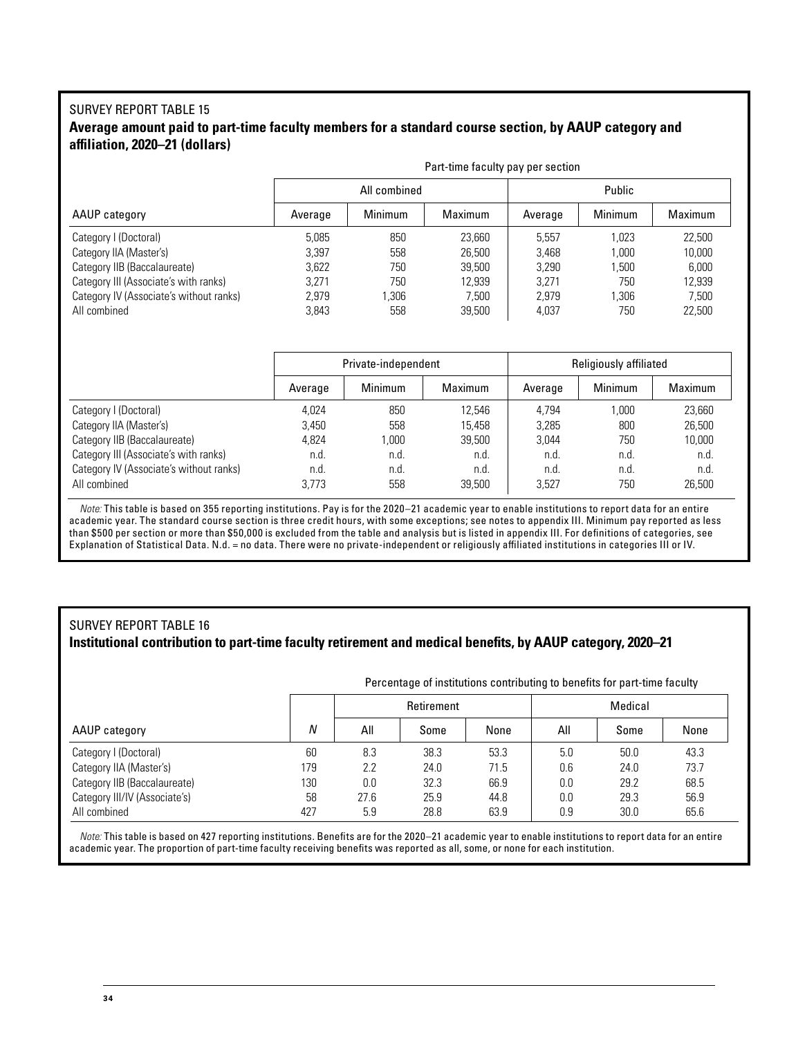#### SURVEY REPORT TABLE 15 **Average amount paid to part-time faculty members for a standard course section, by AAUP category and affiliation, 2020–21 (dollars)**

|                                         | Part-time faculty pay per section |              |                |         |         |         |  |  |
|-----------------------------------------|-----------------------------------|--------------|----------------|---------|---------|---------|--|--|
|                                         |                                   | All combined |                | Public  |         |         |  |  |
| AAUP category                           | Average                           | Minimum      | <b>Maximum</b> | Average | Minimum | Maximum |  |  |
| Category I (Doctoral)                   | 5.085                             | 850          | 23,660         | 5.557   | 1.023   | 22.500  |  |  |
| Category IIA (Master's)                 | 3.397                             | 558          | 26,500         | 3.468   | 1.000   | 10,000  |  |  |
| Category IIB (Baccalaureate)            | 3.622                             | 750          | 39,500         | 3.290   | 1.500   | 6,000   |  |  |
| Category III (Associate's with ranks)   | 3.271                             | 750          | 12,939         | 3.271   | 750     | 12.939  |  |  |
| Category IV (Associate's without ranks) | 2.979                             | 1.306        | 7.500          | 2.979   | 1.306   | 7,500   |  |  |
| All combined                            | 3.843                             | 558          | 39,500         | 4.037   | 750     | 22.500  |  |  |

|                                         | Private-independent |         |         | Religiously affiliated |         |         |  |
|-----------------------------------------|---------------------|---------|---------|------------------------|---------|---------|--|
|                                         | Average             | Minimum | Maximum | Average                | Minimum | Maximum |  |
| Category I (Doctoral)                   | 4.024               | 850     | 12.546  | 4.794                  | 1.000   | 23.660  |  |
| Category IIA (Master's)                 | 3.450               | 558     | 15.458  | 3.285                  | 800     | 26,500  |  |
| Category IIB (Baccalaureate)            | 4,824               | 000.    | 39,500  | 3.044                  | 750     | 10,000  |  |
| Category III (Associate's with ranks)   | n.d.                | n.d.    | n.d.    | n.d.                   | n.d.    | n.d.    |  |
| Category IV (Associate's without ranks) | n.d.                | n.d.    | n.d.    | n.d.                   | n.d.    | n.d.    |  |
| All combined                            | 3.773               | 558     | 39.500  | 3.527                  | 750     | 26,500  |  |

*Note:* This table is based on 355 reporting institutions. Pay is for the 2020–21 academic year to enable institutions to report data for an entire academic year. The standard course section is three credit hours, with some exceptions; see notes to appendix III. Minimum pay reported as less than \$500 per section or more than \$50,000 is excluded from the table and analysis but is listed in appendix III. For definitions of categories, see Explanation of Statistical Data. N.d. = no data. There were no private-independent or religiously affiliated institutions in categories III or IV.

#### SURVEY REPORT TABLE 16 **Institutional contribution to part-time faculty retirement and medical benefits, by AAUP category, 2020–21**

|                               |     | Percentage of institutions contributing to benefits for part-time faculty |      |      |         |      |      |  |
|-------------------------------|-----|---------------------------------------------------------------------------|------|------|---------|------|------|--|
|                               |     | Retirement                                                                |      |      | Medical |      |      |  |
| AAUP category                 | N   | All                                                                       | Some | None | All     | Some | None |  |
| Category I (Doctoral)         | 60  | 8.3                                                                       | 38.3 | 53.3 | 5.0     | 50.0 | 43.3 |  |
| Category IIA (Master's)       | 179 | 2.2                                                                       | 24.0 | 71.5 | 0.6     | 24.0 | 73.7 |  |
| Category IIB (Baccalaureate)  | 130 | 0.0                                                                       | 32.3 | 66.9 | 0.0     | 29.2 | 68.5 |  |
| Category III/IV (Associate's) | 58  | 27.6                                                                      | 25.9 | 44.8 | 0.0     | 29.3 | 56.9 |  |
| All combined                  | 427 | 5.9                                                                       | 28.8 | 63.9 | 0.9     | 30.0 | 65.6 |  |

*Note:* This table is based on 427 reporting institutions. Benefits are for the 2020–21 academic year to enable institutions to report data for an entire academic year. The proportion of part-time faculty receiving benefits was reported as all, some, or none for each institution.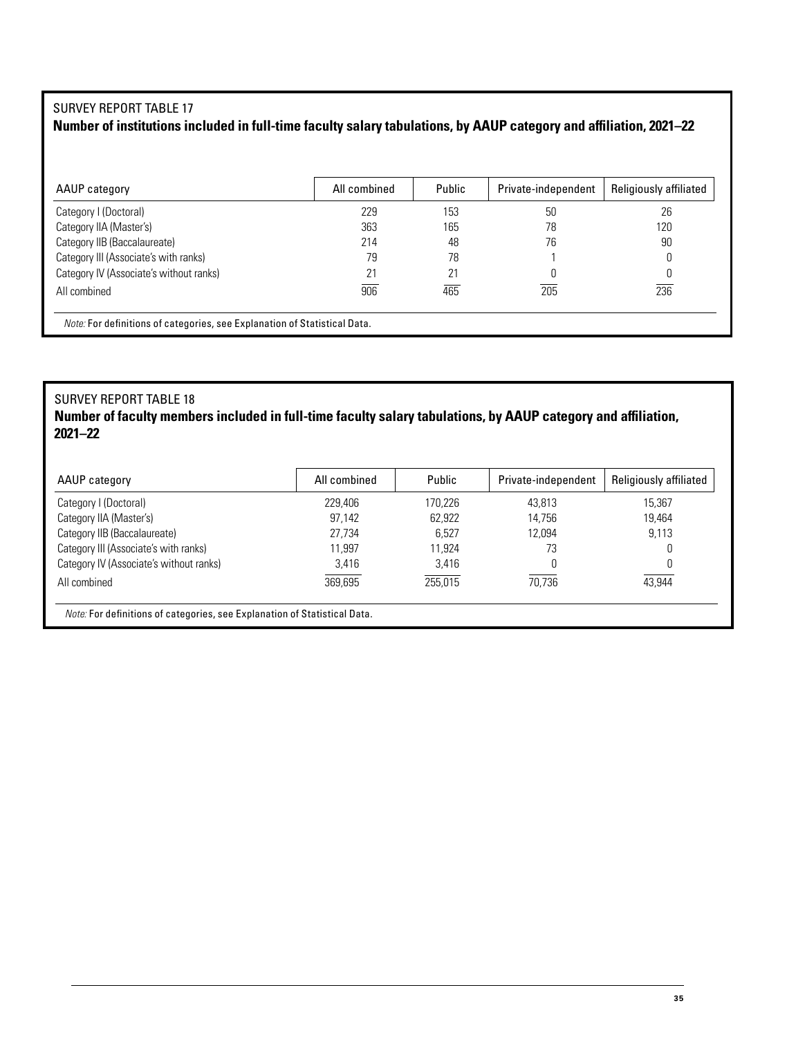## SURVEY REPORT TABLE 17

## **Number of institutions included in full-time faculty salary tabulations, by AAUP category and affiliation, 2021–22**

| AAUP category                                                                    | All combined | Public | Private-independent | <b>Religiously affiliated</b> |
|----------------------------------------------------------------------------------|--------------|--------|---------------------|-------------------------------|
| Category I (Doctoral)                                                            | 229          | 153    | 50                  | 26                            |
| Category IIA (Master's)                                                          | 363          | 165    | 78                  | 120                           |
| Category IIB (Baccalaureate)                                                     | 214          | 48     | 76                  | 90                            |
| Category III (Associate's with ranks)                                            | 79           | 78     |                     |                               |
| Category IV (Associate's without ranks)                                          | 21           | 21     |                     |                               |
| All combined                                                                     | 906          | 465    | 205                 | 236                           |
| <i>Note:</i> For definitions of categories, see Explanation of Statistical Data. |              |        |                     |                               |

#### SURVEY REPORT TABLE 18 **Number of faculty members included in full-time faculty salary tabulations, by AAUP category and affiliation, 2021–22**

| AAUP category                           | All combined | Public  | Private-independent | Religiously affiliated |
|-----------------------------------------|--------------|---------|---------------------|------------------------|
| Category I (Doctoral)                   | 229,406      | 170.226 | 43.813              | 15.367                 |
| Category IIA (Master's)                 | 97.142       | 62.922  | 14.756              | 19.464                 |
| Category IIB (Baccalaureate)            | 27.734       | 6.527   | 12.094              | 9,113                  |
| Category III (Associate's with ranks)   | 11.997       | 11.924  | 73                  | 0                      |
| Category IV (Associate's without ranks) | 3.416        | 3.416   |                     | 0                      |
| All combined                            | 369.695      | 255.015 | 70.736              | 43.944                 |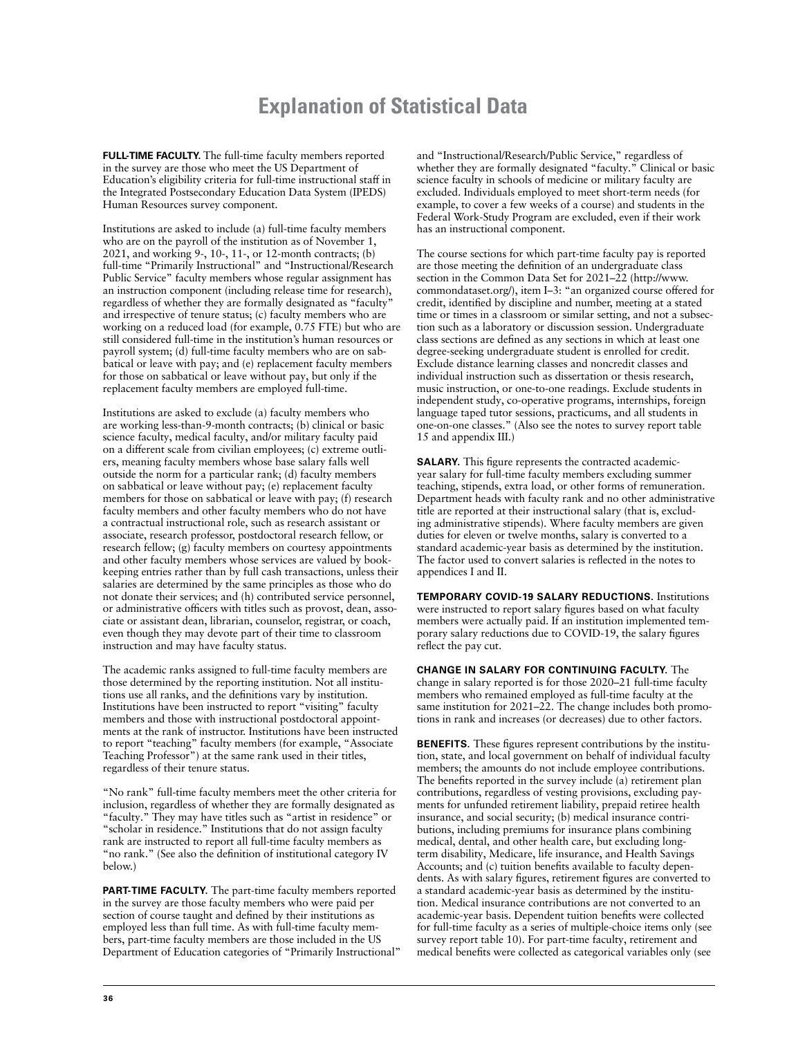# **Explanation of Statistical Data**

**FULL-TIME FACULTY.** The full-time faculty members reported in the survey are those who meet the US Department of Education's eligibility criteria for full-time instructional staff in the Integrated Postsecondary Education Data System (IPEDS) Human Resources survey component.

Institutions are asked to include (a) full-time faculty members who are on the payroll of the institution as of November 1, 2021, and working 9-, 10-, 11-, or 12-month contracts; (b) full-time "Primarily Instructional" and "Instructional/Research Public Service" faculty members whose regular assignment has an instruction component (including release time for research), regardless of whether they are formally designated as "faculty" and irrespective of tenure status; (c) faculty members who are working on a reduced load (for example, 0.75 FTE) but who are still considered full-time in the institution's human resources or payroll system; (d) full-time faculty members who are on sabbatical or leave with pay; and (e) replacement faculty members for those on sabbatical or leave without pay, but only if the replacement faculty members are employed full-time.

Institutions are asked to exclude (a) faculty members who are working less-than-9-month contracts; (b) clinical or basic science faculty, medical faculty, and/or military faculty paid on a different scale from civilian employees; (c) extreme outliers, meaning faculty members whose base salary falls well outside the norm for a particular rank; (d) faculty members on sabbatical or leave without pay; (e) replacement faculty members for those on sabbatical or leave with pay; (f) research faculty members and other faculty members who do not have a contractual instructional role, such as research assistant or associate, research professor, postdoctoral research fellow, or research fellow; (g) faculty members on courtesy appointments and other faculty members whose services are valued by bookkeeping entries rather than by full cash transactions, unless their salaries are determined by the same principles as those who do not donate their services; and (h) contributed service personnel, or administrative officers with titles such as provost, dean, associate or assistant dean, librarian, counselor, registrar, or coach, even though they may devote part of their time to classroom instruction and may have faculty status.

The academic ranks assigned to full-time faculty members are those determined by the reporting institution. Not all institutions use all ranks, and the definitions vary by institution. Institutions have been instructed to report "visiting" faculty members and those with instructional postdoctoral appointments at the rank of instructor. Institutions have been instructed to report "teaching" faculty members (for example, "Associate Teaching Professor") at the same rank used in their titles, regardless of their tenure status.

"No rank" full-time faculty members meet the other criteria for inclusion, regardless of whether they are formally designated as "faculty." They may have titles such as "artist in residence" or "scholar in residence." Institutions that do not assign faculty rank are instructed to report all full-time faculty members as "no rank." (See also the definition of institutional category IV below.)

**PART-TIME FACULTY.** The part-time faculty members reported in the survey are those faculty members who were paid per section of course taught and defined by their institutions as employed less than full time. As with full-time faculty members, part-time faculty members are those included in the US Department of Education categories of "Primarily Instructional" and "Instructional/Research/Public Service," regardless of whether they are formally designated "faculty." Clinical or basic science faculty in schools of medicine or military faculty are excluded. Individuals employed to meet short-term needs (for example, to cover a few weeks of a course) and students in the Federal Work-Study Program are excluded, even if their work has an instructional component.

The course sections for which part-time faculty pay is reported are those meeting the definition of an undergraduate class section in the Common Data Set for 2021–22 (http://www. commondataset.org/), item I–3: "an organized course offered for credit, identified by discipline and number, meeting at a stated time or times in a classroom or similar setting, and not a subsection such as a laboratory or discussion session. Undergraduate class sections are defined as any sections in which at least one degree-seeking undergraduate student is enrolled for credit. Exclude distance learning classes and noncredit classes and individual instruction such as dissertation or thesis research, music instruction, or one-to-one readings. Exclude students in independent study, co-operative programs, internships, foreign language taped tutor sessions, practicums, and all students in one-on-one classes." (Also see the notes to survey report table 15 and appendix III.)

**SALARY.** This figure represents the contracted academicyear salary for full-time faculty members excluding summer teaching, stipends, extra load, or other forms of remuneration. Department heads with faculty rank and no other administrative title are reported at their instructional salary (that is, excluding administrative stipends). Where faculty members are given duties for eleven or twelve months, salary is converted to a standard academic-year basis as determined by the institution. The factor used to convert salaries is reflected in the notes to appendices I and II.

**TEMPORARY COVID-19 SALARY REDUCTIONS.** Institutions were instructed to report salary figures based on what faculty members were actually paid. If an institution implemented temporary salary reductions due to COVID-19, the salary figures reflect the pay cut.

**CHANGE IN SALARY FOR CONTINUING FACULTY.** The change in salary reported is for those 2020–21 full-time faculty members who remained employed as full-time faculty at the same institution for 2021–22. The change includes both promotions in rank and increases (or decreases) due to other factors.

**BENEFITS.** These figures represent contributions by the institution, state, and local government on behalf of individual faculty members; the amounts do not include employee contributions. The benefits reported in the survey include (a) retirement plan contributions, regardless of vesting provisions, excluding payments for unfunded retirement liability, prepaid retiree health insurance, and social security; (b) medical insurance contributions, including premiums for insurance plans combining medical, dental, and other health care, but excluding longterm disability, Medicare, life insurance, and Health Savings Accounts; and (c) tuition benefits available to faculty dependents. As with salary figures, retirement figures are converted to a standard academic-year basis as determined by the institution. Medical insurance contributions are not converted to an academic-year basis. Dependent tuition benefits were collected for full-time faculty as a series of multiple-choice items only (see survey report table 10). For part-time faculty, retirement and medical benefits were collected as categorical variables only (see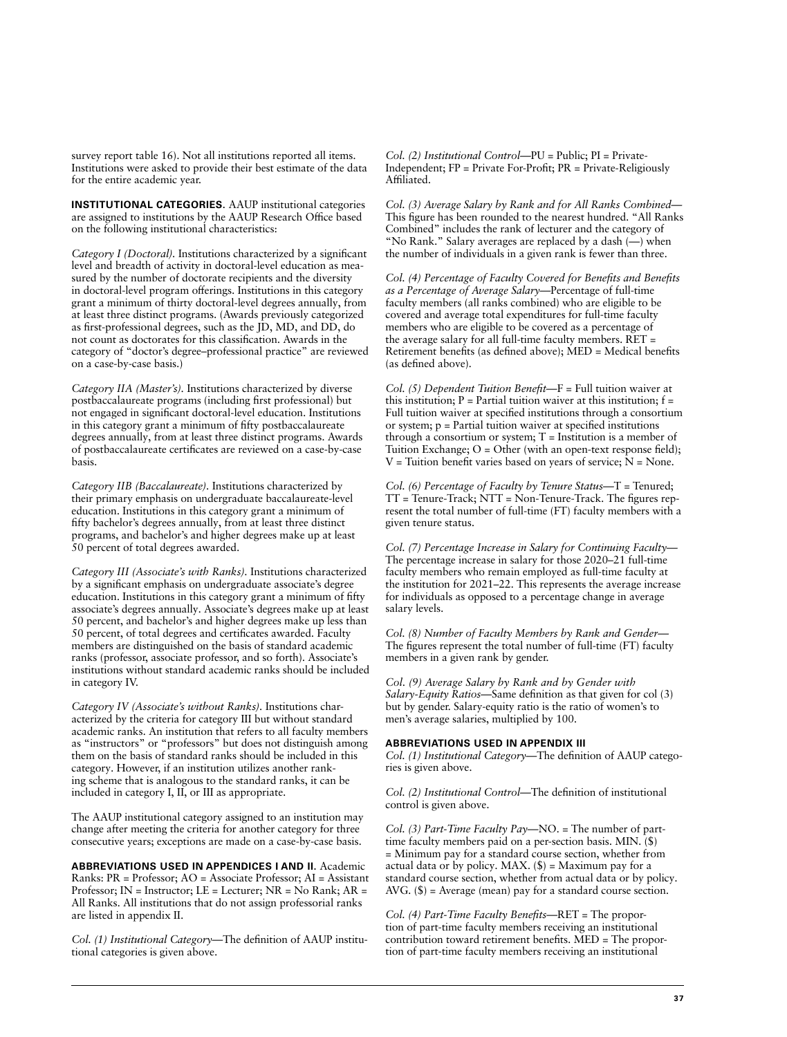survey report table 16). Not all institutions reported all items. Institutions were asked to provide their best estimate of the data for the entire academic year.

**INSTITUTIONAL CATEGORIES.** AAUP institutional categories are assigned to institutions by the AAUP Research Office based on the following institutional characteristics:

*Category I (Doctoral).* Institutions characterized by a significant level and breadth of activity in doctoral-level education as measured by the number of doctorate recipients and the diversity in doctoral-level program offerings. Institutions in this category grant a minimum of thirty doctoral-level degrees annually, from at least three distinct programs. (Awards previously categorized as first-professional degrees, such as the JD, MD, and DD, do not count as doctorates for this classification. Awards in the category of "doctor's degree–professional practice" are reviewed on a case-by-case basis.)

*Category IIA (Master's).* Institutions characterized by diverse postbaccalaureate programs (including first professional) but not engaged in significant doctoral-level education. Institutions in this category grant a minimum of fifty postbaccalaureate degrees annually, from at least three distinct programs. Awards of postbaccalaureate certificates are reviewed on a case-by-case basis.

*Category IIB (Baccalaureate).* Institutions characterized by their primary emphasis on undergraduate baccalaureate-level education. Institutions in this category grant a minimum of fifty bachelor's degrees annually, from at least three distinct programs, and bachelor's and higher degrees make up at least 50 percent of total degrees awarded.

*Category III (Associate's with Ranks).* Institutions characterized by a significant emphasis on undergraduate associate's degree education. Institutions in this category grant a minimum of fifty associate's degrees annually. Associate's degrees make up at least 50 percent, and bachelor's and higher degrees make up less than 50 percent, of total degrees and certificates awarded. Faculty members are distinguished on the basis of standard academic ranks (professor, associate professor, and so forth). Associate's institutions without standard academic ranks should be included in category IV.

*Category IV (Associate's without Ranks).* Institutions characterized by the criteria for category III but without standard academic ranks. An institution that refers to all faculty members as "instructors" or "professors" but does not distinguish among them on the basis of standard ranks should be included in this category. However, if an institution utilizes another ranking scheme that is analogous to the standard ranks, it can be included in category I, II, or III as appropriate.

The AAUP institutional category assigned to an institution may change after meeting the criteria for another category for three consecutive years; exceptions are made on a case-by-case basis.

**ABBREVIATIONS USED IN APPENDICES I AND II.** Academic Ranks: PR = Professor; AO = Associate Professor; AI = Assistant Professor; IN = Instructor; LE = Lecturer; NR = No Rank; AR = All Ranks. All institutions that do not assign professorial ranks are listed in appendix II.

*Col. (1) Institutional Category—*The definition of AAUP institutional categories is given above.

*Col. (2) Institutional Control—*PU = Public; PI = Private-Independent; FP = Private For-Profit; PR = Private-Religiously Affiliated.

*Col. (3) Average Salary by Rank and for All Ranks Combined—* This figure has been rounded to the nearest hundred. "All Ranks Combined" includes the rank of lecturer and the category of "No Rank." Salary averages are replaced by a dash (—) when the number of individuals in a given rank is fewer than three.

*Col. (4) Percentage of Faculty Covered for Benefits and Benefits as a Percentage of Average Salary—*Percentage of full-time faculty members (all ranks combined) who are eligible to be covered and average total expenditures for full-time faculty members who are eligible to be covered as a percentage of the average salary for all full-time faculty members. RET = Retirement benefits (as defined above); MED = Medical benefits (as defined above).

*Col. (5) Dependent Tuition Benefit—*F = Full tuition waiver at this institution;  $P =$  Partial tuition waiver at this institution;  $f =$ Full tuition waiver at specified institutions through a consortium or system; p = Partial tuition waiver at specified institutions through a consortium or system;  $T =$  Institution is a member of Tuition Exchange;  $O =$  Other (with an open-text response field);  $V =$  Tuition benefit varies based on years of service;  $N =$  None.

*Col. (6) Percentage of Faculty by Tenure Status—*T = Tenured; TT = Tenure-Track; NTT = Non-Tenure-Track. The figures represent the total number of full-time (FT) faculty members with a given tenure status.

*Col. (7) Percentage Increase in Salary for Continuing Faculty—* The percentage increase in salary for those 2020–21 full-time faculty members who remain employed as full-time faculty at the institution for 2021–22. This represents the average increase for individuals as opposed to a percentage change in average salary levels.

*Col. (8) Number of Faculty Members by Rank and Gender—* The figures represent the total number of full-time (FT) faculty members in a given rank by gender.

*Col. (9) Average Salary by Rank and by Gender with Salary-Equity Ratios—*Same definition as that given for col (3) but by gender. Salary-equity ratio is the ratio of women's to men's average salaries, multiplied by 100.

#### **ABBREVIATIONS USED IN APPENDIX III**

*Col. (1) Institutional Category—*The definition of AAUP categories is given above.

*Col. (2) Institutional Control—*The definition of institutional control is given above.

*Col. (3) Part-Time Faculty Pay—*NO. = The number of parttime faculty members paid on a per-section basis. MIN. (\$) = Minimum pay for a standard course section, whether from actual data or by policy. MAX.  $(\$)$  = Maximum pay for a standard course section, whether from actual data or by policy. AVG. (\$) = Average (mean) pay for a standard course section.

*Col. (4) Part-Time Faculty Benefits—*RET = The proportion of part-time faculty members receiving an institutional contribution toward retirement benefits. MED = The proportion of part-time faculty members receiving an institutional